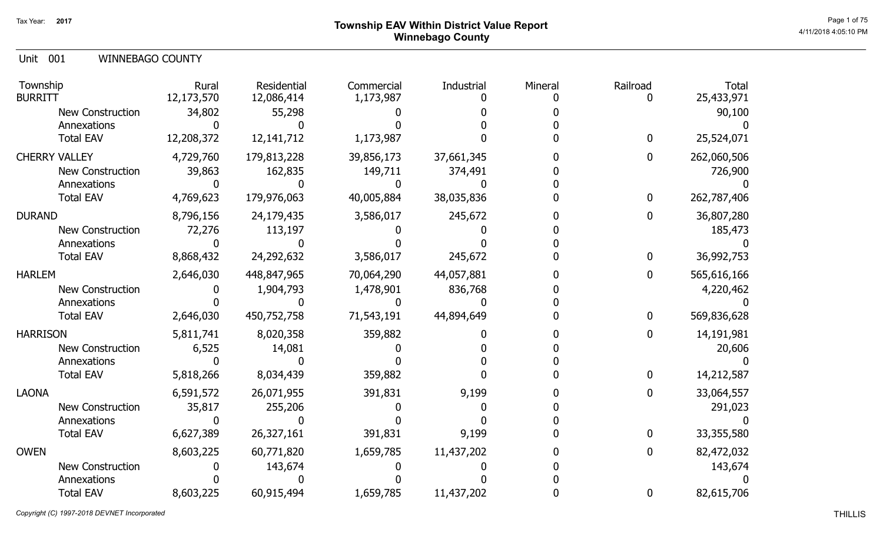# Page 1 of 75  $^{\sf Page\,1\,of\,75}$  Township EAV Within District Value Report Winnebago County

Unit 001 WINNEBAGO COUNTY

| Township<br><b>BURRITT</b> | Rural<br>12,173,570 | Residential<br>12,086,414 | Commercial<br>1,173,987 | Industrial | Mineral | Railroad       | <b>Total</b><br>25,433,971 |
|----------------------------|---------------------|---------------------------|-------------------------|------------|---------|----------------|----------------------------|
| New Construction           | 34,802              | 55,298                    |                         |            |         |                | 90,100                     |
| Annexations                |                     |                           |                         |            |         |                |                            |
| <b>Total EAV</b>           | 12,208,372          | 12, 141, 712              | 1,173,987               |            |         | $\bf{0}$       | 25,524,071                 |
| <b>CHERRY VALLEY</b>       | 4,729,760           | 179,813,228               | 39,856,173              | 37,661,345 |         | 0              | 262,060,506                |
| New Construction           | 39,863              | 162,835                   | 149,711                 | 374,491    |         |                | 726,900                    |
| Annexations                |                     |                           |                         |            |         |                |                            |
| <b>Total EAV</b>           | 4,769,623           | 179,976,063               | 40,005,884              | 38,035,836 |         | $\overline{0}$ | 262,787,406                |
| <b>DURAND</b>              | 8,796,156           | 24,179,435                | 3,586,017               | 245,672    |         | 0              | 36,807,280                 |
| <b>New Construction</b>    | 72,276              | 113,197                   |                         |            |         |                | 185,473                    |
| Annexations                |                     |                           |                         |            |         |                |                            |
| <b>Total EAV</b>           | 8,868,432           | 24,292,632                | 3,586,017               | 245,672    |         | $\overline{0}$ | 36,992,753                 |
| <b>HARLEM</b>              | 2,646,030           | 448,847,965               | 70,064,290              | 44,057,881 |         | $\mathbf 0$    | 565,616,166                |
| <b>New Construction</b>    |                     | 1,904,793                 | 1,478,901               | 836,768    |         |                | 4,220,462                  |
| Annexations                |                     |                           |                         |            |         |                |                            |
| <b>Total EAV</b>           | 2,646,030           | 450,752,758               | 71,543,191              | 44,894,649 |         | 0              | 569,836,628                |
| <b>HARRISON</b>            | 5,811,741           | 8,020,358                 | 359,882                 |            |         | 0              | 14,191,981                 |
| <b>New Construction</b>    | 6,525               | 14,081                    |                         |            |         |                | 20,606                     |
| Annexations                |                     |                           |                         |            |         |                |                            |
| <b>Total EAV</b>           | 5,818,266           | 8,034,439                 | 359,882                 |            |         | 0              | 14,212,587                 |
| <b>LAONA</b>               | 6,591,572           | 26,071,955                | 391,831                 | 9,199      |         |                | 33,064,557                 |
| <b>New Construction</b>    | 35,817              | 255,206                   |                         |            |         |                | 291,023                    |
| Annexations                |                     |                           |                         |            |         |                |                            |
| <b>Total EAV</b>           | 6,627,389           | 26,327,161                | 391,831                 | 9,199      |         |                | 33,355,580                 |
| <b>OWEN</b>                | 8,603,225           | 60,771,820                | 1,659,785               | 11,437,202 |         | 0              | 82,472,032                 |
| <b>New Construction</b>    |                     | 143,674                   |                         |            |         |                | 143,674                    |
| Annexations                |                     |                           |                         |            |         |                |                            |
| <b>Total EAV</b>           | 8,603,225           | 60,915,494                | 1,659,785               | 11,437,202 |         | 0              | 82,615,706                 |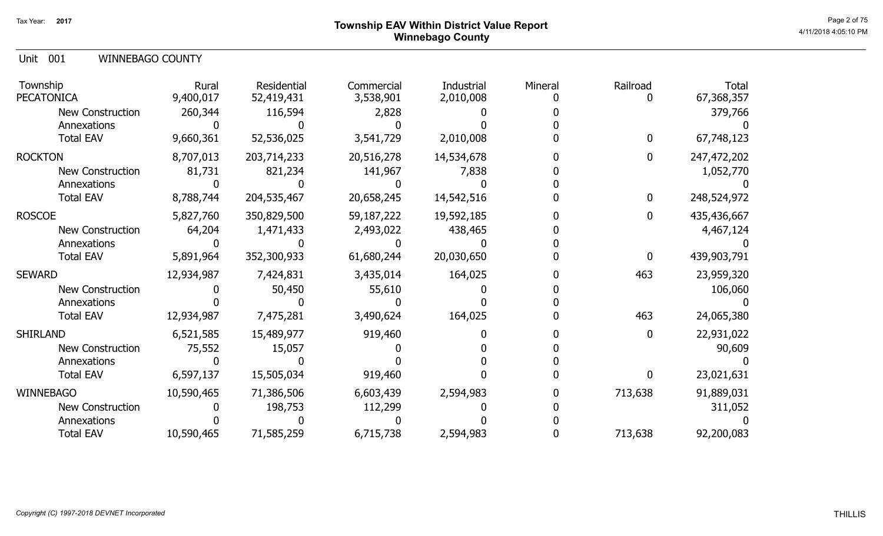# Page 2 of 75  $^{\text{Page 2 of 75}}$  Township EAV Within District Value Report Winnebago County

Unit 001 WINNEBAGO COUNTY

| Township<br><b>PECATONICA</b> | Rural<br>9,400,017 | Residential<br>52,419,431 | Commercial<br>3,538,901 | Industrial<br>2,010,008 | Mineral | Railroad     | <b>Total</b><br>67,368,357 |
|-------------------------------|--------------------|---------------------------|-------------------------|-------------------------|---------|--------------|----------------------------|
| <b>New Construction</b>       | 260,344            | 116,594                   | 2,828                   |                         |         |              | 379,766                    |
| Annexations                   |                    |                           |                         |                         |         |              |                            |
| <b>Total EAV</b>              | 9,660,361          | 52,536,025                | 3,541,729               | 2,010,008               |         | 0            | 67,748,123                 |
| <b>ROCKTON</b>                | 8,707,013          | 203,714,233               | 20,516,278              | 14,534,678              |         | 0            | 247,472,202                |
| <b>New Construction</b>       | 81,731             | 821,234                   | 141,967                 | 7,838                   |         |              | 1,052,770                  |
| Annexations                   |                    |                           |                         |                         |         |              |                            |
| <b>Total EAV</b>              | 8,788,744          | 204,535,467               | 20,658,245              | 14,542,516              |         | $\mathbf{0}$ | 248,524,972                |
| <b>ROSCOE</b>                 | 5,827,760          | 350,829,500               | 59,187,222              | 19,592,185              |         | 0            | 435,436,667                |
| <b>New Construction</b>       | 64,204             | 1,471,433                 | 2,493,022               | 438,465                 |         |              | 4,467,124                  |
| Annexations                   |                    |                           |                         |                         |         |              |                            |
| <b>Total EAV</b>              | 5,891,964          | 352,300,933               | 61,680,244              | 20,030,650              |         | 0            | 439,903,791                |
| <b>SEWARD</b>                 | 12,934,987         | 7,424,831                 | 3,435,014               | 164,025                 |         | 463          | 23,959,320                 |
| <b>New Construction</b>       |                    | 50,450                    | 55,610                  |                         |         |              | 106,060                    |
| Annexations                   |                    |                           |                         |                         |         |              |                            |
| <b>Total EAV</b>              | 12,934,987         | 7,475,281                 | 3,490,624               | 164,025                 |         | 463          | 24,065,380                 |
| <b>SHIRLAND</b>               | 6,521,585          | 15,489,977                | 919,460                 |                         |         | 0            | 22,931,022                 |
| New Construction              | 75,552             | 15,057                    |                         |                         |         |              | 90,609                     |
| Annexations                   |                    |                           |                         |                         |         |              |                            |
| <b>Total EAV</b>              | 6,597,137          | 15,505,034                | 919,460                 |                         |         | 0            | 23,021,631                 |
| <b>WINNEBAGO</b>              | 10,590,465         | 71,386,506                | 6,603,439               | 2,594,983               |         | 713,638      | 91,889,031                 |
| New Construction              |                    | 198,753                   | 112,299                 |                         |         |              | 311,052                    |
| Annexations                   |                    |                           |                         |                         |         |              |                            |
| <b>Total EAV</b>              | 10,590,465         | 71,585,259                | 6,715,738               | 2,594,983               |         | 713,638      | 92,200,083                 |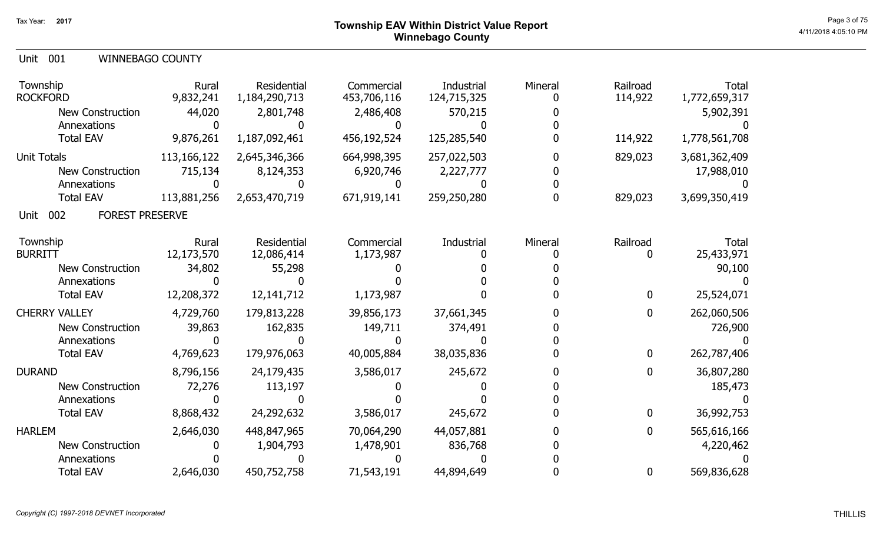| Unit 001 |  | <b>WINNEBAGO COUNTY</b> |
|----------|--|-------------------------|
|----------|--|-------------------------|

| Township<br><b>ROCKFORD</b>            | Rural<br>9,832,241 | Residential<br>1,184,290,713 | Commercial<br>453,706,116 | Industrial<br>124,715,325 | Mineral | Railroad<br>114,922 | <b>Total</b><br>1,772,659,317 |
|----------------------------------------|--------------------|------------------------------|---------------------------|---------------------------|---------|---------------------|-------------------------------|
| <b>New Construction</b><br>Annexations | 44,020             | 2,801,748                    | 2,486,408                 | 570,215                   |         |                     | 5,902,391                     |
| <b>Total EAV</b>                       | 9,876,261          | 1,187,092,461                | 456,192,524               | 125,285,540               |         | 114,922             | 1,778,561,708                 |
| <b>Unit Totals</b>                     | 113,166,122        | 2,645,346,366                | 664,998,395               | 257,022,503               |         | 829,023             | 3,681,362,409                 |
| <b>New Construction</b>                | 715,134            | 8,124,353                    | 6,920,746                 | 2,227,777                 |         |                     | 17,988,010                    |
| Annexations                            |                    |                              |                           |                           |         |                     |                               |
| <b>Total EAV</b>                       | 113,881,256        | 2,653,470,719                | 671,919,141               | 259,250,280               |         | 829,023             | 3,699,350,419                 |
| 002<br><b>FOREST PRESERVE</b><br>Unit  |                    |                              |                           |                           |         |                     |                               |
| Township                               | Rural              | Residential                  | Commercial                | Industrial                | Mineral | Railroad            | <b>Total</b>                  |
| <b>BURRITT</b>                         | 12,173,570         | 12,086,414                   | 1,173,987                 |                           |         | 0                   | 25,433,971                    |
| <b>New Construction</b>                | 34,802             | 55,298                       |                           |                           |         |                     | 90,100                        |
| Annexations                            |                    |                              |                           |                           |         |                     |                               |
| <b>Total EAV</b>                       | 12,208,372         | 12, 141, 712                 | 1,173,987                 |                           |         | 0                   | 25,524,071                    |
| <b>CHERRY VALLEY</b>                   | 4,729,760          | 179,813,228                  | 39,856,173                | 37,661,345                |         | $\mathbf 0$         | 262,060,506                   |
| <b>New Construction</b>                | 39,863             | 162,835                      | 149,711                   | 374,491                   |         |                     | 726,900                       |
| Annexations                            |                    |                              |                           |                           |         |                     |                               |
| <b>Total EAV</b>                       | 4,769,623          | 179,976,063                  | 40,005,884                | 38,035,836                |         | $\mathbf{0}$        | 262,787,406                   |
| <b>DURAND</b>                          | 8,796,156          | 24,179,435                   | 3,586,017                 | 245,672                   |         | $\mathbf 0$         | 36,807,280                    |
| New Construction                       | 72,276             | 113,197                      |                           |                           |         |                     | 185,473                       |
| Annexations                            |                    |                              |                           |                           |         |                     |                               |
| <b>Total EAV</b>                       | 8,868,432          | 24,292,632                   | 3,586,017                 | 245,672                   |         | $\mathbf 0$         | 36,992,753                    |
| <b>HARLEM</b>                          | 2,646,030          | 448,847,965                  | 70,064,290                | 44,057,881                |         | 0                   | 565,616,166                   |
| <b>New Construction</b>                |                    | 1,904,793                    | 1,478,901                 | 836,768                   |         |                     | 4,220,462                     |
| Annexations                            |                    |                              |                           |                           |         |                     |                               |
| <b>Total EAV</b>                       | 2,646,030          | 450,752,758                  | 71,543,191                | 44,894,649                |         | 0                   | 569,836,628                   |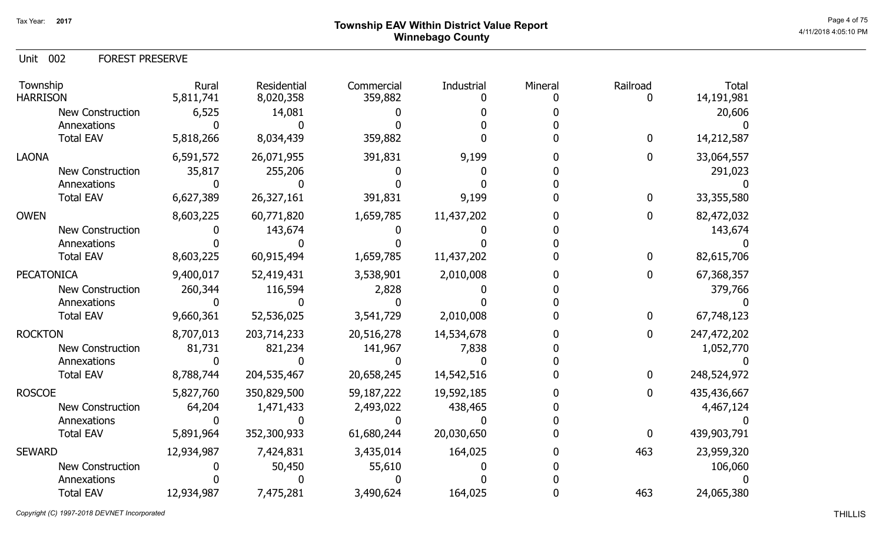# Page 4 of 75  $^{\text{Page 4 of 75}}$ Winnebago County

Unit 002 FOREST PRESERVE

| Township<br><b>HARRISON</b> | Rural<br>5,811,741 | Residential<br>8,020,358 | Commercial<br>359,882 | Industrial | Mineral | Railroad | <b>Total</b><br>14,191,981 |
|-----------------------------|--------------------|--------------------------|-----------------------|------------|---------|----------|----------------------------|
| <b>New Construction</b>     | 6,525              | 14,081                   |                       |            |         |          | 20,606                     |
| Annexations                 |                    |                          |                       |            |         |          |                            |
| <b>Total EAV</b>            | 5,818,266          | 8,034,439                | 359,882               |            |         | 0        | 14,212,587                 |
| <b>LAONA</b>                | 6,591,572          | 26,071,955               | 391,831               | 9,199      |         | 0        | 33,064,557                 |
| <b>New Construction</b>     | 35,817             | 255,206                  |                       |            |         |          | 291,023                    |
| Annexations                 |                    |                          |                       |            |         |          |                            |
| <b>Total EAV</b>            | 6,627,389          | 26,327,161               | 391,831               | 9,199      |         | 0        | 33,355,580                 |
| <b>OWEN</b>                 | 8,603,225          | 60,771,820               | 1,659,785             | 11,437,202 |         | 0        | 82,472,032                 |
| <b>New Construction</b>     |                    | 143,674                  |                       |            |         |          | 143,674                    |
| Annexations                 |                    |                          |                       |            |         |          |                            |
| <b>Total EAV</b>            | 8,603,225          | 60,915,494               | 1,659,785             | 11,437,202 |         | 0        | 82,615,706                 |
| <b>PECATONICA</b>           | 9,400,017          | 52,419,431               | 3,538,901             | 2,010,008  |         | 0        | 67,368,357                 |
| <b>New Construction</b>     | 260,344            | 116,594                  | 2,828                 |            |         |          | 379,766                    |
| Annexations                 |                    |                          |                       |            |         |          |                            |
| <b>Total EAV</b>            | 9,660,361          | 52,536,025               | 3,541,729             | 2,010,008  |         | 0        | 67,748,123                 |
| <b>ROCKTON</b>              | 8,707,013          | 203,714,233              | 20,516,278            | 14,534,678 |         | 0        | 247,472,202                |
| <b>New Construction</b>     | 81,731             | 821,234                  | 141,967               | 7,838      |         |          | 1,052,770                  |
| Annexations                 |                    |                          |                       |            |         |          |                            |
| <b>Total EAV</b>            | 8,788,744          | 204,535,467              | 20,658,245            | 14,542,516 |         | 0        | 248,524,972                |
| <b>ROSCOE</b>               | 5,827,760          | 350,829,500              | 59,187,222            | 19,592,185 |         | 0        | 435,436,667                |
| New Construction            | 64,204             | 1,471,433                | 2,493,022             | 438,465    |         |          | 4,467,124                  |
| Annexations                 |                    |                          |                       |            |         |          |                            |
| <b>Total EAV</b>            | 5,891,964          | 352,300,933              | 61,680,244            | 20,030,650 |         | 0        | 439,903,791                |
| <b>SEWARD</b>               | 12,934,987         | 7,424,831                | 3,435,014             | 164,025    |         | 463      | 23,959,320                 |
| <b>New Construction</b>     |                    | 50,450                   | 55,610                |            |         |          | 106,060                    |
| Annexations                 |                    |                          |                       |            |         |          |                            |
| <b>Total EAV</b>            | 12,934,987         | 7,475,281                | 3,490,624             | 164,025    |         | 463      | 24,065,380                 |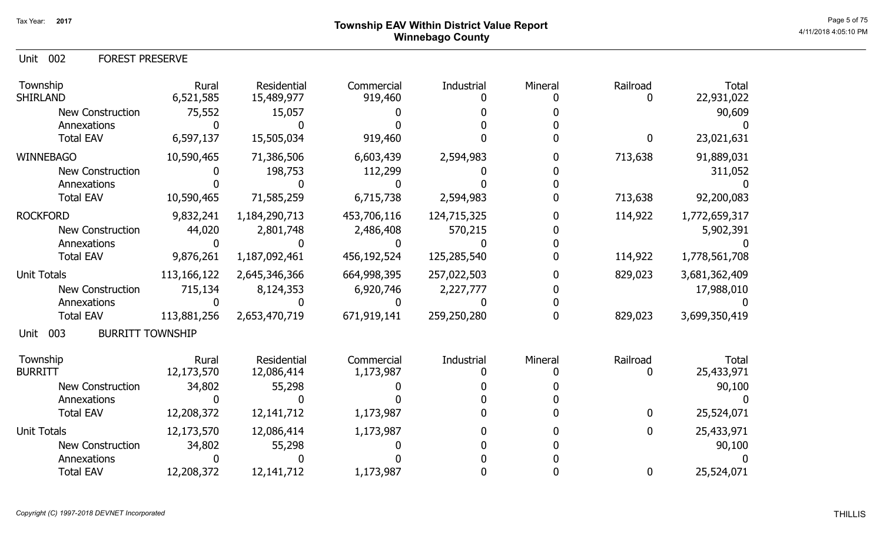Unit 002 FOREST PRESERVE

| Township<br><b>SHIRLAND</b>            | Rural<br>6,521,585 | <b>Residential</b><br>15,489,977 | Commercial<br>919,460 | Industrial  | Mineral | Railroad     | Total<br>22,931,022 |
|----------------------------------------|--------------------|----------------------------------|-----------------------|-------------|---------|--------------|---------------------|
| <b>New Construction</b>                | 75,552             | 15,057                           |                       |             |         |              | 90,609              |
| Annexations                            |                    |                                  |                       |             |         |              |                     |
| <b>Total EAV</b>                       | 6,597,137          | 15,505,034                       | 919,460               |             |         | 0            | 23,021,631          |
| <b>WINNEBAGO</b>                       | 10,590,465         | 71,386,506                       | 6,603,439             | 2,594,983   |         | 713,638      | 91,889,031          |
| <b>New Construction</b>                |                    | 198,753                          | 112,299               |             |         |              | 311,052             |
| Annexations                            |                    |                                  |                       |             |         |              |                     |
| <b>Total EAV</b>                       | 10,590,465         | 71,585,259                       | 6,715,738             | 2,594,983   |         | 713,638      | 92,200,083          |
| <b>ROCKFORD</b>                        | 9,832,241          | 1,184,290,713                    | 453,706,116           | 124,715,325 |         | 114,922      | 1,772,659,317       |
| <b>New Construction</b>                | 44,020             | 2,801,748                        | 2,486,408             | 570,215     |         |              | 5,902,391           |
| Annexations                            |                    |                                  |                       |             |         |              |                     |
| <b>Total EAV</b>                       | 9,876,261          | 1,187,092,461                    | 456,192,524           | 125,285,540 |         | 114,922      | 1,778,561,708       |
| <b>Unit Totals</b>                     | 113, 166, 122      | 2,645,346,366                    | 664,998,395           | 257,022,503 |         | 829,023      | 3,681,362,409       |
| <b>New Construction</b>                | 715,134            | 8,124,353                        | 6,920,746             | 2,227,777   |         |              | 17,988,010          |
| Annexations                            |                    |                                  |                       |             |         |              |                     |
| <b>Total EAV</b>                       | 113,881,256        | 2,653,470,719                    | 671,919,141           | 259,250,280 |         | 829,023      | 3,699,350,419       |
| 003<br><b>BURRITT TOWNSHIP</b><br>Unit |                    |                                  |                       |             |         |              |                     |
| Township                               | Rural              | <b>Residential</b>               | Commercial            | Industrial  | Mineral | Railroad     | Total               |
| <b>BURRITT</b>                         | 12,173,570         | 12,086,414                       | 1,173,987             |             |         |              | 25,433,971          |
| <b>New Construction</b>                | 34,802             | 55,298                           |                       |             |         |              | 90,100              |
| Annexations                            |                    |                                  |                       |             |         |              |                     |
| <b>Total EAV</b>                       | 12,208,372         | 12, 141, 712                     | 1,173,987             |             |         | $\mathbf{0}$ | 25,524,071          |
| <b>Unit Totals</b>                     | 12,173,570         | 12,086,414                       | 1,173,987             |             |         | 0            | 25,433,971          |
| <b>New Construction</b>                | 34,802             | 55,298                           |                       |             |         |              | 90,100              |
| Annexations                            |                    |                                  |                       |             |         |              |                     |
| <b>Total EAV</b>                       | 12,208,372         | 12,141,712                       | 1,173,987             |             |         | $\mathbf{0}$ | 25,524,071          |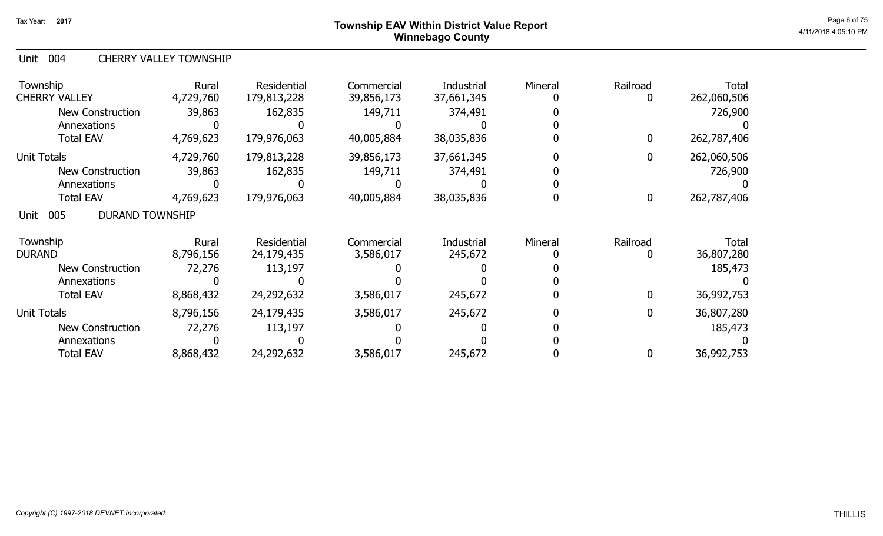# Page 6 of 75  $^{\sf Page\,6\,6\,75}$  Township EAV Within District Value Report Winnebago County

#### Unit 004 CHERRY VALLEY TOWNSHIP

| Township<br><b>CHERRY VALLEY</b>      | Rural<br>4,729,760 | <b>Residential</b><br>179,813,228 | Commercial<br>39,856,173 | Industrial<br>37,661,345 | Mineral | Railroad    | <b>Total</b><br>262,060,506 |
|---------------------------------------|--------------------|-----------------------------------|--------------------------|--------------------------|---------|-------------|-----------------------------|
| <b>New Construction</b>               | 39,863             | 162,835                           | 149,711                  | 374,491                  |         |             | 726,900                     |
| Annexations                           |                    |                                   |                          |                          |         |             |                             |
| <b>Total EAV</b>                      | 4,769,623          | 179,976,063                       | 40,005,884               | 38,035,836               |         | $\mathbf 0$ | 262,787,406                 |
| <b>Unit Totals</b>                    | 4,729,760          | 179,813,228                       | 39,856,173               | 37,661,345               |         | 0           | 262,060,506                 |
| <b>New Construction</b>               | 39,863             | 162,835                           | 149,711                  | 374,491                  |         |             | 726,900                     |
| Annexations                           |                    |                                   |                          |                          |         |             |                             |
| <b>Total EAV</b>                      | 4,769,623          | 179,976,063                       | 40,005,884               | 38,035,836               |         | $\bf{0}$    | 262,787,406                 |
| 005<br><b>DURAND TOWNSHIP</b><br>Unit |                    |                                   |                          |                          |         |             |                             |
| Township                              | Rural              | <b>Residential</b>                | Commercial               | Industrial               | Mineral | Railroad    | Total                       |
| <b>DURAND</b>                         | 8,796,156          | 24,179,435                        | 3,586,017                | 245,672                  |         |             | 36,807,280                  |
| <b>New Construction</b>               | 72,276             | 113,197                           |                          |                          |         |             | 185,473                     |
| Annexations                           |                    |                                   |                          |                          |         |             |                             |
| <b>Total EAV</b>                      | 8,868,432          | 24,292,632                        | 3,586,017                | 245,672                  |         | $\mathbf 0$ | 36,992,753                  |
| <b>Unit Totals</b>                    | 8,796,156          | 24,179,435                        | 3,586,017                | 245,672                  |         | 0           | 36,807,280                  |
| <b>New Construction</b>               | 72,276             | 113,197                           |                          |                          |         |             | 185,473                     |
| Annexations                           |                    |                                   |                          |                          |         |             |                             |
| <b>Total EAV</b>                      | 8,868,432          | 24,292,632                        | 3,586,017                | 245,672                  |         |             | 36,992,753                  |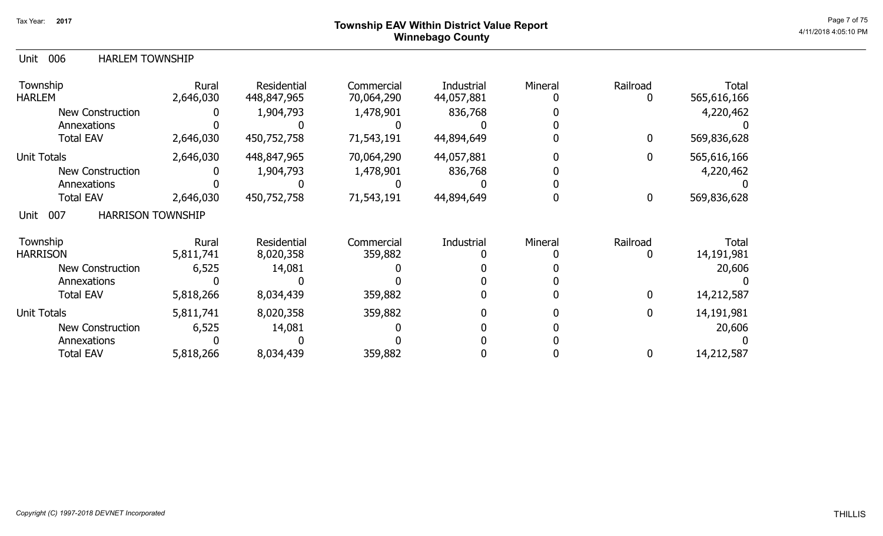# Page 7 of 75  $^{\sf Page\,7\,6\,75}$  Township EAV Within District Value Report Winnebago County

### Unit 006 HARLEM TOWNSHIP

| Township<br><b>HARLEM</b>               | Rural<br>2,646,030 | <b>Residential</b><br>448,847,965 | Commercial<br>70,064,290 | Industrial<br>44,057,881 | Mineral | Railroad     | Total<br>565,616,166 |
|-----------------------------------------|--------------------|-----------------------------------|--------------------------|--------------------------|---------|--------------|----------------------|
| <b>New Construction</b>                 |                    | 1,904,793                         | 1,478,901                | 836,768                  |         |              | 4,220,462            |
| Annexations                             |                    |                                   |                          |                          |         |              |                      |
| <b>Total EAV</b>                        | 2,646,030          | 450,752,758                       | 71,543,191               | 44,894,649               |         | 0            | 569,836,628          |
| <b>Unit Totals</b>                      | 2,646,030          | 448,847,965                       | 70,064,290               | 44,057,881               |         |              | 565,616,166          |
| <b>New Construction</b>                 |                    | 1,904,793                         | 1,478,901                | 836,768                  |         |              | 4,220,462            |
| Annexations                             |                    |                                   |                          |                          |         |              |                      |
| <b>Total EAV</b>                        | 2,646,030          | 450,752,758                       | 71,543,191               | 44,894,649               |         | 0            | 569,836,628          |
| 007<br><b>HARRISON TOWNSHIP</b><br>Unit |                    |                                   |                          |                          |         |              |                      |
| Township                                | Rural              | Residential                       | Commercial               | Industrial               | Mineral | Railroad     | Total                |
| <b>HARRISON</b>                         | 5,811,741          | 8,020,358                         | 359,882                  |                          |         |              | 14,191,981           |
| <b>New Construction</b>                 | 6,525              | 14,081                            |                          |                          |         |              | 20,606               |
| Annexations                             |                    |                                   |                          |                          |         |              |                      |
| <b>Total EAV</b>                        | 5,818,266          | 8,034,439                         | 359,882                  |                          |         | 0            | 14,212,587           |
| <b>Unit Totals</b>                      | 5,811,741          | 8,020,358                         | 359,882                  |                          |         | $\mathbf{0}$ | 14,191,981           |
| <b>New Construction</b>                 | 6,525              | 14,081                            |                          |                          |         |              | 20,606               |
| Annexations                             |                    |                                   |                          |                          |         |              |                      |
| <b>Total EAV</b>                        | 5,818,266          | 8,034,439                         | 359,882                  |                          |         |              | 14,212,587           |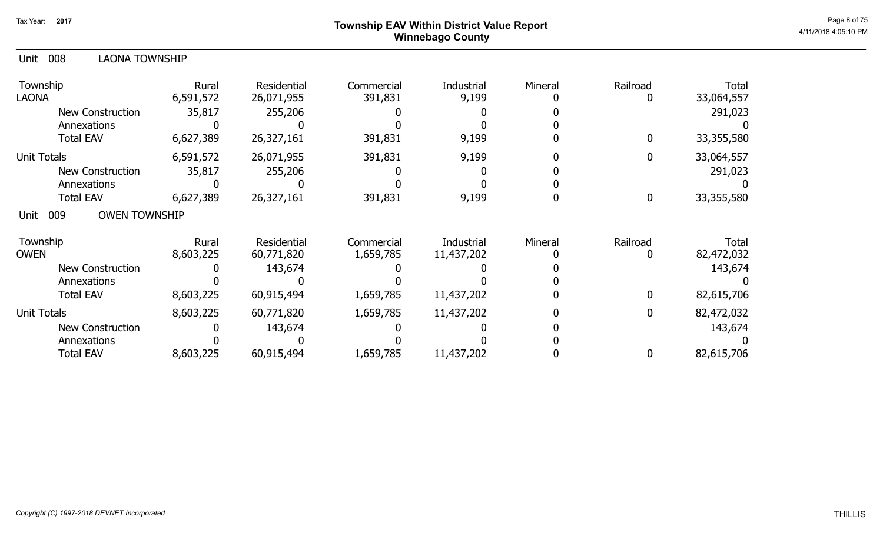# Page 8 of 75  $^{\sf Page\,8\,of\,75}$  Township EAV Within District Value Report Winnebago County

| 008<br>LAONA TOWNSHIP<br>Unit       |                    |                           |                       |                     |         |             |                     |
|-------------------------------------|--------------------|---------------------------|-----------------------|---------------------|---------|-------------|---------------------|
| Township<br>LAONA                   | Rural<br>6,591,572 | Residential<br>26,071,955 | Commercial<br>391,831 | Industrial<br>9,199 | Mineral | Railroad    | Total<br>33,064,557 |
| New Construction                    | 35,817             | 255,206                   |                       |                     |         |             | 291,023             |
| Annexations                         |                    |                           |                       |                     |         |             |                     |
| <b>Total EAV</b>                    | 6,627,389          | 26,327,161                | 391,831               | 9,199               |         | 0           | 33,355,580          |
| Unit Totals                         | 6,591,572          | 26,071,955                | 391,831               | 9,199               |         | 0           | 33,064,557          |
| <b>New Construction</b>             | 35,817             | 255,206                   |                       |                     |         |             | 291,023             |
| Annexations                         |                    |                           |                       |                     |         |             |                     |
| <b>Total EAV</b>                    | 6,627,389          | 26,327,161                | 391,831               | 9,199               |         | $\mathbf 0$ | 33,355,580          |
| <b>OWEN TOWNSHIP</b><br>009<br>Unit |                    |                           |                       |                     |         |             |                     |
| Township                            | Rural              | Residential               | Commercial            | Industrial          | Mineral | Railroad    | Total               |
| <b>OWEN</b>                         | 8,603,225          | 60,771,820                | 1,659,785             | 11,437,202          |         |             | 82,472,032          |
| <b>New Construction</b>             |                    | 143,674                   |                       |                     |         |             | 143,674             |
| Annexations                         |                    |                           |                       |                     |         |             |                     |
| <b>Total EAV</b>                    | 8,603,225          | 60,915,494                | 1,659,785             | 11,437,202          |         | 0           | 82,615,706          |
| <b>Unit Totals</b>                  | 8,603,225          | 60,771,820                | 1,659,785             | 11,437,202          |         | 0           | 82,472,032          |
| <b>New Construction</b>             |                    | 143,674                   |                       |                     |         |             | 143,674             |
| Annexations                         |                    |                           |                       |                     |         |             |                     |
| <b>Total EAV</b>                    | 8,603,225          | 60,915,494                | 1,659,785             | 11,437,202          |         | 0           | 82,615,706          |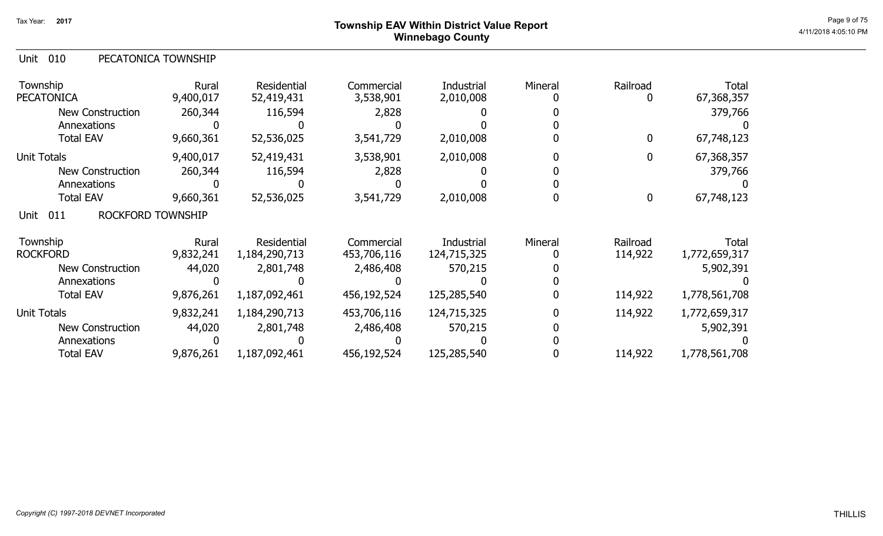# Page 9 of 75  $^{\sf Page~9~of~75}$  Township EAV Within District Value Report Winnebago County

| PECATONICA TOWNSHIP<br>Unit 010 |
|---------------------------------|
|---------------------------------|

| Township<br><b>PECATONICA</b>           | Rural<br>9,400,017 | Residential<br>52,419,431 | Commercial<br>3,538,901 | Industrial<br>2,010,008 | Mineral | Railroad | <b>Total</b><br>67,368,357 |
|-----------------------------------------|--------------------|---------------------------|-------------------------|-------------------------|---------|----------|----------------------------|
| New Construction                        | 260,344            | 116,594                   | 2,828                   |                         |         |          | 379,766                    |
| Annexations                             |                    |                           |                         |                         |         |          |                            |
| <b>Total EAV</b>                        | 9,660,361          | 52,536,025                | 3,541,729               | 2,010,008               |         | 0        | 67,748,123                 |
| <b>Unit Totals</b>                      | 9,400,017          | 52,419,431                | 3,538,901               | 2,010,008               |         | 0        | 67,368,357                 |
| <b>New Construction</b>                 | 260,344            | 116,594                   | 2,828                   |                         |         |          | 379,766                    |
| Annexations                             |                    |                           |                         |                         |         |          |                            |
| <b>Total EAV</b>                        | 9,660,361          | 52,536,025                | 3,541,729               | 2,010,008               |         | $\bf{0}$ | 67,748,123                 |
| <b>ROCKFORD TOWNSHIP</b><br>Unit<br>011 |                    |                           |                         |                         |         |          |                            |
| Township                                | Rural              | Residential               | Commercial              | Industrial              | Mineral | Railroad | <b>Total</b>               |
| <b>ROCKFORD</b>                         | 9,832,241          | 1,184,290,713             | 453,706,116             | 124,715,325             |         | 114,922  | 1,772,659,317              |
| <b>New Construction</b>                 | 44,020             | 2,801,748                 | 2,486,408               | 570,215                 |         |          | 5,902,391                  |
| Annexations                             |                    |                           |                         |                         |         |          |                            |
| <b>Total EAV</b>                        | 9,876,261          | 1,187,092,461             | 456,192,524             | 125,285,540             |         | 114,922  | 1,778,561,708              |
| <b>Unit Totals</b>                      | 9,832,241          | 1,184,290,713             | 453,706,116             | 124,715,325             |         | 114,922  | 1,772,659,317              |
| <b>New Construction</b>                 | 44,020             | 2,801,748                 | 2,486,408               | 570,215                 |         |          | 5,902,391                  |
| Annexations                             |                    |                           |                         |                         |         |          |                            |
| <b>Total EAV</b>                        | 9,876,261          | 1,187,092,461             | 456,192,524             | 125,285,540             |         | 114,922  | 1,778,561,708              |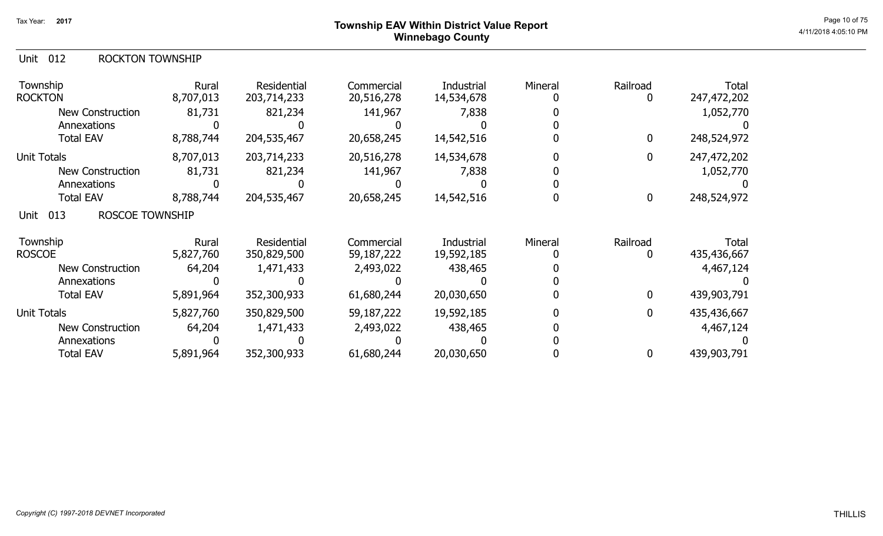# ${\sf Township~EAV~Within~District~Value~Report} \nonumber \hspace{5.5cm} \textrm{Page 10 of 75} \nonumber$ Winnebago County

### Unit 012 ROCKTON TOWNSHIP

| Township<br><b>ROCKTON</b>            | Rural<br>8,707,013 | Residential<br>203,714,233 | Commercial<br>20,516,278 | <b>Industrial</b><br>14,534,678 | Mineral | Railroad<br>0 | <b>Total</b><br>247,472,202 |
|---------------------------------------|--------------------|----------------------------|--------------------------|---------------------------------|---------|---------------|-----------------------------|
| New Construction                      | 81,731             | 821,234                    | 141,967                  | 7,838                           |         |               | 1,052,770                   |
| Annexations                           |                    |                            |                          |                                 |         |               |                             |
| <b>Total EAV</b>                      | 8,788,744          | 204,535,467                | 20,658,245               | 14,542,516                      |         | 0             | 248,524,972                 |
| <b>Unit Totals</b>                    | 8,707,013          | 203,714,233                | 20,516,278               | 14,534,678                      |         | 0             | 247,472,202                 |
| <b>New Construction</b>               | 81,731             | 821,234                    | 141,967                  | 7,838                           |         |               | 1,052,770                   |
| Annexations                           |                    |                            |                          |                                 |         |               |                             |
| <b>Total EAV</b>                      | 8,788,744          | 204,535,467                | 20,658,245               | 14,542,516                      |         | $\bf{0}$      | 248,524,972                 |
| 013<br><b>ROSCOE TOWNSHIP</b><br>Unit |                    |                            |                          |                                 |         |               |                             |
| Township                              | Rural              | Residential                | Commercial               | Industrial                      | Mineral | Railroad      | Total                       |
| <b>ROSCOE</b>                         | 5,827,760          | 350,829,500                | 59,187,222               | 19,592,185                      |         | 0             | 435,436,667                 |
| <b>New Construction</b>               | 64,204             | 1,471,433                  | 2,493,022                | 438,465                         |         |               | 4,467,124                   |
| Annexations                           |                    |                            |                          |                                 |         |               |                             |
| <b>Total EAV</b>                      | 5,891,964          | 352,300,933                | 61,680,244               | 20,030,650                      |         | $\bf{0}$      | 439,903,791                 |
| <b>Unit Totals</b>                    | 5,827,760          | 350,829,500                | 59,187,222               | 19,592,185                      |         | $\mathbf 0$   | 435,436,667                 |
| <b>New Construction</b>               | 64,204             | 1,471,433                  | 2,493,022                | 438,465                         |         |               | 4,467,124                   |
| Annexations                           |                    |                            |                          |                                 |         |               |                             |
| <b>Total EAV</b>                      | 5,891,964          | 352,300,933                | 61,680,244               | 20,030,650                      |         | 0             | 439,903,791                 |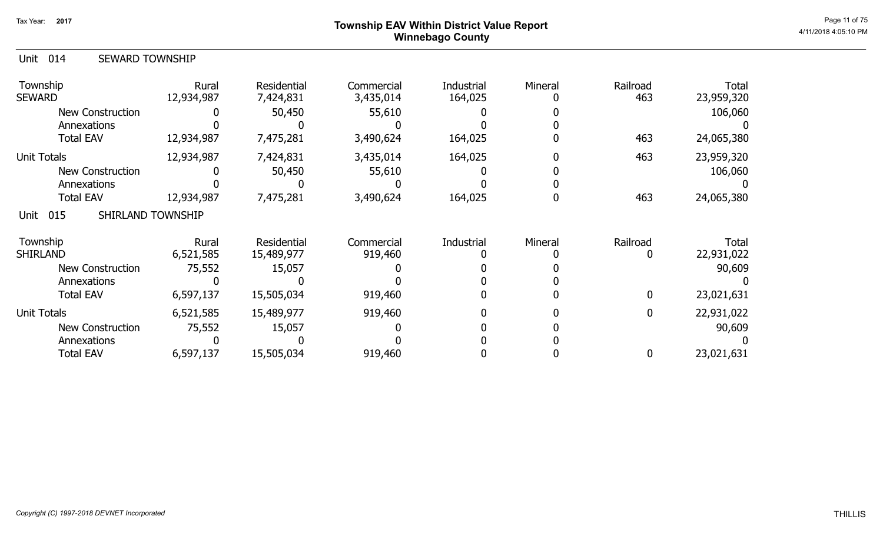### ${\sf Township}$   ${\sf EAV}$  Within District Value Report  $^{\sf Page\ 11\ of\ 75}$ Winnebago County

| <b>SEWARD TOWNSHIP</b><br>Unit 014 |
|------------------------------------|
|------------------------------------|

| Township<br><b>SEWARD</b>        | Rural<br>12,934,987 | <b>Residential</b><br>7,424,831 | Commercial<br>3,435,014 | Industrial<br>164,025 | Mineral | Railroad<br>463 | Total<br>23,959,320 |
|----------------------------------|---------------------|---------------------------------|-------------------------|-----------------------|---------|-----------------|---------------------|
| <b>New Construction</b>          |                     | 50,450                          | 55,610                  |                       |         |                 | 106,060             |
| Annexations                      |                     |                                 |                         |                       |         |                 |                     |
| <b>Total EAV</b>                 | 12,934,987          | 7,475,281                       | 3,490,624               | 164,025               |         | 463             | 24,065,380          |
| <b>Unit Totals</b>               | 12,934,987          | 7,424,831                       | 3,435,014               | 164,025               |         | 463             | 23,959,320          |
| <b>New Construction</b>          |                     | 50,450                          | 55,610                  |                       |         |                 | 106,060             |
| Annexations                      |                     |                                 |                         |                       |         |                 |                     |
| <b>Total EAV</b>                 | 12,934,987          | 7,475,281                       | 3,490,624               | 164,025               |         | 463             | 24,065,380          |
| 015<br>SHIRLAND TOWNSHIP<br>Unit |                     |                                 |                         |                       |         |                 |                     |
| Township                         | Rural               | Residential                     | Commercial              | Industrial            | Mineral | Railroad        | Total               |
| <b>SHIRLAND</b>                  | 6,521,585           | 15,489,977                      | 919,460                 |                       |         |                 | 22,931,022          |
| <b>New Construction</b>          | 75,552              | 15,057                          |                         |                       |         |                 | 90,609              |
| Annexations                      |                     |                                 |                         |                       |         |                 |                     |
| <b>Total EAV</b>                 | 6,597,137           | 15,505,034                      | 919,460                 |                       |         | $\mathbf 0$     | 23,021,631          |
| <b>Unit Totals</b>               | 6,521,585           | 15,489,977                      | 919,460                 |                       |         |                 | 22,931,022          |
| <b>New Construction</b>          | 75,552              | 15,057                          |                         |                       |         |                 | 90,609              |
| Annexations                      |                     |                                 |                         |                       |         |                 |                     |
| <b>Total EAV</b>                 | 6,597,137           | 15,505,034                      | 919,460                 |                       |         |                 | 23,021,631          |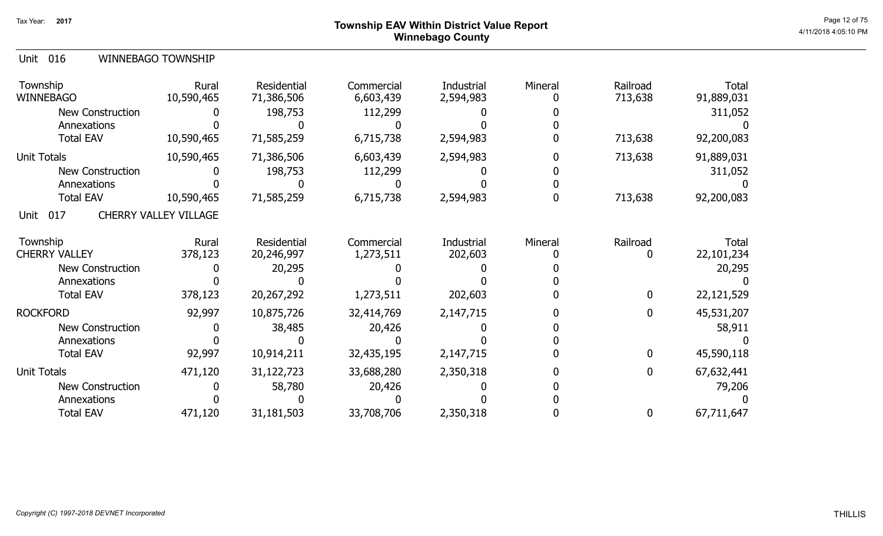### ${\sf Township~EAV~Within~District~Value~Report} \nonumber \hspace{5.5cm} \textrm{Page 12 of 75} \nonumber$ Winnebago County

| Unit 016 | <b>WINNEBAGO TOWNSHIP</b> |
|----------|---------------------------|
|          |                           |

| Township<br><b>WINNEBAGO</b> | Rural<br>10,590,465          | Residential<br>71,386,506 | Commercial<br>6,603,439 | Industrial<br>2,594,983 | Mineral | Railroad<br>713,638 | <b>Total</b><br>91,889,031 |
|------------------------------|------------------------------|---------------------------|-------------------------|-------------------------|---------|---------------------|----------------------------|
| <b>New Construction</b>      |                              | 198,753                   | 112,299                 |                         |         |                     | 311,052                    |
| Annexations                  |                              |                           |                         |                         |         |                     |                            |
| <b>Total EAV</b>             | 10,590,465                   | 71,585,259                | 6,715,738               | 2,594,983               |         | 713,638             | 92,200,083                 |
| <b>Unit Totals</b>           | 10,590,465                   | 71,386,506                | 6,603,439               | 2,594,983               |         | 713,638             | 91,889,031                 |
| <b>New Construction</b>      |                              | 198,753                   | 112,299                 |                         |         |                     | 311,052                    |
| Annexations                  |                              |                           |                         |                         |         |                     |                            |
| <b>Total EAV</b>             | 10,590,465                   | 71,585,259                | 6,715,738               | 2,594,983               |         | 713,638             | 92,200,083                 |
| 017<br>Unit                  | <b>CHERRY VALLEY VILLAGE</b> |                           |                         |                         |         |                     |                            |
| Township                     | Rural                        | Residential               | Commercial              | Industrial              | Mineral | Railroad            | Total                      |
| <b>CHERRY VALLEY</b>         | 378,123                      | 20,246,997                | 1,273,511               | 202,603                 |         | 0                   | 22,101,234                 |
| <b>New Construction</b>      |                              | 20,295                    |                         |                         |         |                     | 20,295                     |
| Annexations                  |                              |                           |                         |                         |         |                     |                            |
| <b>Total EAV</b>             | 378,123                      | 20,267,292                | 1,273,511               | 202,603                 |         | $\bf{0}$            | 22,121,529                 |
| <b>ROCKFORD</b>              | 92,997                       | 10,875,726                | 32,414,769              | 2,147,715               |         | $\bf{0}$            | 45,531,207                 |
| <b>New Construction</b>      |                              | 38,485                    | 20,426                  |                         |         |                     | 58,911                     |
| Annexations                  |                              |                           |                         |                         |         |                     |                            |
| <b>Total EAV</b>             | 92,997                       | 10,914,211                | 32,435,195              | 2,147,715               |         | $\bf{0}$            | 45,590,118                 |
| <b>Unit Totals</b>           | 471,120                      | 31,122,723                | 33,688,280              | 2,350,318               |         | $\mathbf 0$         | 67,632,441                 |
| <b>New Construction</b>      |                              | 58,780                    | 20,426                  |                         |         |                     | 79,206                     |
| Annexations                  |                              |                           |                         |                         |         |                     |                            |
| <b>Total EAV</b>             | 471,120                      | 31,181,503                | 33,708,706              | 2,350,318               |         | 0                   | 67,711,647                 |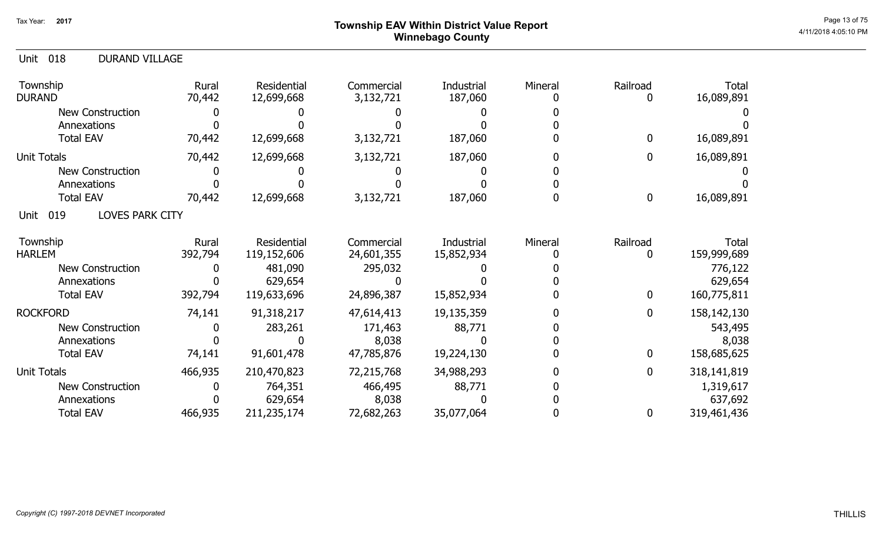### ${\sf Township}$   ${\sf EAV}$  Within District Value Report  $^{\sf Page~13~of~75}$ Winnebago County

| 018<br><b>DURAND VILLAGE</b><br>Unit  |                  |                            |                          |                          |         |                  |                      |
|---------------------------------------|------------------|----------------------------|--------------------------|--------------------------|---------|------------------|----------------------|
| Township<br><b>DURAND</b>             | Rural<br>70,442  | Residential<br>12,699,668  | Commercial<br>3,132,721  | Industrial<br>187,060    | Mineral | Railroad<br>0    | Total<br>16,089,891  |
| <b>New Construction</b>               |                  |                            |                          |                          |         |                  |                      |
| Annexations                           |                  |                            |                          |                          |         |                  |                      |
| <b>Total EAV</b>                      | 70,442           | 12,699,668                 | 3,132,721                | 187,060                  |         | $\mathbf 0$      | 16,089,891           |
| <b>Unit Totals</b>                    | 70,442           | 12,699,668                 | 3,132,721                | 187,060                  |         | 0                | 16,089,891           |
| <b>New Construction</b>               |                  |                            |                          |                          |         |                  |                      |
| Annexations                           |                  |                            |                          |                          |         |                  |                      |
| <b>Total EAV</b>                      | 70,442           | 12,699,668                 | 3,132,721                | 187,060                  |         | $\boldsymbol{0}$ | 16,089,891           |
| 019<br><b>LOVES PARK CITY</b><br>Unit |                  |                            |                          |                          |         |                  |                      |
| Township<br><b>HARLEM</b>             | Rural<br>392,794 | Residential<br>119,152,606 | Commercial<br>24,601,355 | Industrial<br>15,852,934 | Mineral | Railroad<br>0    | Total<br>159,999,689 |
| <b>New Construction</b>               |                  | 481,090                    | 295,032                  |                          |         |                  | 776,122              |
| Annexations                           |                  | 629,654                    |                          |                          |         |                  | 629,654              |
| <b>Total EAV</b>                      | 392,794          | 119,633,696                | 24,896,387               | 15,852,934               |         | $\mathbf 0$      | 160,775,811          |
| <b>ROCKFORD</b>                       | 74,141           | 91,318,217                 | 47,614,413               | 19,135,359               |         | $\boldsymbol{0}$ | 158,142,130          |
| <b>New Construction</b>               |                  | 283,261                    | 171,463                  | 88,771                   |         |                  | 543,495              |
| Annexations                           |                  |                            | 8,038                    |                          |         |                  | 8,038                |
| <b>Total EAV</b>                      | 74,141           | 91,601,478                 | 47,785,876               | 19,224,130               |         | $\mathbf{0}$     | 158,685,625          |
| <b>Unit Totals</b>                    | 466,935          | 210,470,823                | 72,215,768               | 34,988,293               |         | $\boldsymbol{0}$ | 318,141,819          |
| <b>New Construction</b>               |                  | 764,351                    | 466,495                  | 88,771                   |         |                  | 1,319,617            |
| Annexations                           |                  | 629,654                    | 8,038                    |                          |         |                  | 637,692              |
| <b>Total EAV</b>                      | 466,935          | 211,235,174                | 72,682,263               | 35,077,064               |         | 0                | 319,461,436          |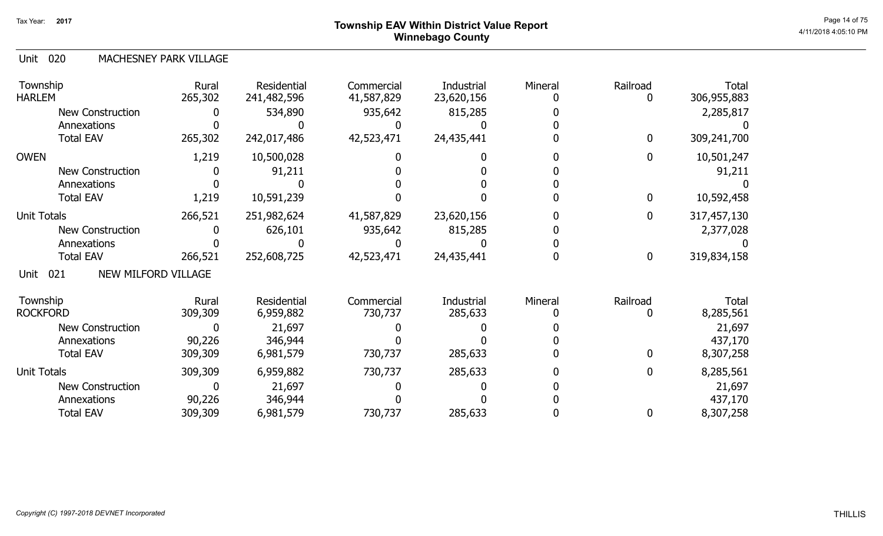# ${\sf Township~EAV~Within~District~Value~Report} \nonumber \hspace{5.5cm} \textrm{Page~14 of 75} \nonumber$ Winnebago County

#### 020 Unit MACHESNEY PARK VILLAGE

| Township<br><b>HARLEM</b>                 | Rural<br>265,302 | Residential<br>241,482,596 | Commercial<br>41,587,829 | Industrial<br>23,620,156 | Mineral | Railroad         | Total<br>306,955,883 |
|-------------------------------------------|------------------|----------------------------|--------------------------|--------------------------|---------|------------------|----------------------|
| <b>New Construction</b>                   |                  | 534,890                    | 935,642                  | 815,285                  |         |                  | 2,285,817            |
| Annexations                               |                  |                            |                          |                          |         |                  |                      |
| <b>Total EAV</b>                          | 265,302          | 242,017,486                | 42,523,471               | 24,435,441               |         | $\mathbf 0$      | 309,241,700          |
| <b>OWEN</b>                               | 1,219            | 10,500,028                 |                          |                          |         | $\mathbf 0$      | 10,501,247           |
| <b>New Construction</b>                   |                  | 91,211                     |                          |                          |         |                  | 91,211               |
| Annexations                               |                  |                            |                          |                          |         |                  |                      |
| <b>Total EAV</b>                          | 1,219            | 10,591,239                 |                          |                          |         | $\mathbf 0$      | 10,592,458           |
| <b>Unit Totals</b>                        | 266,521          | 251,982,624                | 41,587,829               | 23,620,156               |         | $\mathbf 0$      | 317,457,130          |
| <b>New Construction</b>                   |                  | 626,101                    | 935,642                  | 815,285                  |         |                  | 2,377,028            |
| Annexations                               |                  |                            |                          |                          |         |                  |                      |
| <b>Total EAV</b>                          | 266,521          | 252,608,725                | 42,523,471               | 24,435,441               |         | $\boldsymbol{0}$ | 319,834,158          |
| <b>NEW MILFORD VILLAGE</b><br>021<br>Unit |                  |                            |                          |                          |         |                  |                      |
| Township                                  | Rural            | Residential                | Commercial               | Industrial               | Mineral | Railroad         | Total                |
| <b>ROCKFORD</b>                           | 309,309          | 6,959,882                  | 730,737                  | 285,633                  |         |                  | 8,285,561            |
| <b>New Construction</b>                   |                  | 21,697                     |                          |                          |         |                  | 21,697               |
| Annexations                               | 90,226           | 346,944                    |                          |                          |         |                  | 437,170              |
| <b>Total EAV</b>                          | 309,309          | 6,981,579                  | 730,737                  | 285,633                  |         | $\mathbf{0}$     | 8,307,258            |
| <b>Unit Totals</b>                        | 309,309          | 6,959,882                  | 730,737                  | 285,633                  |         | $\mathbf 0$      | 8,285,561            |
| <b>New Construction</b>                   |                  | 21,697                     |                          |                          |         |                  | 21,697               |
| Annexations                               | 90,226           | 346,944                    |                          |                          |         |                  | 437,170              |
| <b>Total EAV</b>                          | 309,309          | 6,981,579                  | 730,737                  | 285,633                  |         | 0                | 8,307,258            |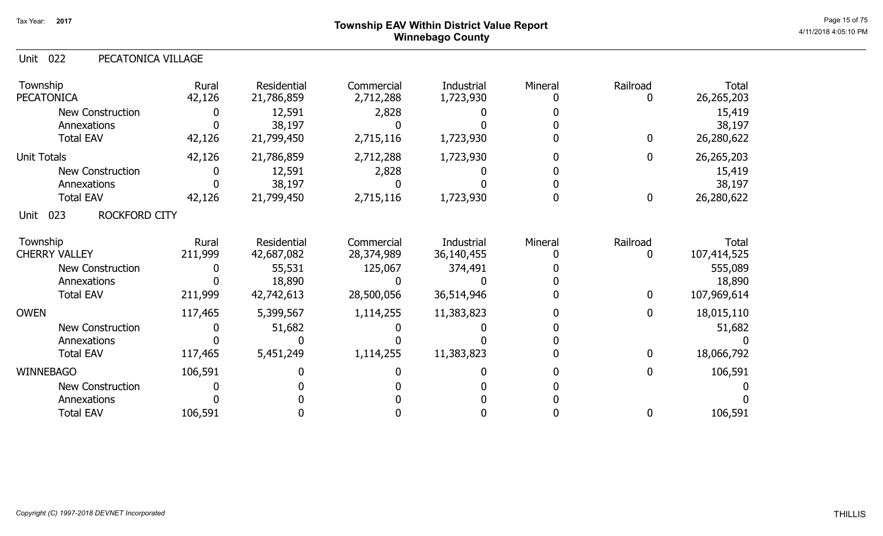# ${\sf Township}$   ${\sf EAV}$  Within District Value Report  $^{\sf Page\ 15\ of\ 75}$ Winnebago County

### Unit 022 PECATONICA VILLAGE

| Township<br><b>PECATONICA</b>       | Rural<br>42,126 | <b>Residential</b><br>21,786,859 | Commercial<br>2,712,288 | Industrial<br>1,723,930 | Mineral | Railroad         | Total<br>26,265,203 |
|-------------------------------------|-----------------|----------------------------------|-------------------------|-------------------------|---------|------------------|---------------------|
| <b>New Construction</b>             |                 | 12,591                           | 2,828                   |                         |         |                  | 15,419              |
| Annexations                         |                 | 38,197                           |                         |                         |         |                  | 38,197              |
| <b>Total EAV</b>                    | 42,126          | 21,799,450                       | 2,715,116               | 1,723,930               |         | $\mathbf 0$      | 26,280,622          |
| <b>Unit Totals</b>                  | 42,126          | 21,786,859                       | 2,712,288               | 1,723,930               |         | $\mathbf{0}$     | 26,265,203          |
| <b>New Construction</b>             |                 | 12,591                           | 2,828                   |                         |         |                  | 15,419              |
| Annexations                         |                 | 38,197                           |                         |                         |         |                  | 38,197              |
| <b>Total EAV</b>                    | 42,126          | 21,799,450                       | 2,715,116               | 1,723,930               |         | $\boldsymbol{0}$ | 26,280,622          |
| 023<br><b>ROCKFORD CITY</b><br>Unit |                 |                                  |                         |                         |         |                  |                     |
| Township                            | Rural           | Residential                      | Commercial              | Industrial              | Mineral | Railroad         | Total               |
| <b>CHERRY VALLEY</b>                | 211,999         | 42,687,082                       | 28,374,989              | 36,140,455              |         |                  | 107,414,525         |
| <b>New Construction</b>             |                 | 55,531                           | 125,067                 | 374,491                 |         |                  | 555,089             |
| Annexations                         |                 | 18,890                           |                         |                         |         |                  | 18,890              |
| <b>Total EAV</b>                    | 211,999         | 42,742,613                       | 28,500,056              | 36,514,946              |         | $\mathbf 0$      | 107,969,614         |
| <b>OWEN</b>                         | 117,465         | 5,399,567                        | 1,114,255               | 11,383,823              |         | $\mathbf 0$      | 18,015,110          |
| <b>New Construction</b>             |                 | 51,682                           |                         |                         |         |                  | 51,682              |
| Annexations                         |                 |                                  |                         |                         |         |                  |                     |
| <b>Total EAV</b>                    | 117,465         | 5,451,249                        | 1,114,255               | 11,383,823              |         | $\mathbf{0}$     | 18,066,792          |
| <b>WINNEBAGO</b>                    | 106,591         |                                  |                         |                         |         | 0                | 106,591             |
| New Construction                    |                 |                                  |                         |                         |         |                  |                     |
| Annexations                         |                 |                                  |                         |                         |         |                  |                     |
| <b>Total EAV</b>                    | 106,591         |                                  |                         |                         |         | 0                | 106,591             |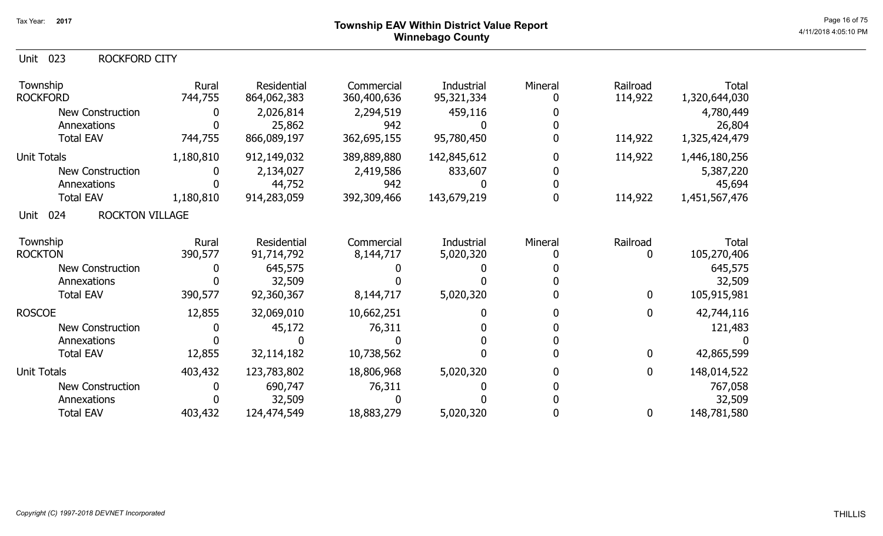### ${\sf Township~EAV~Within~District~Value~Report} \nonumber \hspace{5.5cm} \textrm{Page~16 of 75} \nonumber$ Winnebago County

### Unit 023 ROCKFORD CITY

| Township<br><b>ROCKFORD</b>           | Rural<br>744,755 | Residential<br>864,062,383 | Commercial<br>360,400,636 | Industrial<br>95,321,334 | Mineral | Railroad<br>114,922 | Total<br>1,320,644,030 |
|---------------------------------------|------------------|----------------------------|---------------------------|--------------------------|---------|---------------------|------------------------|
| <b>New Construction</b>               |                  | 2,026,814                  | 2,294,519                 | 459,116                  |         |                     | 4,780,449              |
| Annexations                           |                  | 25,862                     | 942                       |                          |         |                     | 26,804                 |
| <b>Total EAV</b>                      | 744,755          | 866,089,197                | 362,695,155               | 95,780,450               |         | 114,922             | 1,325,424,479          |
| <b>Unit Totals</b>                    | 1,180,810        | 912,149,032                | 389,889,880               | 142,845,612              |         | 114,922             | 1,446,180,256          |
| New Construction                      |                  | 2,134,027                  | 2,419,586                 | 833,607                  |         |                     | 5,387,220              |
| Annexations                           |                  | 44,752                     | 942                       |                          |         |                     | 45,694                 |
| <b>Total EAV</b>                      | 1,180,810        | 914,283,059                | 392,309,466               | 143,679,219              |         | 114,922             | 1,451,567,476          |
| 024<br><b>ROCKTON VILLAGE</b><br>Unit |                  |                            |                           |                          |         |                     |                        |
| Township                              | Rural            | Residential                | Commercial                | Industrial               | Mineral | Railroad            | Total                  |
| <b>ROCKTON</b>                        | 390,577          | 91,714,792                 | 8,144,717                 | 5,020,320                |         |                     | 105,270,406            |
| New Construction                      |                  | 645,575                    |                           |                          |         |                     | 645,575                |
| Annexations                           |                  | 32,509                     |                           |                          |         |                     | 32,509                 |
| <b>Total EAV</b>                      | 390,577          | 92,360,367                 | 8,144,717                 | 5,020,320                |         | $\boldsymbol{0}$    | 105,915,981            |
| <b>ROSCOE</b>                         | 12,855           | 32,069,010                 | 10,662,251                |                          |         | 0                   | 42,744,116             |
| <b>New Construction</b>               |                  | 45,172                     | 76,311                    |                          |         |                     | 121,483                |
| Annexations                           |                  |                            |                           |                          |         |                     |                        |
| <b>Total EAV</b>                      | 12,855           | 32,114,182                 | 10,738,562                |                          |         | $\mathbf{0}$        | 42,865,599             |
| <b>Unit Totals</b>                    | 403,432          | 123,783,802                | 18,806,968                | 5,020,320                |         | $\mathbf{0}$        | 148,014,522            |
| New Construction                      |                  | 690,747                    | 76,311                    |                          |         |                     | 767,058                |
| Annexations                           |                  | 32,509                     |                           |                          |         |                     | 32,509                 |
| <b>Total EAV</b>                      | 403,432          | 124,474,549                | 18,883,279                | 5,020,320                |         | $\mathbf 0$         | 148,781,580            |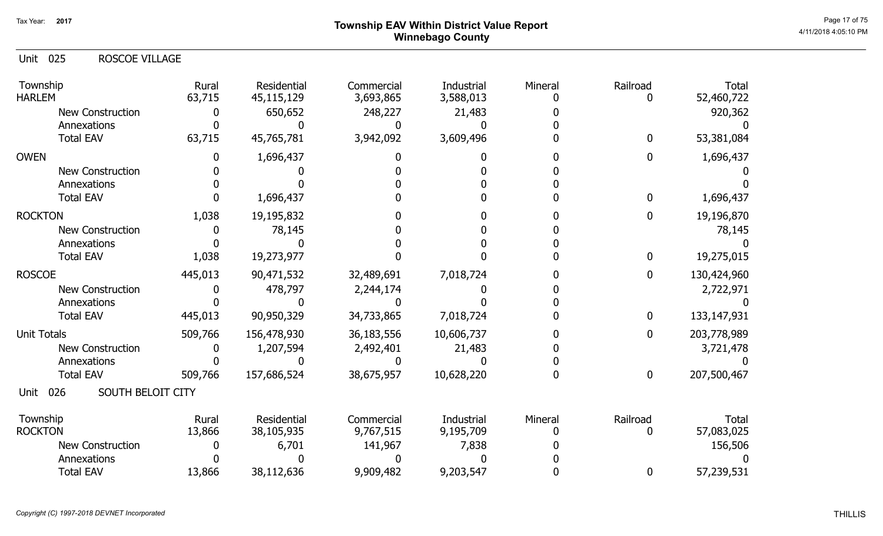# ${\sf Township~EAV~Within~District~Value~Report} \nonumber \hspace{5.5cm} \textrm{Page 17 of 75} \nonumber$ Winnebago County

| ROSCOE VILLAGE<br>025<br>Unit    |                 |                           |                         |                         |         |                  |                     |
|----------------------------------|-----------------|---------------------------|-------------------------|-------------------------|---------|------------------|---------------------|
| Township<br><b>HARLEM</b>        | Rural<br>63,715 | Residential<br>45,115,129 | Commercial<br>3,693,865 | Industrial<br>3,588,013 | Mineral | Railroad         | Total<br>52,460,722 |
| <b>New Construction</b>          | 0               | 650,652                   | 248,227                 | 21,483                  |         |                  | 920,362             |
| Annexations                      |                 |                           |                         |                         |         |                  |                     |
| <b>Total EAV</b>                 | 63,715          | 45,765,781                | 3,942,092               | 3,609,496               |         | $\mathbf 0$      | 53,381,084          |
| <b>OWEN</b>                      |                 | 1,696,437                 |                         |                         |         | $\mathbf 0$      | 1,696,437           |
| <b>New Construction</b>          |                 |                           |                         |                         |         |                  |                     |
| Annexations                      |                 |                           |                         |                         |         |                  |                     |
| <b>Total EAV</b>                 | $\mathbf{0}$    | 1,696,437                 |                         |                         |         | $\mathbf 0$      | 1,696,437           |
| <b>ROCKTON</b>                   | 1,038           | 19,195,832                |                         |                         |         | $\mathbf 0$      | 19,196,870          |
| <b>New Construction</b>          |                 | 78,145                    |                         |                         |         |                  | 78,145              |
| Annexations                      |                 |                           |                         |                         |         |                  |                     |
| <b>Total EAV</b>                 | 1,038           | 19,273,977                |                         |                         |         | $\boldsymbol{0}$ | 19,275,015          |
| <b>ROSCOE</b>                    | 445,013         | 90,471,532                | 32,489,691              | 7,018,724               |         | $\mathbf 0$      | 130,424,960         |
| <b>New Construction</b>          |                 | 478,797                   | 2,244,174               |                         |         |                  | 2,722,971           |
| Annexations                      |                 |                           |                         |                         |         |                  |                     |
| <b>Total EAV</b>                 | 445,013         | 90,950,329                | 34,733,865              | 7,018,724               |         | $\bf{0}$         | 133, 147, 931       |
| <b>Unit Totals</b>               | 509,766         | 156,478,930               | 36,183,556              | 10,606,737              |         | $\mathbf{0}$     | 203,778,989         |
| <b>New Construction</b>          |                 | 1,207,594                 | 2,492,401               | 21,483                  |         |                  | 3,721,478           |
| Annexations                      |                 |                           |                         |                         |         |                  |                     |
| <b>Total EAV</b>                 | 509,766         | 157,686,524               | 38,675,957              | 10,628,220              |         | $\mathbf 0$      | 207,500,467         |
| 026<br>SOUTH BELOIT CITY<br>Unit |                 |                           |                         |                         |         |                  |                     |
| Township                         | Rural           | Residential               | Commercial              | Industrial              | Mineral | Railroad         | Total               |
| <b>ROCKTON</b>                   | 13,866          | 38,105,935                | 9,767,515               | 9,195,709               |         | 0                | 57,083,025          |
| <b>New Construction</b>          |                 | 6,701                     | 141,967                 | 7,838                   |         |                  | 156,506             |
| Annexations                      |                 |                           |                         |                         |         |                  |                     |
| <b>Total EAV</b>                 | 13,866          | 38,112,636                | 9,909,482               | 9,203,547               |         | $\boldsymbol{0}$ | 57,239,531          |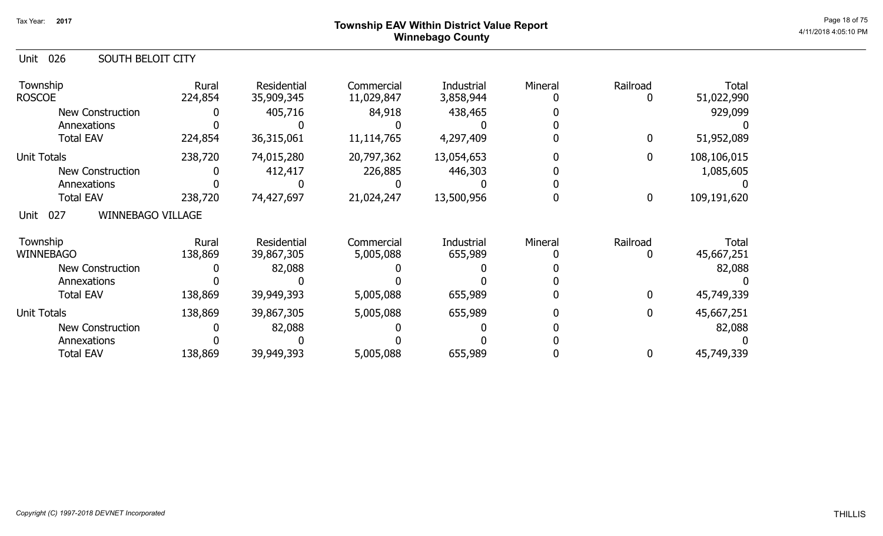# ${\sf Township~EAV~Within~District~Value~Report} \nonumber \hspace{5.5cm} \textrm{Page 18 of 75} \nonumber$ Winnebago County

| 026<br><b>SOUTH BELOIT CITY</b><br>Unit |                  |                           |                          |                         |         |                |                     |
|-----------------------------------------|------------------|---------------------------|--------------------------|-------------------------|---------|----------------|---------------------|
| Township<br><b>ROSCOE</b>               | Rural<br>224,854 | Residential<br>35,909,345 | Commercial<br>11,029,847 | Industrial<br>3,858,944 | Mineral | Railroad       | Total<br>51,022,990 |
| <b>New Construction</b>                 |                  | 405,716                   | 84,918                   | 438,465                 |         |                | 929,099             |
| Annexations                             |                  |                           |                          |                         |         |                |                     |
| <b>Total EAV</b>                        | 224,854          | 36,315,061                | 11,114,765               | 4,297,409               |         | 0              | 51,952,089          |
| <b>Unit Totals</b>                      | 238,720          | 74,015,280                | 20,797,362               | 13,054,653              |         | $\overline{0}$ | 108,106,015         |
| <b>New Construction</b>                 |                  | 412,417                   | 226,885                  | 446,303                 |         |                | 1,085,605           |
| Annexations                             |                  |                           |                          |                         |         |                |                     |
| <b>Total EAV</b>                        | 238,720          | 74,427,697                | 21,024,247               | 13,500,956              |         | 0              | 109,191,620         |
| <b>WINNEBAGO VILLAGE</b><br>027<br>Unit |                  |                           |                          |                         |         |                |                     |
| Township                                | Rural            | Residential               | Commercial               | Industrial              | Mineral | Railroad       | Total               |
| <b>WINNEBAGO</b>                        | 138,869          | 39,867,305                | 5,005,088                | 655,989                 |         |                | 45,667,251          |
| <b>New Construction</b>                 |                  | 82,088                    |                          |                         |         |                | 82,088              |
| Annexations                             |                  |                           |                          |                         |         |                |                     |
| <b>Total EAV</b>                        | 138,869          | 39,949,393                | 5,005,088                | 655,989                 |         | $\mathbf{0}$   | 45,749,339          |
| Unit Totals                             | 138,869          | 39,867,305                | 5,005,088                | 655,989                 |         | 0              | 45,667,251          |
| <b>New Construction</b>                 |                  | 82,088                    |                          |                         |         |                | 82,088              |
| Annexations                             |                  |                           |                          |                         |         |                |                     |
| <b>Total EAV</b>                        | 138,869          | 39,949,393                | 5,005,088                | 655,989                 |         | 0              | 45,749,339          |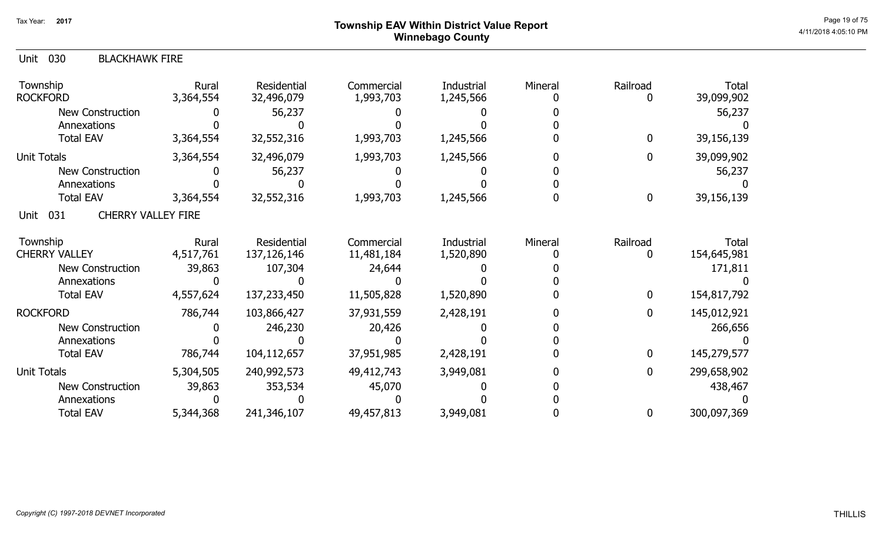# Page 19 of 75<br>Page 19 of 75 Page 19 of 75 Winnebago County

| <b>Unit 030</b><br><b>BLACKHAWK FIRE</b> |                    |                            |                          |                                |         |               |                      |
|------------------------------------------|--------------------|----------------------------|--------------------------|--------------------------------|---------|---------------|----------------------|
| Township<br><b>ROCKFORD</b>              | Rural<br>3,364,554 | Residential<br>32,496,079  | Commercial<br>1,993,703  | Industrial<br>1,245,566        | Mineral | Railroad<br>0 | Total<br>39,099,902  |
| <b>New Construction</b>                  |                    | 56,237                     |                          |                                |         |               | 56,237               |
| Annexations                              |                    |                            |                          |                                |         |               |                      |
| <b>Total EAV</b>                         | 3,364,554          | 32,552,316                 | 1,993,703                | 1,245,566                      |         | $\mathbf 0$   | 39,156,139           |
| Unit Totals                              | 3,364,554          | 32,496,079                 | 1,993,703                | 1,245,566                      |         | 0             | 39,099,902           |
| <b>New Construction</b>                  |                    | 56,237                     |                          |                                |         |               | 56,237               |
| Annexations                              |                    |                            |                          |                                |         |               |                      |
| <b>Total EAV</b>                         | 3,364,554          | 32,552,316                 | 1,993,703                | 1,245,566                      |         | 0             | 39,156,139           |
| <b>CHERRY VALLEY FIRE</b><br>031<br>Unit |                    |                            |                          |                                |         |               |                      |
| Township<br><b>CHERRY VALLEY</b>         | Rural<br>4,517,761 | Residential<br>137,126,146 | Commercial<br>11,481,184 | <b>Industrial</b><br>1,520,890 | Mineral | Railroad<br>0 | Total<br>154,645,981 |
| <b>New Construction</b>                  | 39,863             | 107,304                    | 24,644                   |                                |         |               | 171,811              |
| Annexations                              |                    |                            |                          |                                |         |               |                      |
| <b>Total EAV</b>                         | 4,557,624          | 137,233,450                | 11,505,828               | 1,520,890                      |         | $\mathbf 0$   | 154,817,792          |
| <b>ROCKFORD</b>                          | 786,744            | 103,866,427                | 37,931,559               | 2,428,191                      |         | $\mathbf 0$   | 145,012,921          |
| New Construction                         |                    | 246,230                    | 20,426                   |                                |         |               | 266,656              |
| Annexations                              |                    |                            |                          |                                |         |               |                      |
| <b>Total EAV</b>                         | 786,744            | 104,112,657                | 37,951,985               | 2,428,191                      |         | 0             | 145,279,577          |
| Unit Totals                              | 5,304,505          | 240,992,573                | 49,412,743               | 3,949,081                      |         | $\mathbf{0}$  | 299,658,902          |
| New Construction                         | 39,863             | 353,534                    | 45,070                   |                                |         |               | 438,467              |
| Annexations                              |                    |                            |                          |                                |         |               |                      |
| <b>Total EAV</b>                         | 5,344,368          | 241,346,107                | 49,457,813               | 3,949,081                      |         | 0             | 300,097,369          |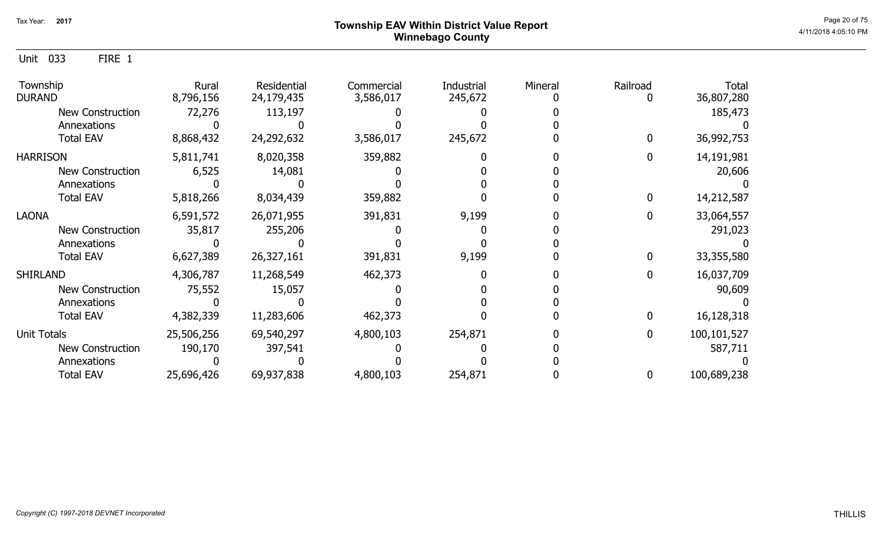Unit 033 FIRE 1

| Township<br><b>DURAND</b> | Rural<br>8,796,156 | Residential<br>24,179,435 | Commercial<br>3,586,017 | Industrial<br>245,672 | Mineral | Railroad | <b>Total</b><br>36,807,280 |
|---------------------------|--------------------|---------------------------|-------------------------|-----------------------|---------|----------|----------------------------|
| New Construction          | 72,276             | 113,197                   |                         |                       |         |          | 185,473                    |
| Annexations               |                    |                           |                         |                       |         |          |                            |
| <b>Total EAV</b>          | 8,868,432          | 24,292,632                | 3,586,017               | 245,672               |         |          | 36,992,753                 |
| <b>HARRISON</b>           | 5,811,741          | 8,020,358                 | 359,882                 |                       |         |          | 14,191,981                 |
| <b>New Construction</b>   | 6,525              | 14,081                    |                         |                       |         |          | 20,606                     |
| Annexations               |                    |                           |                         |                       |         |          |                            |
| <b>Total EAV</b>          | 5,818,266          | 8,034,439                 | 359,882                 |                       |         |          | 14,212,587                 |
| <b>LAONA</b>              | 6,591,572          | 26,071,955                | 391,831                 | 9,199                 |         |          | 33,064,557                 |
| New Construction          | 35,817             | 255,206                   |                         |                       |         |          | 291,023                    |
| Annexations               |                    |                           |                         |                       |         |          |                            |
| <b>Total EAV</b>          | 6,627,389          | 26,327,161                | 391,831                 | 9,199                 |         |          | 33,355,580                 |
| <b>SHIRLAND</b>           | 4,306,787          | 11,268,549                | 462,373                 |                       |         |          | 16,037,709                 |
| New Construction          | 75,552             | 15,057                    |                         |                       |         |          | 90,609                     |
| Annexations               |                    |                           |                         |                       |         |          |                            |
| <b>Total EAV</b>          | 4,382,339          | 11,283,606                | 462,373                 |                       |         |          | 16,128,318                 |
| <b>Unit Totals</b>        | 25,506,256         | 69,540,297                | 4,800,103               | 254,871               |         | 0        | 100,101,527                |
| <b>New Construction</b>   | 190,170            | 397,541                   |                         |                       |         |          | 587,711                    |
| Annexations               |                    |                           |                         |                       |         |          |                            |
| <b>Total EAV</b>          | 25,696,426         | 69,937,838                | 4,800,103               | 254,871               |         |          | 100,689,238                |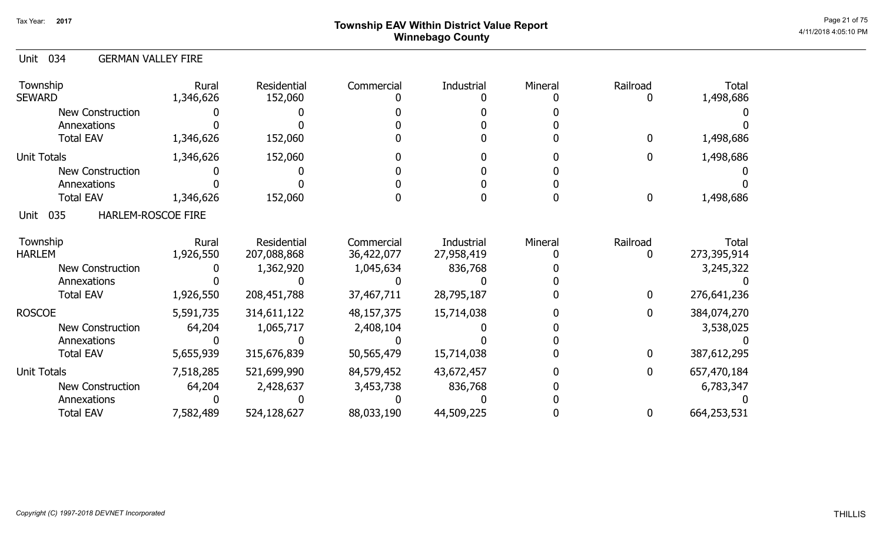# ${\sf Township}$   ${\sf EAV}$  Within District Value Report  $^{\sf Page\ 21\ of\ 75}$ Winnebago County

### Unit 034 GERMAN VALLEY FIRE

| Township<br><b>SEWARD</b>         | Rural<br>1,346,626 | Residential<br>152,060 | Commercial | Industrial | Mineral | Railroad | <b>Total</b><br>1,498,686 |
|-----------------------------------|--------------------|------------------------|------------|------------|---------|----------|---------------------------|
| <b>New Construction</b>           |                    |                        |            |            |         |          |                           |
| Annexations                       |                    |                        |            |            |         |          |                           |
| <b>Total EAV</b>                  | 1,346,626          | 152,060                |            |            |         | 0        | 1,498,686                 |
| <b>Unit Totals</b>                | 1,346,626          | 152,060                |            |            |         | 0        | 1,498,686                 |
| <b>New Construction</b>           |                    |                        |            |            |         |          |                           |
| Annexations                       |                    |                        |            |            |         |          |                           |
| <b>Total EAV</b>                  | 1,346,626          | 152,060                |            |            |         | 0        | 1,498,686                 |
| 035<br>HARLEM-ROSCOE FIRE<br>Unit |                    |                        |            |            |         |          |                           |
| Township                          | Rural              | Residential            | Commercial | Industrial | Mineral | Railroad | <b>Total</b>              |
| <b>HARLEM</b>                     | 1,926,550          | 207,088,868            | 36,422,077 | 27,958,419 |         | O        | 273,395,914               |
| <b>New Construction</b>           |                    | 1,362,920              | 1,045,634  | 836,768    |         |          | 3,245,322                 |
| Annexations                       |                    |                        |            |            |         |          |                           |
| <b>Total EAV</b>                  | 1,926,550          | 208, 451, 788          | 37,467,711 | 28,795,187 |         | 0        | 276,641,236               |
| <b>ROSCOE</b>                     | 5,591,735          | 314,611,122            | 48,157,375 | 15,714,038 |         | 0        | 384,074,270               |
| New Construction                  | 64,204             | 1,065,717              | 2,408,104  |            |         |          | 3,538,025                 |
| Annexations                       |                    |                        |            |            |         |          |                           |
| <b>Total EAV</b>                  | 5,655,939          | 315,676,839            | 50,565,479 | 15,714,038 |         | 0        | 387,612,295               |
| <b>Unit Totals</b>                | 7,518,285          | 521,699,990            | 84,579,452 | 43,672,457 |         | 0        | 657,470,184               |
| <b>New Construction</b>           | 64,204             | 2,428,637              | 3,453,738  | 836,768    |         |          | 6,783,347                 |
| Annexations                       |                    |                        |            |            |         |          |                           |
| <b>Total EAV</b>                  | 7,582,489          | 524,128,627            | 88,033,190 | 44,509,225 |         | 0        | 664,253,531               |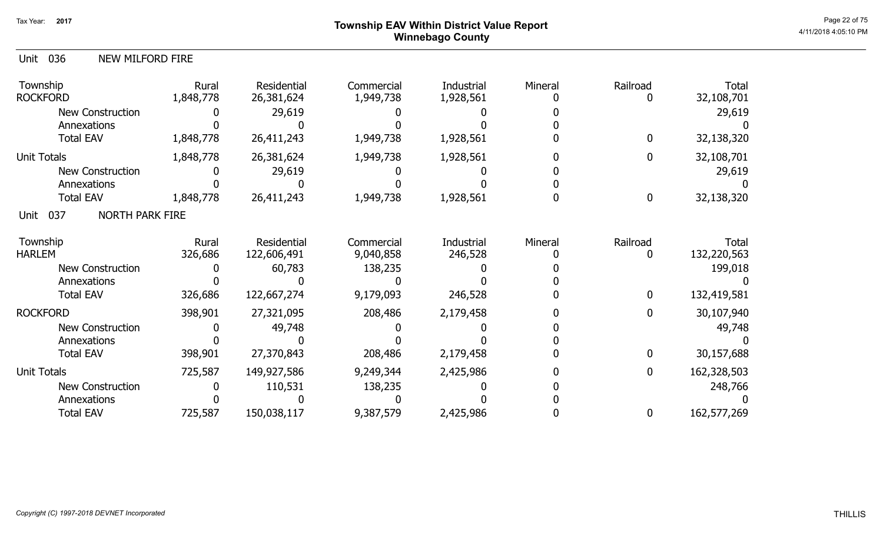# Page 22 of 75 Page 22 of 75 Winnebago County

398,901 27,370,843 208,486 2,179,458 0 0

9,387,579

725,587 150,038,117 9,387,579 2,425,986 0 0 162,577,269

2,425,986

725,587 149,927,586 9,249,344 0 162,328,503

2,425,986

0 110,531 138,235 0 248,766

0 0 0 0 0 0

0

0

0

30,157,688

| 036<br>Unit<br><b>NEW MILFORD FIRE</b> |                    |                           |                         |                         |         |              |                     |
|----------------------------------------|--------------------|---------------------------|-------------------------|-------------------------|---------|--------------|---------------------|
| Township<br><b>ROCKFORD</b>            | Rural<br>1,848,778 | Residential<br>26,381,624 | Commercial<br>1,949,738 | Industrial<br>1,928,561 | Mineral | Railroad     | Total<br>32,108,701 |
| <b>New Construction</b>                |                    | 29,619                    |                         |                         |         |              | 29,619              |
| Annexations                            |                    |                           |                         |                         |         |              |                     |
| <b>Total EAV</b>                       | 1,848,778          | 26,411,243                | 1,949,738               | 1,928,561               |         | $\mathbf{0}$ | 32,138,320          |
| <b>Unit Totals</b>                     | 1,848,778          | 26,381,624                | 1,949,738               | 1,928,561               |         | 0            | 32,108,701          |
| <b>New Construction</b>                |                    | 29,619                    |                         |                         |         |              | 29,619              |
| Annexations                            |                    |                           |                         |                         |         |              |                     |
| <b>Total EAV</b>                       | 1,848,778          | 26,411,243                | 1,949,738               | 1,928,561               |         | 0            | 32,138,320          |
| <b>NORTH PARK FIRE</b><br>037<br>Unit  |                    |                           |                         |                         |         |              |                     |
| Township                               | Rural              | Residential               | Commercial              | Industrial              | Mineral | Railroad     | Total               |
| <b>HARLEM</b>                          | 326,686            | 122,606,491               | 9,040,858               | 246,528                 |         | 0            | 132,220,563         |
| <b>New Construction</b>                |                    | 60,783                    | 138,235                 |                         |         |              | 199,018             |
| Annexations                            |                    |                           |                         |                         |         |              |                     |
| <b>Total EAV</b>                       | 326,686            | 122,667,274               | 9,179,093               | 246,528                 |         | 0            | 132,419,581         |
| <b>ROCKFORD</b>                        | 398,901            | 27,321,095                | 208,486                 | 2,179,458               |         | 0            | 30,107,940          |
| <b>New Construction</b>                |                    | 49,748                    |                         |                         |         |              | 49,748              |
| Annexations                            |                    |                           |                         |                         |         |              |                     |

Total EAV

Annexations Total EAV

New Construction

Unit Totals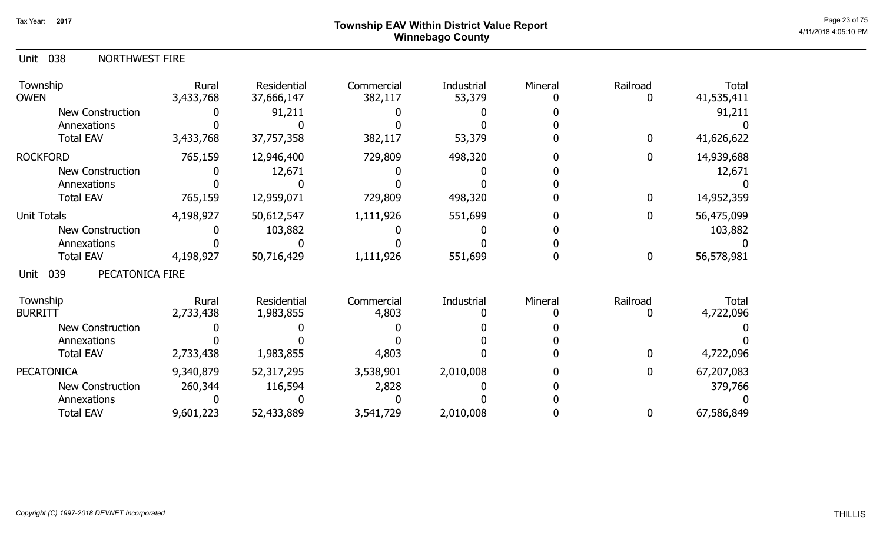# ${\sf Township~EAV~Within~District~Value~Report} \nonumber \hspace{5.5cm} \textrm{Page~23 of 75} \nonumber$ Winnebago County

| Unit 038 | <b>NORTHWEST FIRE</b> |
|----------|-----------------------|
|          |                       |

| Township<br><b>OWEN</b>        | Rural<br>3,433,768 | Residential<br>37,666,147 | Commercial<br>382,117 | Industrial<br>53,379 | Mineral | Railroad     | <b>Total</b><br>41,535,411 |
|--------------------------------|--------------------|---------------------------|-----------------------|----------------------|---------|--------------|----------------------------|
| <b>New Construction</b>        |                    | 91,211                    |                       |                      |         |              | 91,211                     |
| Annexations                    |                    |                           |                       |                      |         |              |                            |
| <b>Total EAV</b>               | 3,433,768          | 37,757,358                | 382,117               | 53,379               |         | $\mathbf{0}$ | 41,626,622                 |
| <b>ROCKFORD</b>                | 765,159            | 12,946,400                | 729,809               | 498,320              |         | 0            | 14,939,688                 |
| <b>New Construction</b>        |                    | 12,671                    |                       |                      |         |              | 12,671                     |
| Annexations                    |                    |                           |                       |                      |         |              |                            |
| <b>Total EAV</b>               | 765,159            | 12,959,071                | 729,809               | 498,320              |         | 0            | 14,952,359                 |
| Unit Totals                    | 4,198,927          | 50,612,547                | 1,111,926             | 551,699              |         | 0            | 56,475,099                 |
| <b>New Construction</b>        |                    | 103,882                   |                       |                      |         |              | 103,882                    |
| Annexations                    |                    |                           |                       |                      |         |              |                            |
| <b>Total EAV</b>               | 4,198,927          | 50,716,429                | 1,111,926             | 551,699              |         | $\bf{0}$     | 56,578,981                 |
| PECATONICA FIRE<br>039<br>Unit |                    |                           |                       |                      |         |              |                            |
| Township                       | Rural              | Residential               | Commercial            | Industrial           | Mineral | Railroad     | Total                      |
| <b>BURRITT</b>                 | 2,733,438          | 1,983,855                 | 4,803                 |                      |         |              | 4,722,096                  |
| <b>New Construction</b>        |                    |                           |                       |                      |         |              |                            |
| Annexations                    |                    |                           |                       |                      |         |              |                            |
| <b>Total EAV</b>               | 2,733,438          | 1,983,855                 | 4,803                 |                      |         | 0            | 4,722,096                  |
| <b>PECATONICA</b>              | 9,340,879          | 52,317,295                | 3,538,901             | 2,010,008            |         | 0            | 67,207,083                 |
| <b>New Construction</b>        | 260,344            | 116,594                   | 2,828                 |                      |         |              | 379,766                    |
| Annexations                    |                    |                           |                       |                      |         |              |                            |
| <b>Total EAV</b>               | 9,601,223          | 52,433,889                | 3,541,729             | 2,010,008            |         | 0            | 67,586,849                 |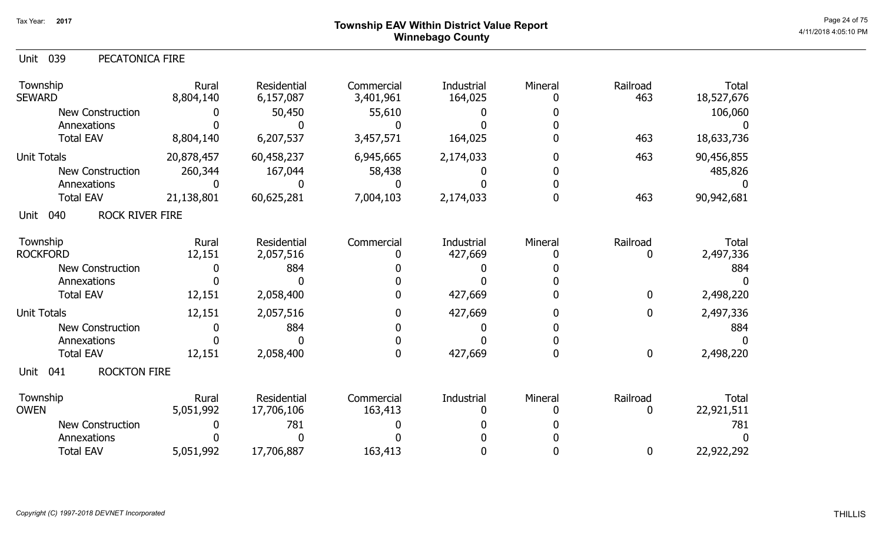# ${\sf Township~EAV~Within~District~Value~Report} \nonumber \hspace{5.5cm} \textrm{Page~24 of 75} \nonumber$ Winnebago County

| Unit 039 | PECATONICA FIRE |
|----------|-----------------|
|----------|-----------------|

| Township<br><b>SEWARD</b>              | Rural<br>8,804,140 | Residential<br>6,157,087  | Commercial<br>3,401,961 | Industrial<br>164,025 | Mineral | Railroad<br>463          | <b>Total</b><br>18,527,676 |
|----------------------------------------|--------------------|---------------------------|-------------------------|-----------------------|---------|--------------------------|----------------------------|
| <b>New Construction</b><br>Annexations |                    | 50,450                    | 55,610                  |                       |         |                          | 106,060                    |
| <b>Total EAV</b>                       | 8,804,140          | 6,207,537                 | 3,457,571               | 164,025               |         | 463                      | 18,633,736                 |
| <b>Unit Totals</b>                     | 20,878,457         | 60,458,237                | 6,945,665               | 2,174,033             |         | 463                      | 90,456,855                 |
| New Construction                       | 260,344            | 167,044                   | 58,438                  |                       |         |                          | 485,826                    |
| Annexations                            |                    |                           |                         |                       |         |                          |                            |
| <b>Total EAV</b>                       | 21,138,801         | 60,625,281                | 7,004,103               | 2,174,033             |         | 463                      | 90,942,681                 |
| <b>ROCK RIVER FIRE</b><br>040<br>Unit  |                    |                           |                         |                       |         |                          |                            |
| Township<br><b>ROCKFORD</b>            | Rural<br>12,151    | Residential<br>2,057,516  | Commercial              | Industrial<br>427,669 | Mineral | Railroad<br>$\mathbf{0}$ | <b>Total</b><br>2,497,336  |
| <b>New Construction</b>                |                    | 884                       |                         |                       |         |                          | 884                        |
| Annexations                            |                    |                           |                         |                       |         |                          |                            |
| <b>Total EAV</b>                       | 12,151             | 2,058,400                 |                         | 427,669               |         | 0                        | 2,498,220                  |
| <b>Unit Totals</b>                     | 12,151             | 2,057,516                 |                         | 427,669               |         | $\mathbf 0$              | 2,497,336                  |
| <b>New Construction</b>                |                    | 884                       |                         |                       |         |                          | 884                        |
| Annexations                            |                    |                           |                         |                       |         |                          |                            |
| <b>Total EAV</b>                       | 12,151             | 2,058,400                 |                         | 427,669               |         | 0                        | 2,498,220                  |
| <b>ROCKTON FIRE</b><br>Unit<br>041     |                    |                           |                         |                       |         |                          |                            |
| Township<br><b>OWEN</b>                | Rural<br>5,051,992 | Residential<br>17,706,106 | Commercial<br>163,413   | Industrial            | Mineral | Railroad                 | <b>Total</b><br>22,921,511 |
| <b>New Construction</b>                |                    | 781                       |                         |                       |         |                          | 781                        |
| Annexations                            |                    |                           |                         |                       |         |                          |                            |
| <b>Total EAV</b>                       | 5,051,992          | 17,706,887                | 163,413                 |                       |         | 0                        | 22,922,292                 |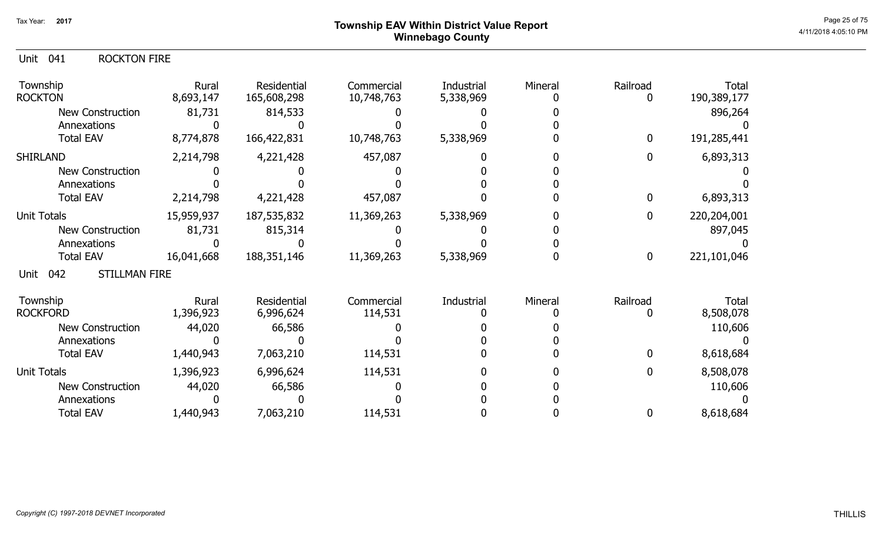# ${\sf Township~EAV~Within~District~Value~Report} \nonumber \hspace{5.5cm} \textrm{Page~25 of 75} \nonumber$ Winnebago County

| Unit 041 |  | <b>ROCKTON FIRE</b> |
|----------|--|---------------------|
|----------|--|---------------------|

| Township<br><b>ROCKTON</b>          | Rural<br>8,693,147 | Residential<br>165,608,298 | Commercial<br>10,748,763 | Industrial<br>5,338,969 | Mineral | Railroad    | <b>Total</b><br>190,389,177 |
|-------------------------------------|--------------------|----------------------------|--------------------------|-------------------------|---------|-------------|-----------------------------|
| <b>New Construction</b>             | 81,731             | 814,533                    |                          |                         |         |             | 896,264                     |
| Annexations                         |                    |                            |                          |                         |         |             |                             |
| <b>Total EAV</b>                    | 8,774,878          | 166,422,831                | 10,748,763               | 5,338,969               |         | $\mathbf 0$ | 191,285,441                 |
| <b>SHIRLAND</b>                     | 2,214,798          | 4,221,428                  | 457,087                  |                         |         | 0           | 6,893,313                   |
| <b>New Construction</b>             |                    |                            |                          |                         |         |             |                             |
| Annexations                         |                    |                            |                          |                         |         |             |                             |
| <b>Total EAV</b>                    | 2,214,798          | 4,221,428                  | 457,087                  |                         |         | 0           | 6,893,313                   |
| <b>Unit Totals</b>                  | 15,959,937         | 187,535,832                | 11,369,263               | 5,338,969               |         | $\mathbf 0$ | 220,204,001                 |
| <b>New Construction</b>             | 81,731             | 815,314                    |                          |                         |         |             | 897,045                     |
| Annexations                         |                    |                            |                          |                         |         |             |                             |
| <b>Total EAV</b>                    | 16,041,668         | 188, 351, 146              | 11,369,263               | 5,338,969               |         | 0           | 221,101,046                 |
| <b>STILLMAN FIRE</b><br>042<br>Unit |                    |                            |                          |                         |         |             |                             |
| Township                            | Rural              | Residential                | Commercial               | Industrial              | Mineral | Railroad    | <b>Total</b>                |
| <b>ROCKFORD</b>                     | 1,396,923          | 6,996,624                  | 114,531                  |                         |         |             | 8,508,078                   |
| New Construction                    | 44,020             | 66,586                     |                          |                         |         |             | 110,606                     |
| Annexations                         |                    |                            |                          |                         |         |             |                             |
| <b>Total EAV</b>                    | 1,440,943          | 7,063,210                  | 114,531                  |                         |         |             | 8,618,684                   |
| <b>Unit Totals</b>                  | 1,396,923          | 6,996,624                  | 114,531                  |                         |         |             | 8,508,078                   |
| <b>New Construction</b>             | 44,020             | 66,586                     |                          |                         |         |             | 110,606                     |
| Annexations                         |                    |                            |                          |                         |         |             |                             |
| <b>Total EAV</b>                    | 1,440,943          | 7,063,210                  | 114,531                  |                         |         |             | 8,618,684                   |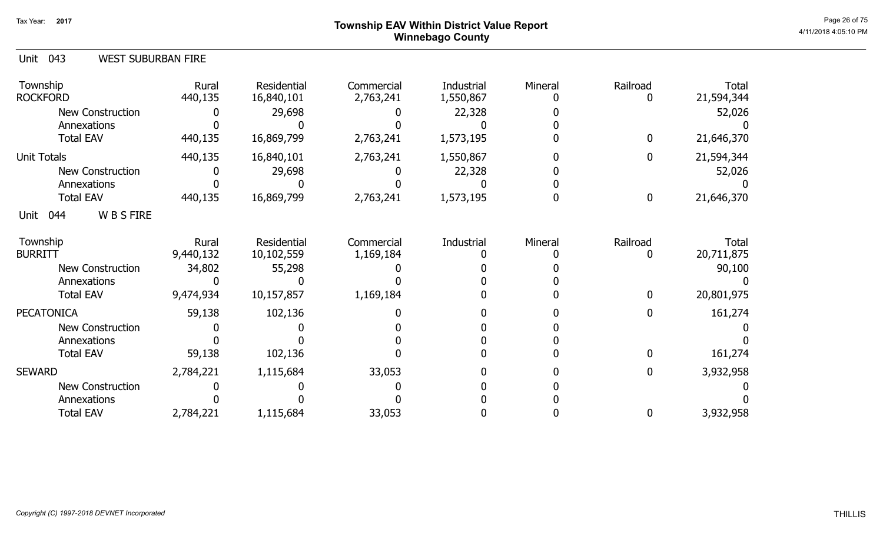# ${\sf Township~EAV~Within~District~Value~Report} \nonumber \hspace{5.5cm} \textrm{Page~26 of 75} \nonumber$ Winnebago County

|  | Unit 043 | <b>WEST SUBURBAN FIRE</b> |
|--|----------|---------------------------|
|--|----------|---------------------------|

| Township<br><b>ROCKFORD</b>   | Rural<br>440,135 | Residential<br>16,840,101 | Commercial<br>2,763,241 | <b>Industrial</b><br>1,550,867 | Mineral | Railroad<br>0 | Total<br>21,594,344 |
|-------------------------------|------------------|---------------------------|-------------------------|--------------------------------|---------|---------------|---------------------|
| <b>New Construction</b>       |                  | 29,698                    |                         | 22,328                         |         |               | 52,026              |
| Annexations                   |                  |                           |                         |                                |         |               |                     |
| <b>Total EAV</b>              | 440,135          | 16,869,799                | 2,763,241               | 1,573,195                      |         | $\bf{0}$      | 21,646,370          |
| <b>Unit Totals</b>            | 440,135          | 16,840,101                | 2,763,241               | 1,550,867                      |         | $\bf{0}$      | 21,594,344          |
| New Construction              |                  | 29,698                    |                         | 22,328                         |         |               | 52,026              |
| Annexations                   |                  |                           |                         |                                |         |               |                     |
| <b>Total EAV</b>              | 440,135          | 16,869,799                | 2,763,241               | 1,573,195                      |         | $\mathbf 0$   | 21,646,370          |
| <b>WBSFIRE</b><br>044<br>Unit |                  |                           |                         |                                |         |               |                     |
| Township                      | Rural            | Residential               | Commercial              | Industrial                     | Mineral | Railroad      | Total               |
| <b>BURRITT</b>                | 9,440,132        | 10,102,559                | 1,169,184               |                                |         | 0             | 20,711,875          |
| <b>New Construction</b>       | 34,802           | 55,298                    |                         |                                |         |               | 90,100              |
| Annexations                   |                  |                           |                         |                                |         |               |                     |
| <b>Total EAV</b>              | 9,474,934        | 10,157,857                | 1,169,184               |                                |         | 0             | 20,801,975          |
| <b>PECATONICA</b>             | 59,138           | 102,136                   |                         |                                |         | 0             | 161,274             |
| <b>New Construction</b>       |                  |                           |                         |                                |         |               |                     |
| Annexations                   |                  |                           |                         |                                |         |               |                     |
| <b>Total EAV</b>              | 59,138           | 102,136                   |                         |                                |         | $\Omega$      | 161,274             |
| <b>SEWARD</b>                 | 2,784,221        | 1,115,684                 | 33,053                  |                                |         | 0             | 3,932,958           |
| <b>New Construction</b>       |                  |                           |                         |                                |         |               |                     |
| Annexations                   |                  |                           |                         |                                |         |               |                     |
| <b>Total EAV</b>              | 2,784,221        | 1,115,684                 | 33,053                  |                                |         | 0             | 3,932,958           |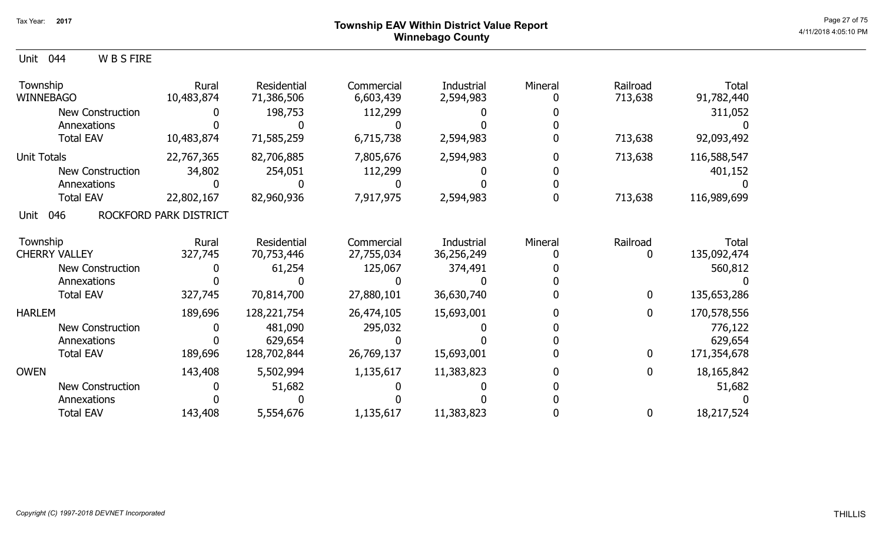### ${\sf Township~EAV~Within~District~Value~Report} \nonumber \hspace{5.5cm} \textrm{Page~27 of 75} \nonumber$ Winnebago County

| Unit 044 | <b>WBSFIRE</b> |
|----------|----------------|
|          |                |

| Township<br><b>WINNEBAGO</b> | Rural<br>10,483,874    | Residential<br>71,386,506 | Commercial<br>6,603,439 | Industrial<br>2,594,983 | Mineral | Railroad<br>713,638 | Total<br>91,782,440 |
|------------------------------|------------------------|---------------------------|-------------------------|-------------------------|---------|---------------------|---------------------|
| <b>New Construction</b>      |                        | 198,753                   | 112,299                 |                         |         |                     | 311,052             |
| Annexations                  |                        |                           |                         |                         |         |                     |                     |
| <b>Total EAV</b>             | 10,483,874             | 71,585,259                | 6,715,738               | 2,594,983               |         | 713,638             | 92,093,492          |
| Unit Totals                  | 22,767,365             | 82,706,885                | 7,805,676               | 2,594,983               |         | 713,638             | 116,588,547         |
| New Construction             | 34,802                 | 254,051                   | 112,299                 |                         |         |                     | 401,152             |
| Annexations                  |                        |                           |                         |                         |         |                     |                     |
| <b>Total EAV</b>             | 22,802,167             | 82,960,936                | 7,917,975               | 2,594,983               |         | 713,638             | 116,989,699         |
| 046<br>Unit                  | ROCKFORD PARK DISTRICT |                           |                         |                         |         |                     |                     |
| Township                     | Rural                  | Residential               | Commercial              | Industrial              | Mineral | Railroad            | Total               |
| <b>CHERRY VALLEY</b>         | 327,745                | 70,753,446                | 27,755,034              | 36,256,249              |         |                     | 135,092,474         |
| <b>New Construction</b>      |                        | 61,254                    | 125,067                 | 374,491                 |         |                     | 560,812             |
| Annexations                  |                        |                           |                         |                         |         |                     |                     |
| <b>Total EAV</b>             | 327,745                | 70,814,700                | 27,880,101              | 36,630,740              |         | $\bf{0}$            | 135,653,286         |
| <b>HARLEM</b>                | 189,696                | 128, 221, 754             | 26,474,105              | 15,693,001              |         | $\mathbf 0$         | 170,578,556         |
| New Construction             |                        | 481,090                   | 295,032                 |                         |         |                     | 776,122             |
| Annexations                  |                        | 629,654                   |                         |                         |         |                     | 629,654             |
| <b>Total EAV</b>             | 189,696                | 128,702,844               | 26,769,137              | 15,693,001              |         | $\mathbf 0$         | 171,354,678         |
| <b>OWEN</b>                  | 143,408                | 5,502,994                 | 1,135,617               | 11,383,823              |         | $\mathbf{0}$        | 18, 165, 842        |
| <b>New Construction</b>      |                        | 51,682                    |                         |                         |         |                     | 51,682              |
| Annexations                  |                        |                           |                         |                         |         |                     |                     |
| <b>Total EAV</b>             | 143,408                | 5,554,676                 | 1,135,617               | 11,383,823              |         | 0                   | 18,217,524          |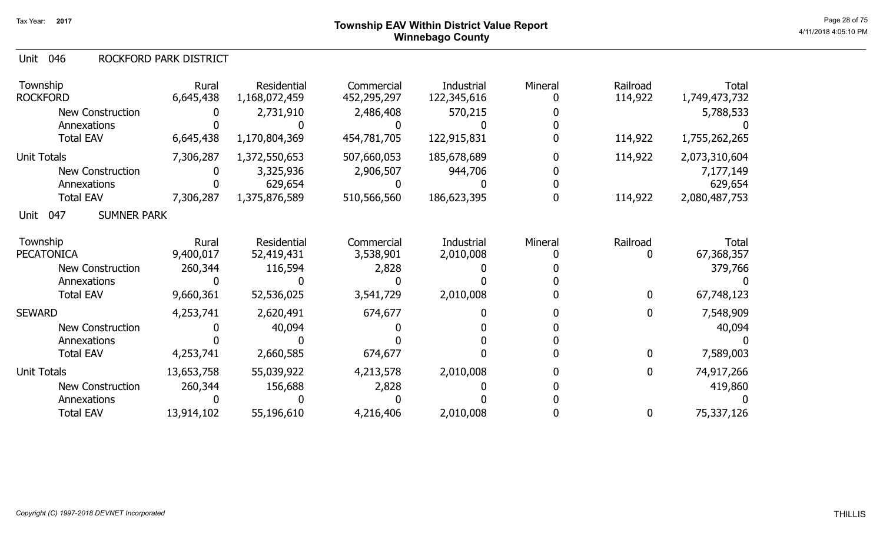## ${\sf Township~EAV~Within~District~Value~Report} \nonumber \hspace{5.5cm} \textrm{Page~28 of 75} \nonumber$ Winnebago County

#### 046 Unit ROCKFORD PARK DISTRICT

| Township<br><b>ROCKFORD</b>       | Rural<br>6,645,438 | Residential<br>1,168,072,459 | Commercial<br>452,295,297 | Industrial<br>122,345,616 | Mineral | Railroad<br>114,922 | Total<br>1,749,473,732 |
|-----------------------------------|--------------------|------------------------------|---------------------------|---------------------------|---------|---------------------|------------------------|
| <b>New Construction</b>           |                    | 2,731,910                    | 2,486,408                 | 570,215                   |         |                     | 5,788,533              |
| Annexations                       |                    |                              |                           |                           |         |                     |                        |
| <b>Total EAV</b>                  | 6,645,438          | 1,170,804,369                | 454,781,705               | 122,915,831               |         | 114,922             | 1,755,262,265          |
| <b>Unit Totals</b>                | 7,306,287          | 1,372,550,653                | 507,660,053               | 185,678,689               |         | 114,922             | 2,073,310,604          |
| <b>New Construction</b>           |                    | 3,325,936                    | 2,906,507                 | 944,706                   |         |                     | 7,177,149              |
| Annexations                       |                    | 629,654                      |                           |                           |         |                     | 629,654                |
| <b>Total EAV</b>                  | 7,306,287          | 1,375,876,589                | 510,566,560               | 186,623,395               |         | 114,922             | 2,080,487,753          |
| <b>SUMNER PARK</b><br>047<br>Unit |                    |                              |                           |                           |         |                     |                        |
| Township                          | Rural              | Residential                  | Commercial                | Industrial                | Mineral | Railroad            | Total                  |
| <b>PECATONICA</b>                 | 9,400,017          | 52,419,431                   | 3,538,901                 | 2,010,008                 |         | 0                   | 67,368,357             |
| New Construction                  | 260,344            | 116,594                      | 2,828                     |                           |         |                     | 379,766                |
| Annexations                       |                    |                              |                           |                           |         |                     |                        |
| <b>Total EAV</b>                  | 9,660,361          | 52,536,025                   | 3,541,729                 | 2,010,008                 |         | $\boldsymbol{0}$    | 67,748,123             |
| <b>SEWARD</b>                     | 4,253,741          | 2,620,491                    | 674,677                   |                           |         | $\mathbf 0$         | 7,548,909              |
| New Construction                  |                    | 40,094                       |                           |                           |         |                     | 40,094                 |
| Annexations                       |                    |                              |                           |                           |         |                     |                        |
| <b>Total EAV</b>                  | 4,253,741          | 2,660,585                    | 674,677                   |                           |         | $\mathbf 0$         | 7,589,003              |
| <b>Unit Totals</b>                | 13,653,758         | 55,039,922                   | 4,213,578                 | 2,010,008                 |         | $\mathbf 0$         | 74,917,266             |
| New Construction                  | 260,344            | 156,688                      | 2,828                     |                           |         |                     | 419,860                |
| Annexations                       |                    |                              |                           |                           |         |                     |                        |
| <b>Total EAV</b>                  | 13,914,102         | 55,196,610                   | 4,216,406                 | 2,010,008                 |         | 0                   | 75,337,126             |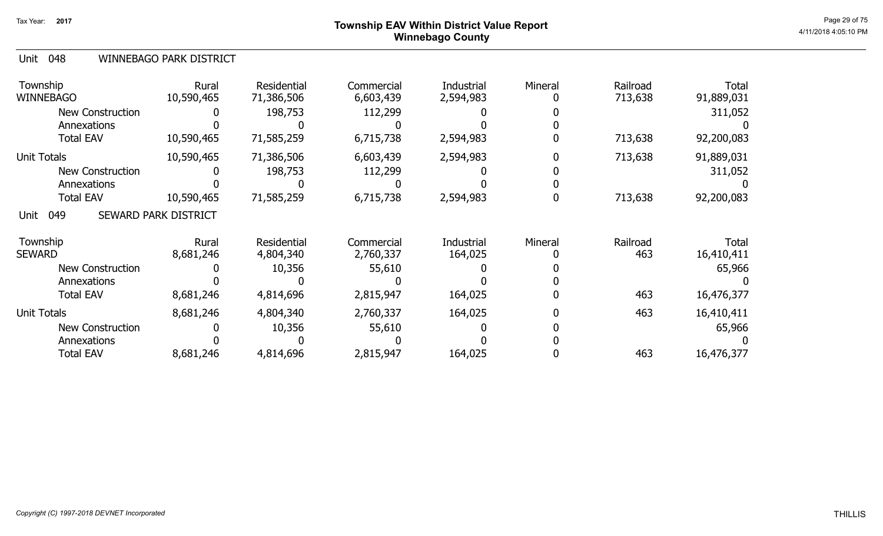## ${\sf Township}$   ${\sf EAV}$  Within District Value Report  $^{\sf Page~29~of~75}$ Winnebago County

### 048 Unit WINNEBAGO PARK DISTRICT

| Township<br><b>WINNEBAGO</b> | Rural<br>10,590,465         | Residential<br>71,386,506 | Commercial<br>6,603,439 | Industrial<br>2,594,983      | Mineral | Railroad<br>713,638 | Total<br>91,889,031        |
|------------------------------|-----------------------------|---------------------------|-------------------------|------------------------------|---------|---------------------|----------------------------|
| <b>New Construction</b>      |                             | 198,753                   | 112,299                 |                              |         |                     | 311,052                    |
| Annexations                  |                             |                           |                         |                              |         |                     |                            |
| <b>Total EAV</b>             | 10,590,465                  | 71,585,259                | 6,715,738               | 2,594,983                    |         | 713,638             | 92,200,083                 |
| <b>Unit Totals</b>           | 10,590,465                  | 71,386,506                | 6,603,439               | 2,594,983                    |         | 713,638             | 91,889,031                 |
| <b>New Construction</b>      |                             | 198,753                   | 112,299                 |                              |         |                     | 311,052                    |
| Annexations                  |                             |                           |                         |                              |         |                     |                            |
| <b>Total EAV</b>             | 10,590,465                  | 71,585,259                | 6,715,738               | 2,594,983                    |         | 713,638             | 92,200,083                 |
| 049<br>Unit                  | <b>SEWARD PARK DISTRICT</b> |                           |                         |                              |         |                     |                            |
| Township<br><b>SEWARD</b>    | Rural<br>8,681,246          | Residential<br>4,804,340  | Commercial<br>2,760,337 | <b>Industrial</b><br>164,025 | Mineral | Railroad<br>463     | <b>Total</b><br>16,410,411 |
| <b>New Construction</b>      |                             | 10,356                    | 55,610                  |                              |         |                     | 65,966                     |
| Annexations                  |                             |                           |                         |                              |         |                     |                            |
| <b>Total EAV</b>             | 8,681,246                   | 4,814,696                 | 2,815,947               | 164,025                      |         | 463                 | 16,476,377                 |
| <b>Unit Totals</b>           | 8,681,246                   | 4,804,340                 | 2,760,337               | 164,025                      |         | 463                 | 16,410,411                 |
| <b>New Construction</b>      |                             | 10,356                    | 55,610                  |                              |         |                     | 65,966                     |
| Annexations                  |                             |                           |                         |                              |         |                     |                            |
| <b>Total EAV</b>             | 8,681,246                   | 4,814,696                 | 2,815,947               | 164,025                      |         | 463                 | 16,476,377                 |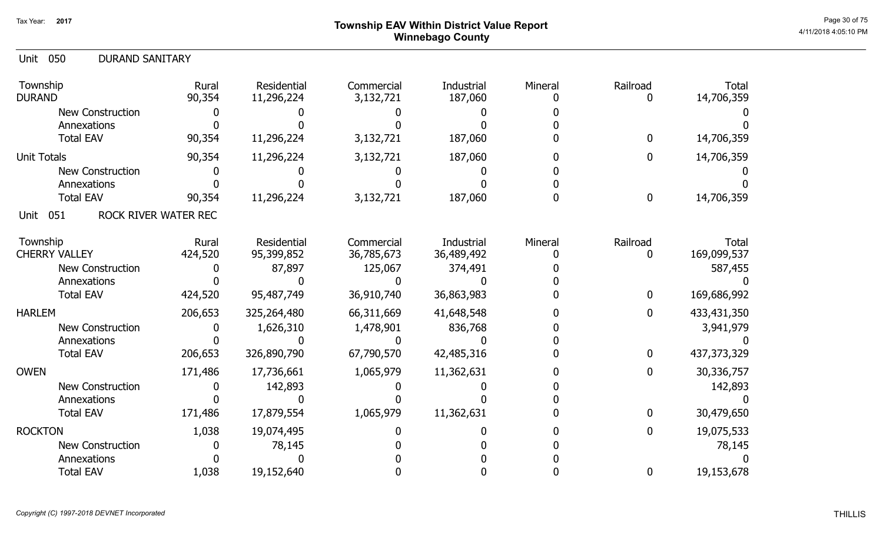### ${\sf Township~EAV~Within~District~Value~Report} \nonumber \hspace{5.5cm} \textrm{Page~30 of 75} \nonumber$ Winnebago County

| 050<br><b>DURAND SANITARY</b><br>Unit |                 |                           |                         |                       |         |                  |                     |
|---------------------------------------|-----------------|---------------------------|-------------------------|-----------------------|---------|------------------|---------------------|
| Township<br><b>DURAND</b>             | Rural<br>90,354 | Residential<br>11,296,224 | Commercial<br>3,132,721 | Industrial<br>187,060 | Mineral | Railroad<br>0    | Total<br>14,706,359 |
| New Construction                      |                 |                           |                         |                       |         |                  |                     |
| Annexations                           |                 |                           |                         |                       |         |                  |                     |
| <b>Total EAV</b>                      | 90,354          | 11,296,224                | 3,132,721               | 187,060               |         | 0                | 14,706,359          |
| <b>Unit Totals</b>                    | 90,354          | 11,296,224                | 3,132,721               | 187,060               |         | 0                | 14,706,359          |
| <b>New Construction</b>               |                 |                           |                         |                       |         |                  |                     |
| Annexations                           |                 |                           |                         |                       |         |                  |                     |
| <b>Total EAV</b>                      | 90,354          | 11,296,224                | 3,132,721               | 187,060               |         | 0                | 14,706,359          |
| ROCK RIVER WATER REC<br>051<br>Unit   |                 |                           |                         |                       |         |                  |                     |
| Township                              | Rural           | <b>Residential</b>        | Commercial              | Industrial            | Mineral | Railroad         | Total               |
| <b>CHERRY VALLEY</b>                  | 424,520         | 95,399,852                | 36,785,673              | 36,489,492            |         | 0                | 169,099,537         |
| New Construction                      |                 | 87,897                    | 125,067                 | 374,491               |         |                  | 587,455             |
| Annexations                           |                 |                           |                         |                       |         |                  |                     |
| <b>Total EAV</b>                      | 424,520         | 95,487,749                | 36,910,740              | 36,863,983            |         | $\boldsymbol{0}$ | 169,686,992         |
| <b>HARLEM</b>                         | 206,653         | 325,264,480               | 66,311,669              | 41,648,548            |         | $\boldsymbol{0}$ | 433,431,350         |
| <b>New Construction</b>               |                 | 1,626,310                 | 1,478,901               | 836,768               |         |                  | 3,941,979           |
| Annexations                           |                 |                           |                         |                       |         |                  |                     |
| <b>Total EAV</b>                      | 206,653         | 326,890,790               | 67,790,570              | 42,485,316            |         | $\mathbf 0$      | 437, 373, 329       |
| <b>OWEN</b>                           | 171,486         | 17,736,661                | 1,065,979               | 11,362,631            |         | 0                | 30,336,757          |
| <b>New Construction</b>               |                 | 142,893                   |                         |                       |         |                  | 142,893             |
| Annexations                           |                 |                           |                         |                       |         |                  |                     |
| <b>Total EAV</b>                      | 171,486         | 17,879,554                | 1,065,979               | 11,362,631            |         | $\mathbf{0}$     | 30,479,650          |
| <b>ROCKTON</b>                        | 1,038           | 19,074,495                |                         |                       |         | $\mathbf 0$      | 19,075,533          |
| <b>New Construction</b>               |                 | 78,145                    |                         |                       |         |                  | 78,145              |
| Annexations                           |                 |                           |                         |                       |         |                  |                     |
| <b>Total EAV</b>                      | 1,038           | 19,152,640                |                         |                       |         | $\mathbf 0$      | 19,153,678          |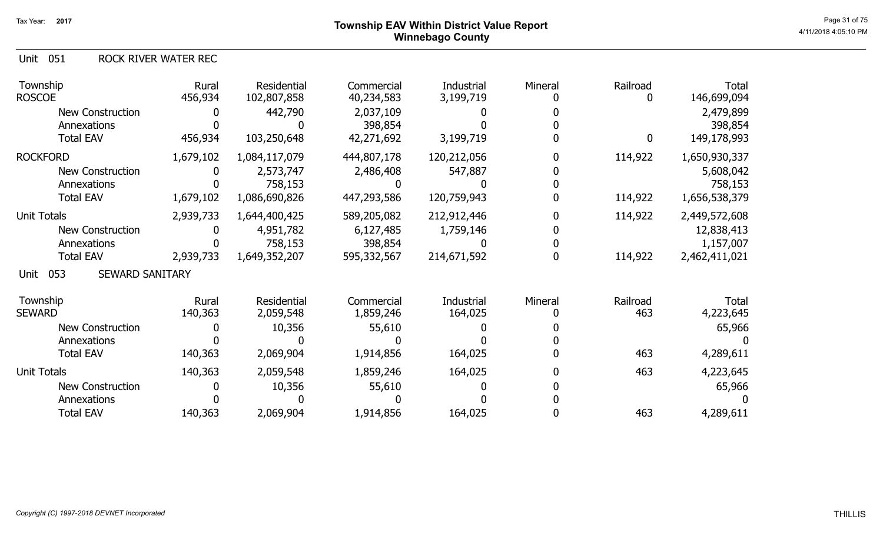Unit 051 ROCK RIVER WATER REC

| Township<br><b>ROSCOE</b>             | Rural<br>456,934 | Residential<br>102,807,858 | Commercial<br>40,234,583 | Industrial<br>3,199,719 | Mineral | Railroad<br>0 | <b>Total</b><br>146,699,094 |
|---------------------------------------|------------------|----------------------------|--------------------------|-------------------------|---------|---------------|-----------------------------|
| <b>New Construction</b>               |                  | 442,790                    | 2,037,109                |                         |         |               | 2,479,899                   |
| Annexations                           |                  |                            | 398,854                  |                         |         |               | 398,854                     |
| <b>Total EAV</b>                      | 456,934          | 103,250,648                | 42,271,692               | 3,199,719               |         | $\mathbf{0}$  | 149,178,993                 |
| <b>ROCKFORD</b>                       | 1,679,102        | 1,084,117,079              | 444,807,178              | 120,212,056             |         | 114,922       | 1,650,930,337               |
| <b>New Construction</b>               | 0                | 2,573,747                  | 2,486,408                | 547,887                 |         |               | 5,608,042                   |
| Annexations                           |                  | 758,153                    |                          |                         |         |               | 758,153                     |
| <b>Total EAV</b>                      | 1,679,102        | 1,086,690,826              | 447,293,586              | 120,759,943             |         | 114,922       | 1,656,538,379               |
| <b>Unit Totals</b>                    | 2,939,733        | 1,644,400,425              | 589,205,082              | 212,912,446             |         | 114,922       | 2,449,572,608               |
| <b>New Construction</b>               |                  | 4,951,782                  | 6,127,485                | 1,759,146               |         |               | 12,838,413                  |
| Annexations                           |                  | 758,153                    | 398,854                  |                         |         |               | 1,157,007                   |
| <b>Total EAV</b>                      | 2,939,733        | 1,649,352,207              | 595,332,567              | 214,671,592             |         | 114,922       | 2,462,411,021               |
| <b>SEWARD SANITARY</b><br>053<br>Unit |                  |                            |                          |                         |         |               |                             |
| Township                              | Rural            | Residential                | Commercial               | <b>Industrial</b>       | Mineral | Railroad      | <b>Total</b>                |
| <b>SEWARD</b>                         | 140,363          | 2,059,548                  | 1,859,246                | 164,025                 |         | 463           | 4,223,645                   |
| New Construction                      |                  | 10,356                     | 55,610                   |                         |         |               | 65,966                      |
| Annexations                           |                  |                            |                          |                         |         |               |                             |
| <b>Total EAV</b>                      | 140,363          | 2,069,904                  | 1,914,856                | 164,025                 |         | 463           | 4,289,611                   |
| Unit Totals                           | 140,363          | 2,059,548                  | 1,859,246                | 164,025                 |         | 463           | 4,223,645                   |
| <b>New Construction</b>               |                  | 10,356                     | 55,610                   |                         |         |               | 65,966                      |
| Annexations                           |                  |                            |                          |                         |         |               |                             |
| <b>Total EAV</b>                      | 140,363          | 2,069,904                  | 1,914,856                | 164,025                 |         | 463           | 4,289,611                   |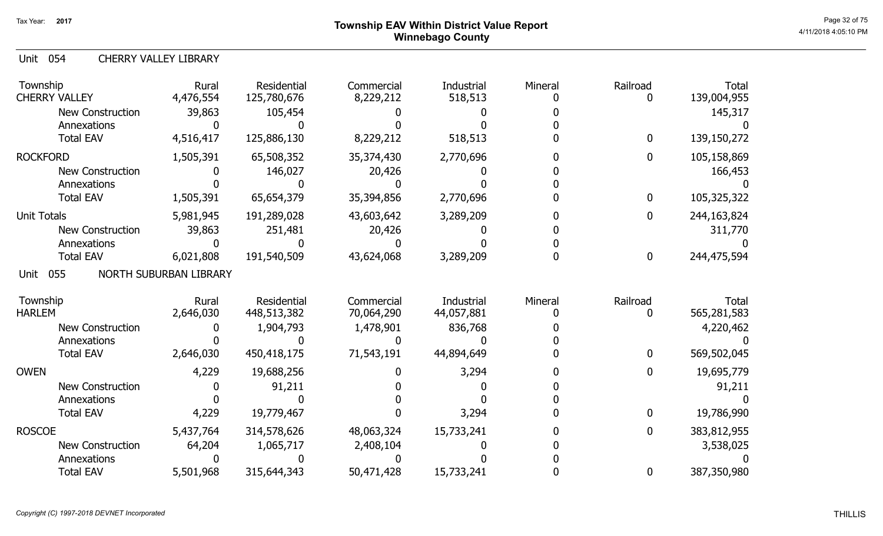# ${\sf Township}$   ${\sf EAV}$  Within District Value Report  $^{\sf Page~32~of~75}$ Winnebago County

### Unit 054 CHERRY VALLEY LIBRARY

| Township<br><b>CHERRY VALLEY</b> | Rural<br>4,476,554     | Residential<br>125,780,676 | Commercial<br>8,229,212 | Industrial<br>518,513 | Mineral | Railroad     | <b>Total</b><br>139,004,955 |
|----------------------------------|------------------------|----------------------------|-------------------------|-----------------------|---------|--------------|-----------------------------|
| <b>New Construction</b>          | 39,863                 | 105,454                    |                         |                       |         |              | 145,317                     |
| Annexations                      |                        |                            |                         |                       |         |              |                             |
| <b>Total EAV</b>                 | 4,516,417              | 125,886,130                | 8,229,212               | 518,513               |         | $\mathbf 0$  | 139,150,272                 |
| <b>ROCKFORD</b>                  | 1,505,391              | 65,508,352                 | 35,374,430              | 2,770,696             |         | $\mathbf 0$  | 105,158,869                 |
| <b>New Construction</b>          |                        | 146,027                    | 20,426                  |                       |         |              | 166,453                     |
| Annexations                      |                        |                            |                         |                       |         |              |                             |
| <b>Total EAV</b>                 | 1,505,391              | 65,654,379                 | 35,394,856              | 2,770,696             |         | $\bf{0}$     | 105,325,322                 |
| <b>Unit Totals</b>               | 5,981,945              | 191,289,028                | 43,603,642              | 3,289,209             |         | $\mathbf 0$  | 244,163,824                 |
| <b>New Construction</b>          | 39,863                 | 251,481                    | 20,426                  |                       |         |              | 311,770                     |
| Annexations                      |                        |                            |                         |                       |         |              |                             |
| <b>Total EAV</b>                 | 6,021,808              | 191,540,509                | 43,624,068              | 3,289,209             |         | $\bf{0}$     | 244,475,594                 |
| 055<br>Unit                      | NORTH SUBURBAN LIBRARY |                            |                         |                       |         |              |                             |
| Township                         | Rural                  | Residential                | Commercial              | Industrial            | Mineral | Railroad     | <b>Total</b>                |
| <b>HARLEM</b>                    | 2,646,030              | 448,513,382                | 70,064,290              | 44,057,881            |         | 0            | 565,281,583                 |
| <b>New Construction</b>          |                        | 1,904,793                  | 1,478,901               | 836,768               |         |              | 4,220,462                   |
| Annexations                      |                        |                            |                         |                       |         |              |                             |
| <b>Total EAV</b>                 | 2,646,030              | 450,418,175                | 71,543,191              | 44,894,649            |         | $\mathbf{0}$ | 569,502,045                 |
| <b>OWEN</b>                      | 4,229                  | 19,688,256                 |                         | 3,294                 |         | 0            | 19,695,779                  |
| <b>New Construction</b>          |                        | 91,211                     |                         |                       |         |              | 91,211                      |
| Annexations                      |                        |                            |                         |                       |         |              |                             |
| <b>Total EAV</b>                 | 4,229                  | 19,779,467                 |                         | 3,294                 |         | 0            | 19,786,990                  |
| <b>ROSCOE</b>                    | 5,437,764              | 314,578,626                | 48,063,324              | 15,733,241            |         | $\mathbf{0}$ | 383,812,955                 |
| <b>New Construction</b>          | 64,204                 | 1,065,717                  | 2,408,104               |                       |         |              | 3,538,025                   |
| Annexations                      |                        |                            |                         |                       |         |              |                             |
| <b>Total EAV</b>                 | 5,501,968              | 315,644,343                | 50,471,428              | 15,733,241            |         | 0            | 387,350,980                 |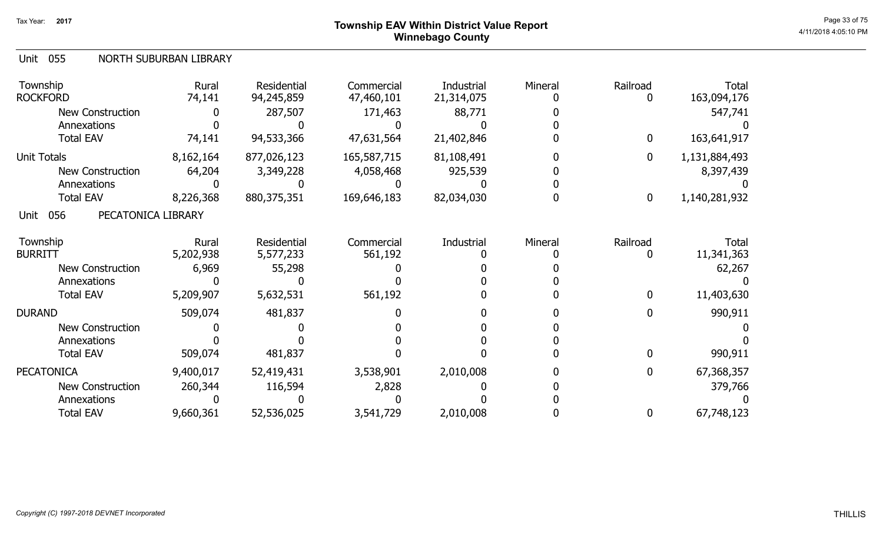# ${\sf Township~EAV~Within~District~Value~Report} \nonumber \hspace{5.5cm} \textrm{Page~33 of 75} \nonumber$ Winnebago County

#### Unit 055 NORTH SUBURBAN LIBRARY

| Township<br><b>ROCKFORD</b>       | Rural<br>74,141 | Residential<br>94,245,859 | Commercial<br>47,460,101 | Industrial<br>21,314,075 | Mineral | Railroad | Total<br>163,094,176 |
|-----------------------------------|-----------------|---------------------------|--------------------------|--------------------------|---------|----------|----------------------|
| <b>New Construction</b>           |                 | 287,507                   | 171,463                  | 88,771                   |         |          | 547,741              |
| Annexations                       |                 |                           |                          |                          |         |          |                      |
| <b>Total EAV</b>                  | 74,141          | 94,533,366                | 47,631,564               | 21,402,846               |         | 0        | 163,641,917          |
| <b>Unit Totals</b>                | 8,162,164       | 877,026,123               | 165,587,715              | 81,108,491               |         | 0        | 1,131,884,493        |
| New Construction                  | 64,204          | 3,349,228                 | 4,058,468                | 925,539                  |         |          | 8,397,439            |
| Annexations                       |                 |                           |                          |                          |         |          |                      |
| <b>Total EAV</b>                  | 8,226,368       | 880, 375, 351             | 169,646,183              | 82,034,030               |         | 0        | 1,140,281,932        |
| 056<br>PECATONICA LIBRARY<br>Unit |                 |                           |                          |                          |         |          |                      |
| Township                          | Rural           | Residential               | Commercial               | Industrial               | Mineral | Railroad | Total                |
| <b>BURRITT</b>                    | 5,202,938       | 5,577,233                 | 561,192                  |                          |         |          | 11,341,363           |
| <b>New Construction</b>           | 6,969           | 55,298                    |                          |                          |         |          | 62,267               |
| Annexations                       |                 |                           |                          |                          |         |          |                      |
| <b>Total EAV</b>                  | 5,209,907       | 5,632,531                 | 561,192                  |                          |         | 0        | 11,403,630           |
| <b>DURAND</b>                     | 509,074         | 481,837                   |                          |                          |         |          | 990,911              |
| <b>New Construction</b>           |                 |                           |                          |                          |         |          |                      |
| Annexations                       |                 |                           |                          |                          |         |          |                      |
| <b>Total EAV</b>                  | 509,074         | 481,837                   |                          |                          |         |          | 990,911              |
| <b>PECATONICA</b>                 | 9,400,017       | 52,419,431                | 3,538,901                | 2,010,008                |         | 0        | 67,368,357           |
| <b>New Construction</b>           | 260,344         | 116,594                   | 2,828                    |                          |         |          | 379,766              |
| Annexations                       |                 |                           |                          |                          |         |          |                      |
| <b>Total EAV</b>                  | 9,660,361       | 52,536,025                | 3,541,729                | 2,010,008                |         | $\bf{0}$ | 67,748,123           |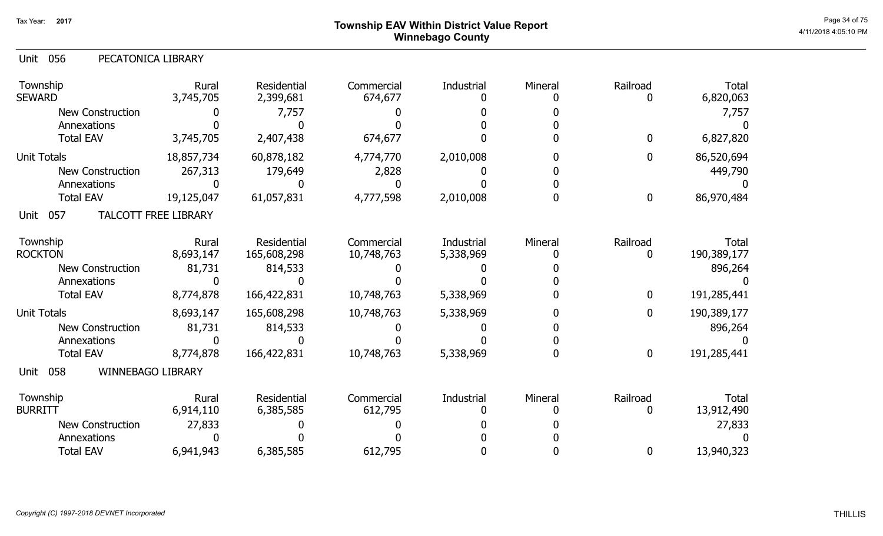# ${\sf Township}$   ${\sf EAV}$  Within District Value Report  $^{\sf Page~34~of~75}$ Winnebago County

|  | Unit 056 | PECATONICA LIBRARY |
|--|----------|--------------------|
|--|----------|--------------------|

| Township<br><b>SEWARD</b>                  | Rural<br>3,745,705 | <b>Residential</b><br>2,399,681 | Commercial<br>674,677    | Industrial              | Mineral | Railroad<br>0    | <b>Total</b><br>6,820,063   |
|--------------------------------------------|--------------------|---------------------------------|--------------------------|-------------------------|---------|------------------|-----------------------------|
| <b>New Construction</b>                    |                    | 7,757                           |                          |                         |         |                  | 7,757                       |
| Annexations<br><b>Total EAV</b>            | 3,745,705          | 2,407,438                       | 674,677                  |                         |         | $\boldsymbol{0}$ | 6,827,820                   |
| <b>Unit Totals</b>                         | 18,857,734         | 60,878,182                      | 4,774,770                | 2,010,008               |         | $\mathbf 0$      | 86,520,694                  |
| <b>New Construction</b>                    | 267,313            | 179,649                         | 2,828                    |                         |         |                  | 449,790                     |
| Annexations                                |                    |                                 |                          |                         |         |                  |                             |
| <b>Total EAV</b>                           | 19,125,047         | 61,057,831                      | 4,777,598                | 2,010,008               |         | $\boldsymbol{0}$ | 86,970,484                  |
| 057<br><b>TALCOTT FREE LIBRARY</b><br>Unit |                    |                                 |                          |                         |         |                  |                             |
| Township<br><b>ROCKTON</b>                 | Rural<br>8,693,147 | Residential<br>165,608,298      | Commercial<br>10,748,763 | Industrial<br>5,338,969 | Mineral | Railroad<br>0    | <b>Total</b><br>190,389,177 |
| <b>New Construction</b>                    | 81,731             | 814,533                         |                          |                         |         |                  | 896,264                     |
| Annexations                                |                    |                                 |                          |                         |         |                  |                             |
| <b>Total EAV</b>                           | 8,774,878          | 166,422,831                     | 10,748,763               | 5,338,969               |         | $\mathbf 0$      | 191,285,441                 |
| <b>Unit Totals</b>                         | 8,693,147          | 165,608,298                     | 10,748,763               | 5,338,969               |         | $\boldsymbol{0}$ | 190,389,177                 |
| <b>New Construction</b>                    | 81,731             | 814,533                         |                          |                         |         |                  | 896,264                     |
| Annexations                                |                    |                                 |                          |                         |         |                  |                             |
| <b>Total EAV</b>                           | 8,774,878          | 166,422,831                     | 10,748,763               | 5,338,969               |         | $\bf{0}$         | 191,285,441                 |
| WINNEBAGO LIBRARY<br>058<br>Unit           |                    |                                 |                          |                         |         |                  |                             |
| Township<br><b>BURRITT</b>                 | Rural<br>6,914,110 | <b>Residential</b><br>6,385,585 | Commercial<br>612,795    | Industrial              | Mineral | Railroad<br>0    | Total<br>13,912,490         |
| <b>New Construction</b>                    | 27,833             |                                 |                          |                         |         |                  | 27,833                      |
| Annexations                                |                    |                                 |                          |                         |         |                  |                             |
| <b>Total EAV</b>                           | 6,941,943          | 6,385,585                       | 612,795                  |                         |         | 0                | 13,940,323                  |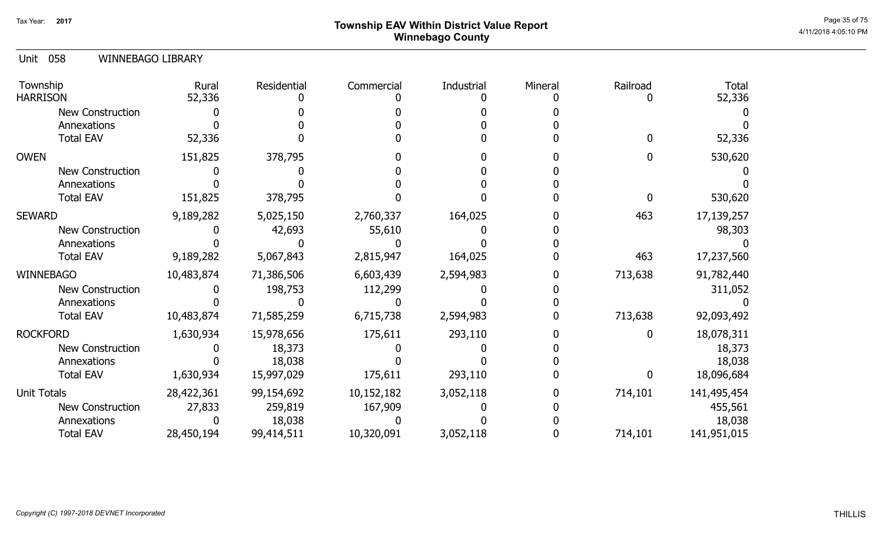# ${\sf Township}$   ${\sf EAV}$  Within District Value Report  $^{\sf Page\ 35~of~75}$ Winnebago County

### 058 Unit WINNEBAGO LIBRARY

| Township<br><b>HARRISON</b> | Rural<br>52,336 | Residential | Commercial | Industrial | Mineral | Railroad     | <b>Total</b><br>52,336 |
|-----------------------------|-----------------|-------------|------------|------------|---------|--------------|------------------------|
| <b>New Construction</b>     |                 |             |            |            |         |              |                        |
| Annexations                 |                 |             |            |            |         |              |                        |
| <b>Total EAV</b>            | 52,336          |             |            |            |         | 0            | 52,336                 |
| <b>OWEN</b>                 | 151,825         | 378,795     |            |            |         |              | 530,620                |
| New Construction            |                 |             |            |            |         |              |                        |
| Annexations                 |                 |             |            |            |         |              |                        |
| <b>Total EAV</b>            | 151,825         | 378,795     |            |            |         | <sup>0</sup> | 530,620                |
| <b>SEWARD</b>               | 9,189,282       | 5,025,150   | 2,760,337  | 164,025    |         | 463          | 17,139,257             |
| <b>New Construction</b>     |                 | 42,693      | 55,610     |            |         |              | 98,303                 |
| Annexations                 |                 |             |            |            |         |              |                        |
| <b>Total EAV</b>            | 9,189,282       | 5,067,843   | 2,815,947  | 164,025    |         | 463          | 17,237,560             |
| <b>WINNEBAGO</b>            | 10,483,874      | 71,386,506  | 6,603,439  | 2,594,983  |         | 713,638      | 91,782,440             |
| New Construction            |                 | 198,753     | 112,299    |            |         |              | 311,052                |
| Annexations                 |                 |             |            |            |         |              |                        |
| <b>Total EAV</b>            | 10,483,874      | 71,585,259  | 6,715,738  | 2,594,983  |         | 713,638      | 92,093,492             |
| <b>ROCKFORD</b>             | 1,630,934       | 15,978,656  | 175,611    | 293,110    |         | 0            | 18,078,311             |
| <b>New Construction</b>     |                 | 18,373      |            |            |         |              | 18,373                 |
| Annexations                 |                 | 18,038      |            |            |         |              | 18,038                 |
| <b>Total EAV</b>            | 1,630,934       | 15,997,029  | 175,611    | 293,110    |         | 0            | 18,096,684             |
| Unit Totals                 | 28,422,361      | 99,154,692  | 10,152,182 | 3,052,118  |         | 714,101      | 141,495,454            |
| <b>New Construction</b>     | 27,833          | 259,819     | 167,909    |            |         |              | 455,561                |
| Annexations                 |                 | 18,038      |            |            |         |              | 18,038                 |
| <b>Total EAV</b>            | 28,450,194      | 99,414,511  | 10,320,091 | 3,052,118  |         | 714,101      | 141,951,015            |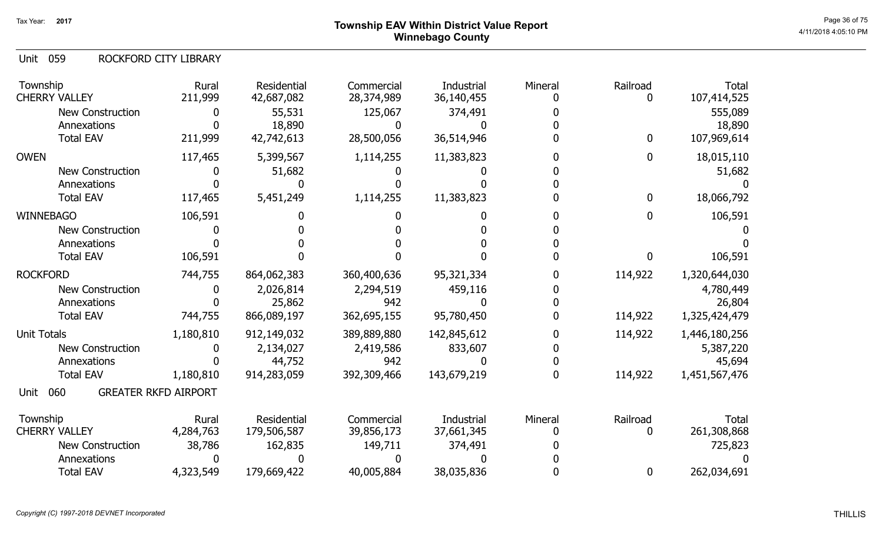# ${\sf Township~EAV~Within~District~Value~Report} \nonumber \hspace{5.5cm} \textrm{Page~36 of 75} \nonumber$ Winnebago County

059 Unit ROCKFORD CITY LIBRARY

| Township<br><b>CHERRY VALLEY</b> | Rural<br>211,999            | Residential<br>42,687,082 | Commercial<br>28,374,989   | Industrial<br>36,140,455 | Mineral | Railroad<br>0 | <b>Total</b><br>107,414,525 |
|----------------------------------|-----------------------------|---------------------------|----------------------------|--------------------------|---------|---------------|-----------------------------|
| <b>New Construction</b>          | 0                           | 55,531                    | 125,067                    | 374,491                  |         |               | 555,089                     |
| Annexations<br><b>Total EAV</b>  | 211,999                     | 18,890<br>42,742,613      | <sup>0</sup><br>28,500,056 | 36,514,946               |         | $\bf{0}$      | 18,890<br>107,969,614       |
| <b>OWEN</b>                      | 117,465                     | 5,399,567                 | 1,114,255                  | 11,383,823               |         | $\bf{0}$      | 18,015,110                  |
| New Construction                 | 0                           | 51,682                    |                            |                          |         |               | 51,682                      |
| Annexations                      |                             |                           |                            |                          |         |               |                             |
| <b>Total EAV</b>                 | 117,465                     | 5,451,249                 | 1,114,255                  | 11,383,823               |         | $\bf{0}$      | 18,066,792                  |
| <b>WINNEBAGO</b>                 | 106,591                     |                           |                            |                          |         | $\mathbf{0}$  | 106,591                     |
| <b>New Construction</b>          |                             |                           |                            |                          |         |               |                             |
| Annexations                      |                             |                           |                            |                          |         |               |                             |
| <b>Total EAV</b>                 | 106,591                     |                           |                            |                          |         | 0             | 106,591                     |
| <b>ROCKFORD</b>                  | 744,755                     | 864,062,383               | 360,400,636                | 95,321,334               |         | 114,922       | 1,320,644,030               |
| <b>New Construction</b>          | 0                           | 2,026,814                 | 2,294,519                  | 459,116                  |         |               | 4,780,449                   |
| Annexations                      |                             | 25,862                    | 942                        |                          |         |               | 26,804                      |
| <b>Total EAV</b>                 | 744,755                     | 866,089,197               | 362,695,155                | 95,780,450               |         | 114,922       | 1,325,424,479               |
| <b>Unit Totals</b>               | 1,180,810                   | 912,149,032               | 389,889,880                | 142,845,612              |         | 114,922       | 1,446,180,256               |
| New Construction                 | 0                           | 2,134,027                 | 2,419,586                  | 833,607                  |         |               | 5,387,220                   |
| Annexations                      |                             | 44,752                    | 942                        |                          |         |               | 45,694                      |
| <b>Total EAV</b>                 | 1,180,810                   | 914,283,059               | 392,309,466                | 143,679,219              |         | 114,922       | 1,451,567,476               |
| 060<br>Unit                      | <b>GREATER RKFD AIRPORT</b> |                           |                            |                          |         |               |                             |
| Township                         | Rural                       | Residential               | Commercial                 | <b>Industrial</b>        | Mineral | Railroad      | <b>Total</b>                |
| <b>CHERRY VALLEY</b>             | 4,284,763                   | 179,506,587               | 39,856,173                 | 37,661,345               |         | 0             | 261,308,868                 |
| <b>New Construction</b>          | 38,786                      | 162,835                   | 149,711                    | 374,491                  |         |               | 725,823                     |
| Annexations                      |                             |                           |                            |                          |         |               |                             |
| <b>Total EAV</b>                 | 4,323,549                   | 179,669,422               | 40,005,884                 | 38,035,836               |         | $\bf{0}$      | 262,034,691                 |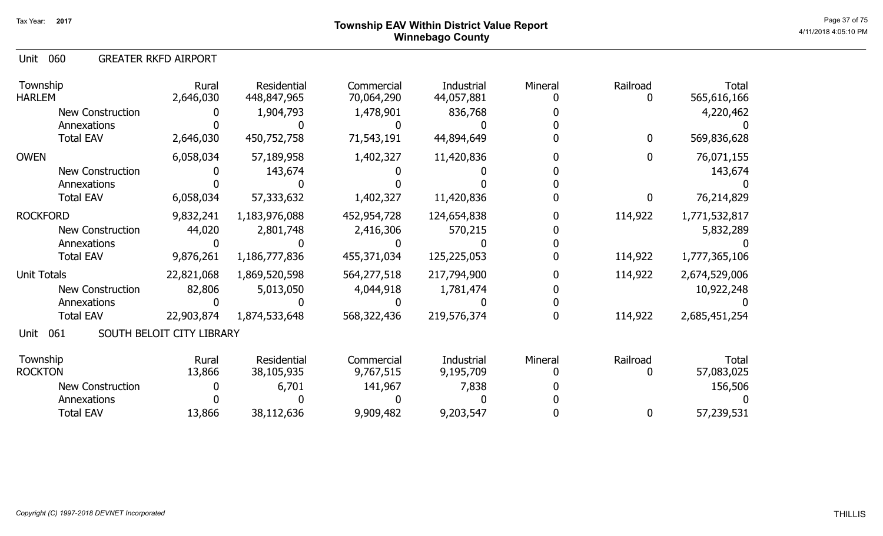060 Unit GREATER RKFD AIRPORT

| Township<br><b>HARLEM</b> | Rural<br>2,646,030        | Residential<br>448,847,965 | Commercial<br>70,064,290 | Industrial<br>44,057,881 | Mineral | Railroad<br>0 | <b>Total</b><br>565,616,166 |
|---------------------------|---------------------------|----------------------------|--------------------------|--------------------------|---------|---------------|-----------------------------|
| New Construction          |                           | 1,904,793                  | 1,478,901                | 836,768                  |         |               | 4,220,462                   |
| Annexations               |                           |                            |                          |                          |         |               |                             |
| <b>Total EAV</b>          | 2,646,030                 | 450,752,758                | 71,543,191               | 44,894,649               |         | 0             | 569,836,628                 |
| <b>OWEN</b>               | 6,058,034                 | 57,189,958                 | 1,402,327                | 11,420,836               |         | $\mathbf{0}$  | 76,071,155                  |
| New Construction          |                           | 143,674                    |                          |                          |         |               | 143,674                     |
| Annexations               |                           |                            |                          |                          |         |               |                             |
| <b>Total EAV</b>          | 6,058,034                 | 57,333,632                 | 1,402,327                | 11,420,836               |         | 0             | 76,214,829                  |
| <b>ROCKFORD</b>           | 9,832,241                 | 1,183,976,088              | 452,954,728              | 124,654,838              |         | 114,922       | 1,771,532,817               |
| New Construction          | 44,020                    | 2,801,748                  | 2,416,306                | 570,215                  |         |               | 5,832,289                   |
| Annexations               |                           |                            |                          |                          |         |               |                             |
| <b>Total EAV</b>          | 9,876,261                 | 1,186,777,836              | 455,371,034              | 125,225,053              |         | 114,922       | 1,777,365,106               |
| <b>Unit Totals</b>        | 22,821,068                | 1,869,520,598              | 564,277,518              | 217,794,900              |         | 114,922       | 2,674,529,006               |
| New Construction          | 82,806                    | 5,013,050                  | 4,044,918                | 1,781,474                |         |               | 10,922,248                  |
| Annexations               |                           |                            |                          |                          |         |               |                             |
| <b>Total EAV</b>          | 22,903,874                | 1,874,533,648              | 568,322,436              | 219,576,374              |         | 114,922       | 2,685,451,254               |
| 061<br>Unit               | SOUTH BELOIT CITY LIBRARY |                            |                          |                          |         |               |                             |
| Township                  | Rural                     | Residential                | Commercial               | Industrial               | Mineral | Railroad      | Total                       |
| <b>ROCKTON</b>            | 13,866                    | 38,105,935                 | 9,767,515                | 9,195,709                |         | 0             | 57,083,025                  |
| New Construction          |                           | 6,701                      | 141,967                  | 7,838                    |         |               | 156,506                     |
| Annexations               |                           |                            |                          |                          |         |               |                             |
| <b>Total EAV</b>          | 13,866                    | 38,112,636                 | 9,909,482                | 9,203,547                |         | 0             | 57,239,531                  |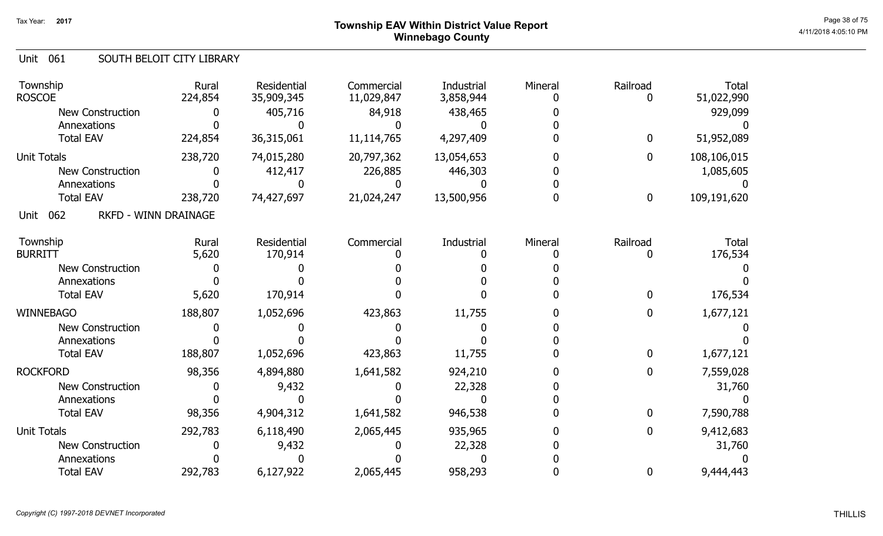# ${\sf Township~EAV~Within~District~Value~Report} \nonumber \hspace{5.5cm} \textrm{Page~38 of 75} \nonumber$ Winnebago County

#### Unit 061 SOUTH BELOIT CITY LIBRARY

| Township<br><b>ROSCOE</b>                  | Rural<br>224,854 | Residential<br>35,909,345 | Commercial<br>11,029,847 | Industrial<br>3,858,944 | Mineral | Railroad    | <b>Total</b><br>51,022,990 |
|--------------------------------------------|------------------|---------------------------|--------------------------|-------------------------|---------|-------------|----------------------------|
| <b>New Construction</b>                    |                  | 405,716                   | 84,918                   | 438,465                 |         |             | 929,099                    |
| Annexations                                |                  |                           |                          |                         |         |             |                            |
| <b>Total EAV</b>                           | 224,854          | 36,315,061                | 11,114,765               | 4,297,409               |         | $\bf{0}$    | 51,952,089                 |
| <b>Unit Totals</b>                         | 238,720          | 74,015,280                | 20,797,362               | 13,054,653              |         | 0           | 108,106,015                |
| New Construction                           |                  | 412,417                   | 226,885                  | 446,303                 |         |             | 1,085,605                  |
| Annexations                                |                  |                           |                          |                         |         |             |                            |
| <b>Total EAV</b>                           | 238,720          | 74,427,697                | 21,024,247               | 13,500,956              |         | $\bf{0}$    | 109,191,620                |
| <b>RKFD - WINN DRAINAGE</b><br>062<br>Unit |                  |                           |                          |                         |         |             |                            |
| Township                                   | Rural            | Residential               | Commercial               | Industrial              | Mineral | Railroad    | <b>Total</b>               |
| <b>BURRITT</b>                             | 5,620            | 170,914                   |                          |                         |         | 0           | 176,534                    |
| <b>New Construction</b>                    |                  |                           |                          |                         |         |             |                            |
| Annexations                                |                  |                           |                          |                         |         |             |                            |
| <b>Total EAV</b>                           | 5,620            | 170,914                   |                          |                         |         | $\mathbf 0$ | 176,534                    |
| <b>WINNEBAGO</b>                           | 188,807          | 1,052,696                 | 423,863                  | 11,755                  |         | 0           | 1,677,121                  |
| <b>New Construction</b>                    |                  |                           |                          |                         |         |             |                            |
| Annexations                                |                  |                           |                          |                         |         |             |                            |
| <b>Total EAV</b>                           | 188,807          | 1,052,696                 | 423,863                  | 11,755                  |         | 0           | 1,677,121                  |
| <b>ROCKFORD</b>                            | 98,356           | 4,894,880                 | 1,641,582                | 924,210                 |         | 0           | 7,559,028                  |
| <b>New Construction</b>                    |                  | 9,432                     |                          | 22,328                  |         |             | 31,760                     |
| Annexations                                |                  |                           |                          |                         |         |             |                            |
| <b>Total EAV</b>                           | 98,356           | 4,904,312                 | 1,641,582                | 946,538                 |         | $\bf{0}$    | 7,590,788                  |
| <b>Unit Totals</b>                         | 292,783          | 6,118,490                 | 2,065,445                | 935,965                 |         | 0           | 9,412,683                  |
| New Construction                           |                  | 9,432                     |                          | 22,328                  |         |             | 31,760                     |
| Annexations                                |                  |                           |                          |                         |         |             |                            |
| <b>Total EAV</b>                           | 292,783          | 6,127,922                 | 2,065,445                | 958,293                 |         | 0           | 9,444,443                  |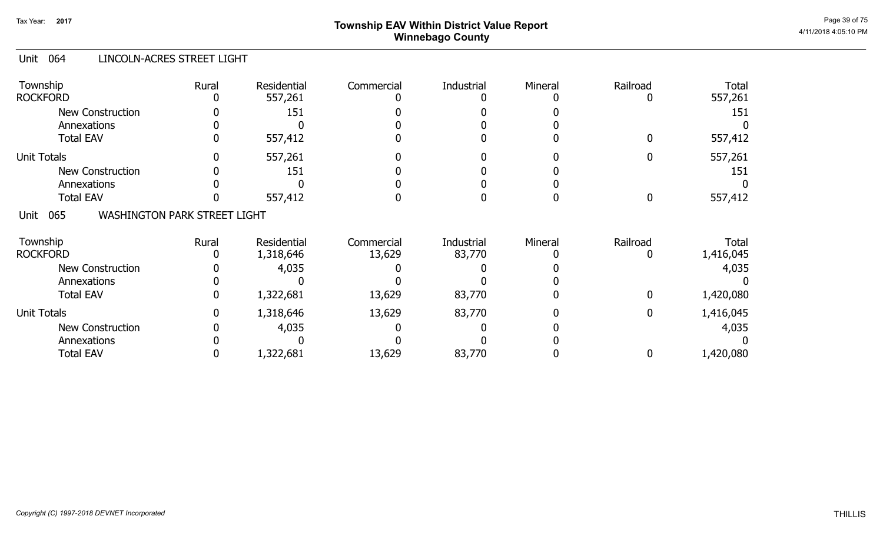# ${\sf Township}$   ${\sf EAV}$  Within District Value Report  $^{\sf Page~39~of~75}$ Winnebago County

#### Unit 064 LINCOLN-ACRES STREET LIGHT

| Township<br><b>ROCKFORD</b>                        | Rural | Residential<br>557,261 | Commercial | Industrial | Mineral | Railroad         | <b>Total</b><br>557,261 |
|----------------------------------------------------|-------|------------------------|------------|------------|---------|------------------|-------------------------|
| <b>New Construction</b><br>Annexations             |       | 151                    |            |            |         |                  | 151                     |
| <b>Total EAV</b>                                   |       | 557,412                |            |            |         | $\mathbf{0}$     | 557,412                 |
| <b>Unit Totals</b>                                 |       | 557,261                |            |            |         | 0                | 557,261                 |
| <b>New Construction</b>                            |       | 151                    |            |            |         |                  | 151                     |
| Annexations                                        |       |                        |            |            |         |                  |                         |
| <b>Total EAV</b>                                   |       | 557,412                |            |            |         | $\boldsymbol{0}$ | 557,412                 |
| 065<br><b>WASHINGTON PARK STREET LIGHT</b><br>Unit |       |                        |            |            |         |                  |                         |
| Township                                           | Rural | Residential            | Commercial | Industrial | Mineral | Railroad         | Total                   |
| <b>ROCKFORD</b>                                    |       | 1,318,646              | 13,629     | 83,770     |         | $\mathbf 0$      | 1,416,045               |
| <b>New Construction</b>                            |       | 4,035                  |            |            |         |                  | 4,035                   |
| Annexations                                        |       |                        |            |            |         |                  |                         |
| <b>Total EAV</b>                                   |       | 1,322,681              | 13,629     | 83,770     |         | $\bf{0}$         | 1,420,080               |
| <b>Unit Totals</b>                                 |       | 1,318,646              | 13,629     | 83,770     |         | $\bf{0}$         | 1,416,045               |
| <b>New Construction</b>                            |       | 4,035                  |            |            |         |                  | 4,035                   |
| Annexations                                        |       |                        |            |            |         |                  |                         |
| <b>Total EAV</b>                                   |       | 1,322,681              | 13,629     | 83,770     |         | 0                | 1,420,080               |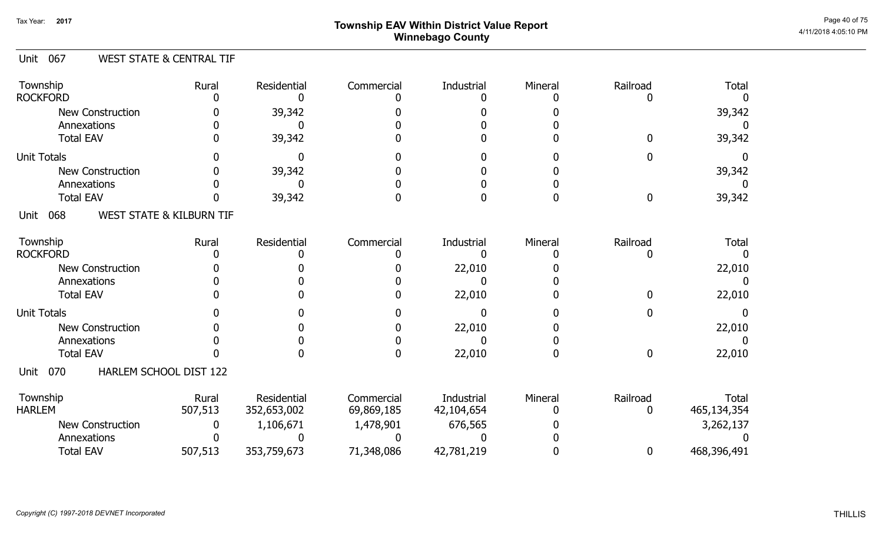# ${\sf Township}$   ${\sf EAV}$  Within District Value Report  $^{\sf Page\,40\,675}$ Winnebago County

#### Unit 067 WEST STATE & CENTRAL TIF

| Township<br><b>ROCKFORD</b>           | Rural                               | Residential                | Commercial               | Industrial               | Mineral | Railroad      | <b>Total</b>                |
|---------------------------------------|-------------------------------------|----------------------------|--------------------------|--------------------------|---------|---------------|-----------------------------|
| <b>New Construction</b>               |                                     | 39,342                     |                          |                          |         |               | 39,342                      |
| Annexations                           |                                     |                            |                          |                          |         |               |                             |
| <b>Total EAV</b>                      |                                     | 39,342                     |                          |                          |         |               | 39,342                      |
| <b>Unit Totals</b>                    |                                     |                            |                          |                          |         |               |                             |
| <b>New Construction</b>               |                                     | 39,342                     |                          |                          |         |               | 39,342                      |
| Annexations                           |                                     |                            |                          |                          |         |               |                             |
| <b>Total EAV</b>                      |                                     | 39,342                     |                          |                          |         | 0             | 39,342                      |
| 068<br>Unit                           | <b>WEST STATE &amp; KILBURN TIF</b> |                            |                          |                          |         |               |                             |
| Township                              | Rural                               | Residential                | Commercial               | Industrial               | Mineral | Railroad      | <b>Total</b>                |
| <b>ROCKFORD</b>                       |                                     |                            |                          |                          |         |               |                             |
| <b>New Construction</b>               |                                     |                            |                          | 22,010                   |         |               | 22,010                      |
| Annexations                           |                                     |                            |                          |                          |         |               |                             |
| <b>Total EAV</b>                      |                                     |                            |                          | 22,010                   |         |               | 22,010                      |
| <b>Unit Totals</b>                    |                                     |                            |                          |                          |         |               |                             |
| <b>New Construction</b>               |                                     |                            |                          | 22,010                   |         |               | 22,010                      |
| Annexations                           |                                     |                            |                          |                          |         |               |                             |
| <b>Total EAV</b>                      |                                     |                            | n                        | 22,010                   | O       | $\mathbf 0$   | 22,010                      |
| HARLEM SCHOOL DIST 122<br>070<br>Unit |                                     |                            |                          |                          |         |               |                             |
| Township<br><b>HARLEM</b>             | Rural<br>507,513                    | Residential<br>352,653,002 | Commercial<br>69,869,185 | Industrial<br>42,104,654 | Mineral | Railroad<br>0 | <b>Total</b><br>465,134,354 |
| <b>New Construction</b>               |                                     | 1,106,671                  | 1,478,901                | 676,565                  |         |               | 3,262,137                   |
| Annexations                           |                                     |                            |                          |                          |         |               |                             |
| <b>Total EAV</b>                      | 507,513                             | 353,759,673                | 71,348,086               | 42,781,219               |         | 0             | 468,396,491                 |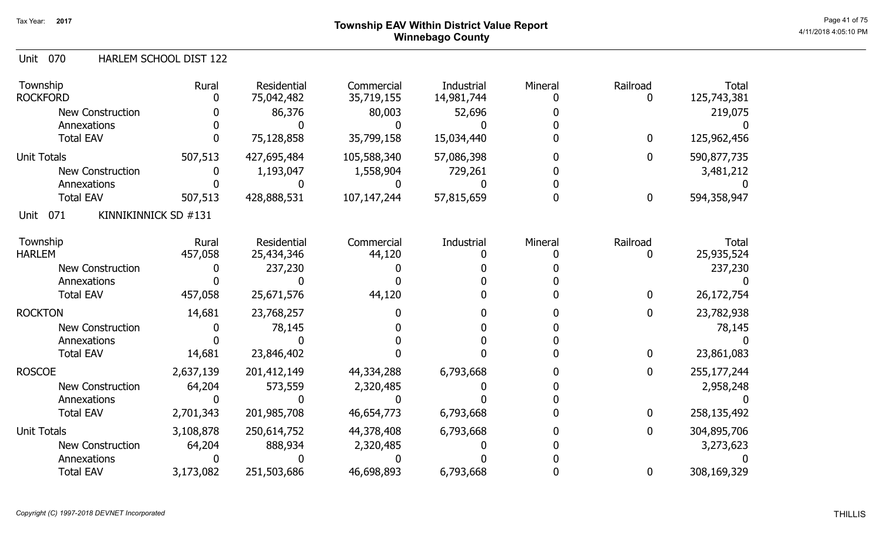# ${\sf Township}$   ${\sf EAV}$  Within District Value Report  $^{\sf Page~41~of~75}$ Winnebago County

#### 070 Unit HARLEM SCHOOL DIST 122

| Township<br><b>ROCKFORD</b>         | Rural     | Residential<br>75,042,482 | Commercial<br>35,719,155 | Industrial<br>14,981,744 | Mineral | Railroad<br>0    | <b>Total</b><br>125,743,381 |
|-------------------------------------|-----------|---------------------------|--------------------------|--------------------------|---------|------------------|-----------------------------|
| New Construction                    |           | 86,376                    | 80,003                   | 52,696                   |         |                  | 219,075                     |
| Annexations                         |           |                           |                          |                          |         |                  |                             |
| <b>Total EAV</b>                    |           | 75,128,858                | 35,799,158               | 15,034,440               |         | $\boldsymbol{0}$ | 125,962,456                 |
| <b>Unit Totals</b>                  | 507,513   | 427,695,484               | 105,588,340              | 57,086,398               |         | 0                | 590,877,735                 |
| <b>New Construction</b>             |           | 1,193,047                 | 1,558,904                | 729,261                  |         |                  | 3,481,212                   |
| Annexations                         |           |                           |                          |                          |         |                  |                             |
| <b>Total EAV</b>                    | 507,513   | 428,888,531               | 107, 147, 244            | 57,815,659               |         | $\boldsymbol{0}$ | 594,358,947                 |
| 071<br>KINNIKINNICK SD #131<br>Unit |           |                           |                          |                          |         |                  |                             |
| Township                            | Rural     | Residential               | Commercial               | Industrial               | Mineral | Railroad         | <b>Total</b>                |
| <b>HARLEM</b>                       | 457,058   | 25,434,346                | 44,120                   |                          |         | 0                | 25,935,524                  |
| <b>New Construction</b>             |           | 237,230                   |                          |                          |         |                  | 237,230                     |
| Annexations                         |           |                           |                          |                          |         |                  |                             |
| <b>Total EAV</b>                    | 457,058   | 25,671,576                | 44,120                   |                          |         | $\bf{0}$         | 26, 172, 754                |
| <b>ROCKTON</b>                      | 14,681    | 23,768,257                |                          |                          |         | 0                | 23,782,938                  |
| <b>New Construction</b>             |           | 78,145                    |                          |                          |         |                  | 78,145                      |
| Annexations                         |           |                           |                          |                          |         |                  |                             |
| <b>Total EAV</b>                    | 14,681    | 23,846,402                |                          |                          |         | $\boldsymbol{0}$ | 23,861,083                  |
| <b>ROSCOE</b>                       | 2,637,139 | 201,412,149               | 44,334,288               | 6,793,668                |         | 0                | 255, 177, 244               |
| <b>New Construction</b>             | 64,204    | 573,559                   | 2,320,485                |                          |         |                  | 2,958,248                   |
| Annexations                         |           |                           |                          |                          |         |                  |                             |
| <b>Total EAV</b>                    | 2,701,343 | 201,985,708               | 46,654,773               | 6,793,668                |         | $\mathbf 0$      | 258,135,492                 |
| <b>Unit Totals</b>                  | 3,108,878 | 250,614,752               | 44,378,408               | 6,793,668                |         | 0                | 304,895,706                 |
| <b>New Construction</b>             | 64,204    | 888,934                   | 2,320,485                |                          |         |                  | 3,273,623                   |
| Annexations                         |           |                           |                          |                          |         |                  |                             |
| <b>Total EAV</b>                    | 3,173,082 | 251,503,686               | 46,698,893               | 6,793,668                |         | 0                | 308,169,329                 |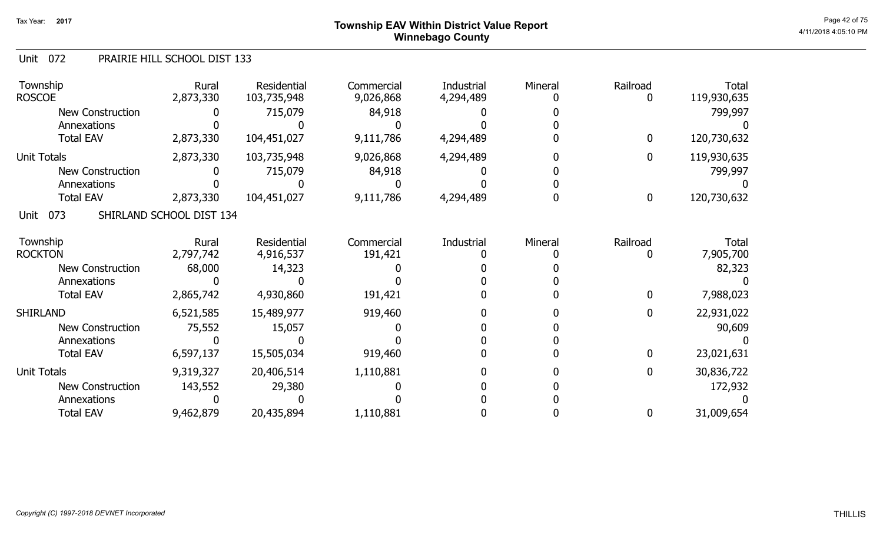# ${\sf Township~EAV~Within~District~Value~Report} \nonumber \hspace{5.5cm} \textrm{Page~42 of 75} \nonumber$ Winnebago County

#### Unit 072 PRAIRIE HILL SCHOOL DIST 133

| Township<br><b>ROSCOE</b> | Rural<br>2,873,330       | Residential<br>103,735,948 | Commercial<br>9,026,868 | Industrial<br>4,294,489 | Mineral | Railroad     | Total<br>119,930,635 |
|---------------------------|--------------------------|----------------------------|-------------------------|-------------------------|---------|--------------|----------------------|
| <b>New Construction</b>   |                          | 715,079                    | 84,918                  |                         |         |              | 799,997              |
| Annexations               |                          |                            |                         |                         |         |              |                      |
| <b>Total EAV</b>          | 2,873,330                | 104,451,027                | 9,111,786               | 4,294,489               |         | $\mathbf{0}$ | 120,730,632          |
| <b>Unit Totals</b>        | 2,873,330                | 103,735,948                | 9,026,868               | 4,294,489               |         | $\mathbf 0$  | 119,930,635          |
| New Construction          |                          | 715,079                    | 84,918                  |                         |         |              | 799,997              |
| Annexations               |                          |                            |                         |                         |         |              |                      |
| <b>Total EAV</b>          | 2,873,330                | 104,451,027                | 9,111,786               | 4,294,489               |         | 0            | 120,730,632          |
| 073<br>Unit               | SHIRLAND SCHOOL DIST 134 |                            |                         |                         |         |              |                      |
| Township                  | Rural                    | Residential                | Commercial              | Industrial              | Mineral | Railroad     | Total                |
| <b>ROCKTON</b>            | 2,797,742                | 4,916,537                  | 191,421                 |                         |         |              | 7,905,700            |
| <b>New Construction</b>   | 68,000                   | 14,323                     |                         |                         |         |              | 82,323               |
| Annexations               |                          |                            |                         |                         |         |              |                      |
| <b>Total EAV</b>          | 2,865,742                | 4,930,860                  | 191,421                 |                         |         | 0            | 7,988,023            |
| <b>SHIRLAND</b>           | 6,521,585                | 15,489,977                 | 919,460                 |                         |         | 0            | 22,931,022           |
| <b>New Construction</b>   | 75,552                   | 15,057                     |                         |                         |         |              | 90,609               |
| Annexations               |                          |                            |                         |                         |         |              |                      |
| <b>Total EAV</b>          | 6,597,137                | 15,505,034                 | 919,460                 |                         |         | 0            | 23,021,631           |
| <b>Unit Totals</b>        | 9,319,327                | 20,406,514                 | 1,110,881               |                         |         | $\mathbf 0$  | 30,836,722           |
| <b>New Construction</b>   | 143,552                  | 29,380                     |                         |                         |         |              | 172,932              |
| Annexations               |                          |                            |                         |                         |         |              |                      |
| <b>Total EAV</b>          | 9,462,879                | 20,435,894                 | 1,110,881               |                         |         | 0            | 31,009,654           |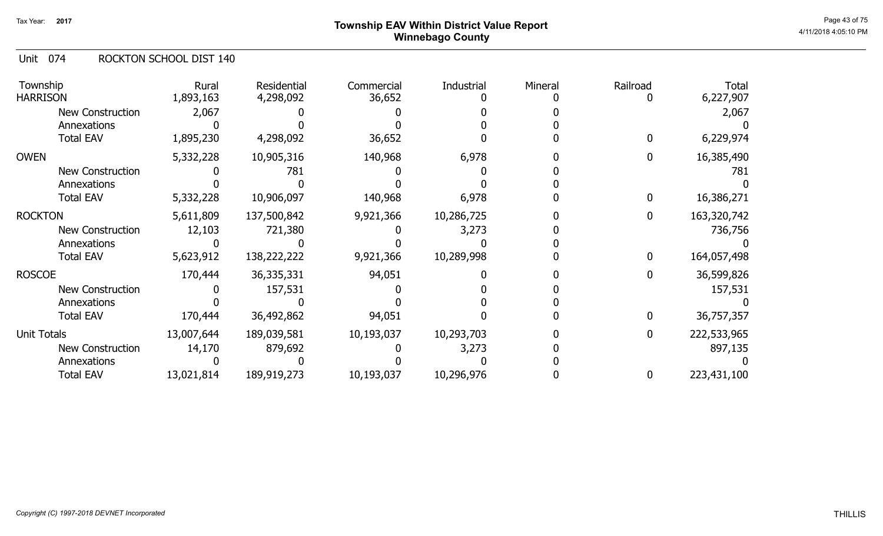# ${\sf Township~EAV~Within~District~Value~Report} \nonumber \hspace{5.5cm} \textrm{Page~43 of 75} \nonumber$ Winnebago County

#### Unit 074 ROCKTON SCHOOL DIST 140

| Township<br><b>HARRISON</b> | Rural<br>1,893,163 | Residential<br>4,298,092 | Commercial<br>36,652 | Industrial | Mineral | Railroad | <b>Total</b><br>6,227,907 |
|-----------------------------|--------------------|--------------------------|----------------------|------------|---------|----------|---------------------------|
| New Construction            | 2,067              |                          |                      |            |         |          | 2,067                     |
| Annexations                 |                    |                          |                      |            |         |          |                           |
| <b>Total EAV</b>            | 1,895,230          | 4,298,092                | 36,652               |            |         |          | 6,229,974                 |
| <b>OWEN</b>                 | 5,332,228          | 10,905,316               | 140,968              | 6,978      |         | 0        | 16,385,490                |
| <b>New Construction</b>     |                    | 781                      |                      |            |         |          | 781                       |
| Annexations                 |                    |                          |                      |            |         |          |                           |
| <b>Total EAV</b>            | 5,332,228          | 10,906,097               | 140,968              | 6,978      |         |          | 16,386,271                |
| <b>ROCKTON</b>              | 5,611,809          | 137,500,842              | 9,921,366            | 10,286,725 |         | 0        | 163,320,742               |
| New Construction            | 12,103             | 721,380                  |                      | 3,273      |         |          | 736,756                   |
| Annexations                 |                    |                          |                      |            |         |          |                           |
| <b>Total EAV</b>            | 5,623,912          | 138,222,222              | 9,921,366            | 10,289,998 |         | 0        | 164,057,498               |
| <b>ROSCOE</b>               | 170,444            | 36,335,331               | 94,051               |            |         | O        | 36,599,826                |
| New Construction            |                    | 157,531                  |                      |            |         |          | 157,531                   |
| Annexations                 |                    |                          |                      |            |         |          |                           |
| <b>Total EAV</b>            | 170,444            | 36,492,862               | 94,051               |            |         | 0        | 36,757,357                |
| Unit Totals                 | 13,007,644         | 189,039,581              | 10,193,037           | 10,293,703 |         | 0        | 222,533,965               |
| <b>New Construction</b>     | 14,170             | 879,692                  |                      | 3,273      |         |          | 897,135                   |
| Annexations                 |                    |                          |                      |            |         |          |                           |
| <b>Total EAV</b>            | 13,021,814         | 189,919,273              | 10,193,037           | 10,296,976 |         | 0        | 223,431,100               |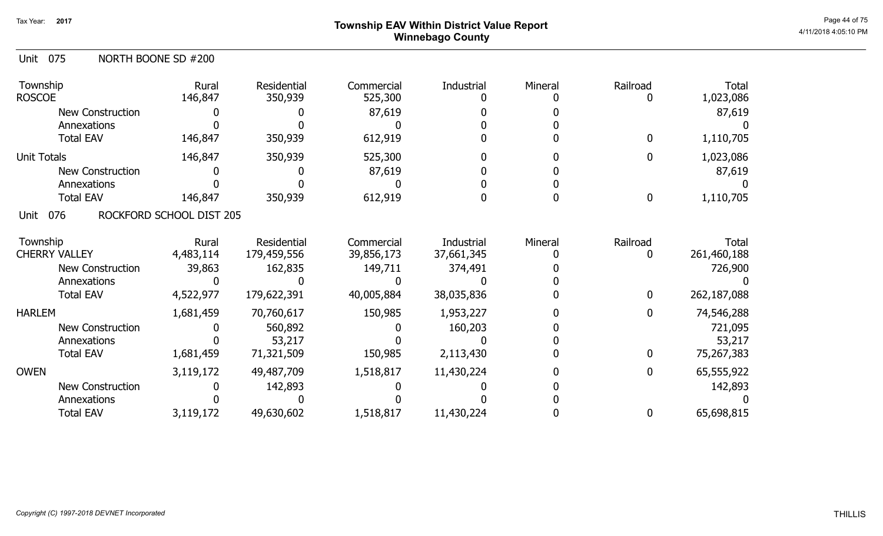# ${\sf Township}$   ${\sf EAV}$  Within District Value Report  $^{\sf Page\ 44\ of\ 75}$ Winnebago County

| NORTH BOONE SD #200<br>Unit 075 |
|---------------------------------|
|---------------------------------|

| Township<br><b>ROSCOE</b> | Rural<br>146,847         | Residential<br>350,939 | Commercial<br>525,300 | Industrial | Mineral | Railroad     | <b>Total</b><br>1,023,086 |
|---------------------------|--------------------------|------------------------|-----------------------|------------|---------|--------------|---------------------------|
| <b>New Construction</b>   |                          |                        | 87,619                |            |         |              | 87,619                    |
| Annexations               |                          |                        |                       |            |         |              |                           |
| <b>Total EAV</b>          | 146,847                  | 350,939                | 612,919               |            |         | 0            | 1,110,705                 |
| Unit Totals               | 146,847                  | 350,939                | 525,300               |            |         | $\mathbf 0$  | 1,023,086                 |
| <b>New Construction</b>   |                          |                        | 87,619                |            |         |              | 87,619                    |
| Annexations               |                          |                        |                       |            |         |              |                           |
| <b>Total EAV</b>          | 146,847                  | 350,939                | 612,919               |            |         | 0            | 1,110,705                 |
| 076<br>Unit               | ROCKFORD SCHOOL DIST 205 |                        |                       |            |         |              |                           |
| Township                  | Rural                    | Residential            | Commercial            | Industrial | Mineral | Railroad     | <b>Total</b>              |
| <b>CHERRY VALLEY</b>      | 4,483,114                | 179,459,556            | 39,856,173            | 37,661,345 |         | 0            | 261,460,188               |
| <b>New Construction</b>   | 39,863                   | 162,835                | 149,711               | 374,491    |         |              | 726,900                   |
| Annexations               |                          |                        |                       |            |         |              |                           |
| <b>Total EAV</b>          | 4,522,977                | 179,622,391            | 40,005,884            | 38,035,836 |         | $\mathbf{0}$ | 262,187,088               |
| <b>HARLEM</b>             | 1,681,459                | 70,760,617             | 150,985               | 1,953,227  |         | 0            | 74,546,288                |
| New Construction          |                          | 560,892                |                       | 160,203    |         |              | 721,095                   |
| Annexations               |                          | 53,217                 |                       |            |         |              | 53,217                    |
| <b>Total EAV</b>          | 1,681,459                | 71,321,509             | 150,985               | 2,113,430  |         | $\mathbf 0$  | 75,267,383                |
| <b>OWEN</b>               | 3,119,172                | 49,487,709             | 1,518,817             | 11,430,224 |         | 0            | 65,555,922                |
| <b>New Construction</b>   |                          | 142,893                |                       |            |         |              | 142,893                   |
| Annexations               |                          |                        |                       |            |         |              |                           |
| <b>Total EAV</b>          | 3,119,172                | 49,630,602             | 1,518,817             | 11,430,224 |         | 0            | 65,698,815                |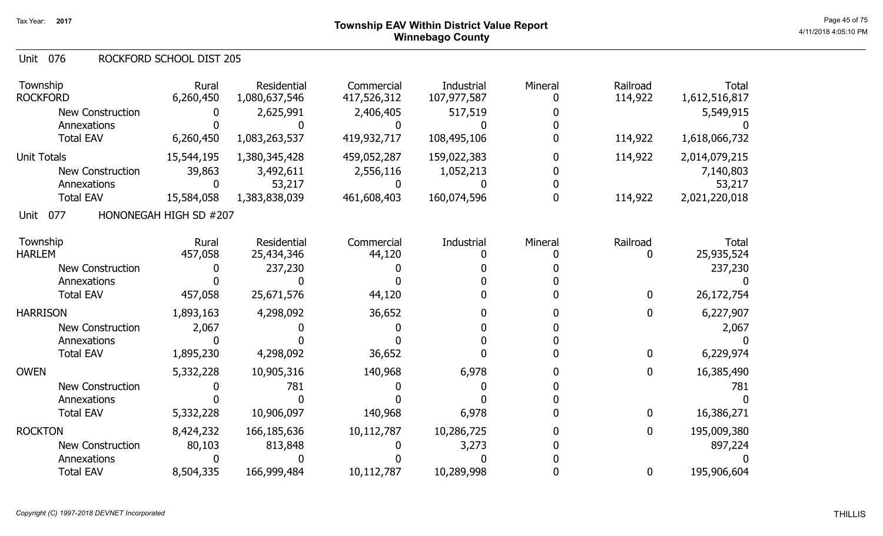#### 076 Unit ROCKFORD SCHOOL DIST 205

| Township<br><b>ROCKFORD</b> | Rural<br>6,260,450     | Residential<br>1,080,637,546 | Commercial<br>417,526,312 | Industrial<br>107,977,587 | Mineral | Railroad<br>114,922 | <b>Total</b><br>1,612,516,817 |
|-----------------------------|------------------------|------------------------------|---------------------------|---------------------------|---------|---------------------|-------------------------------|
| <b>New Construction</b>     |                        | 2,625,991                    | 2,406,405                 | 517,519                   |         |                     | 5,549,915                     |
| Annexations                 |                        |                              | 0                         |                           |         |                     |                               |
| <b>Total EAV</b>            | 6,260,450              | 1,083,263,537                | 419,932,717               | 108,495,106               |         | 114,922             | 1,618,066,732                 |
| <b>Unit Totals</b>          | 15,544,195             | 1,380,345,428                | 459,052,287               | 159,022,383               |         | 114,922             | 2,014,079,215                 |
| <b>New Construction</b>     | 39,863                 | 3,492,611                    | 2,556,116                 | 1,052,213                 |         |                     | 7,140,803                     |
| Annexations                 |                        | 53,217                       |                           |                           |         |                     | 53,217                        |
| <b>Total EAV</b>            | 15,584,058             | 1,383,838,039                | 461,608,403               | 160,074,596               |         | 114,922             | 2,021,220,018                 |
| 077<br>Unit                 | HONONEGAH HIGH SD #207 |                              |                           |                           |         |                     |                               |
| Township                    | Rural                  | <b>Residential</b>           | Commercial                | Industrial                | Mineral | Railroad            | <b>Total</b>                  |
| <b>HARLEM</b>               | 457,058                | 25,434,346                   | 44,120                    |                           |         | 0                   | 25,935,524                    |
| <b>New Construction</b>     |                        | 237,230                      |                           |                           |         |                     | 237,230                       |
| Annexations                 |                        |                              |                           |                           |         |                     |                               |
| <b>Total EAV</b>            | 457,058                | 25,671,576                   | 44,120                    |                           |         | $\boldsymbol{0}$    | 26, 172, 754                  |
| <b>HARRISON</b>             | 1,893,163              | 4,298,092                    | 36,652                    |                           |         | 0                   | 6,227,907                     |
| <b>New Construction</b>     | 2,067                  |                              |                           |                           |         |                     | 2,067                         |
| Annexations                 |                        |                              |                           |                           |         |                     |                               |
| <b>Total EAV</b>            | 1,895,230              | 4,298,092                    | 36,652                    |                           |         | $\bf{0}$            | 6,229,974                     |
| <b>OWEN</b>                 | 5,332,228              | 10,905,316                   | 140,968                   | 6,978                     |         | $\mathbf 0$         | 16,385,490                    |
| New Construction            |                        | 781                          |                           |                           |         |                     | 781                           |
| Annexations                 |                        |                              |                           |                           |         |                     |                               |
| <b>Total EAV</b>            | 5,332,228              | 10,906,097                   | 140,968                   | 6,978                     |         | $\boldsymbol{0}$    | 16,386,271                    |
| <b>ROCKTON</b>              | 8,424,232              | 166, 185, 636                | 10,112,787                | 10,286,725                |         | 0                   | 195,009,380                   |
| <b>New Construction</b>     | 80,103                 | 813,848                      |                           | 3,273                     |         |                     | 897,224                       |
| Annexations                 |                        |                              |                           |                           |         |                     |                               |
| <b>Total EAV</b>            | 8,504,335              | 166,999,484                  | 10,112,787                | 10,289,998                |         | $\bf{0}$            | 195,906,604                   |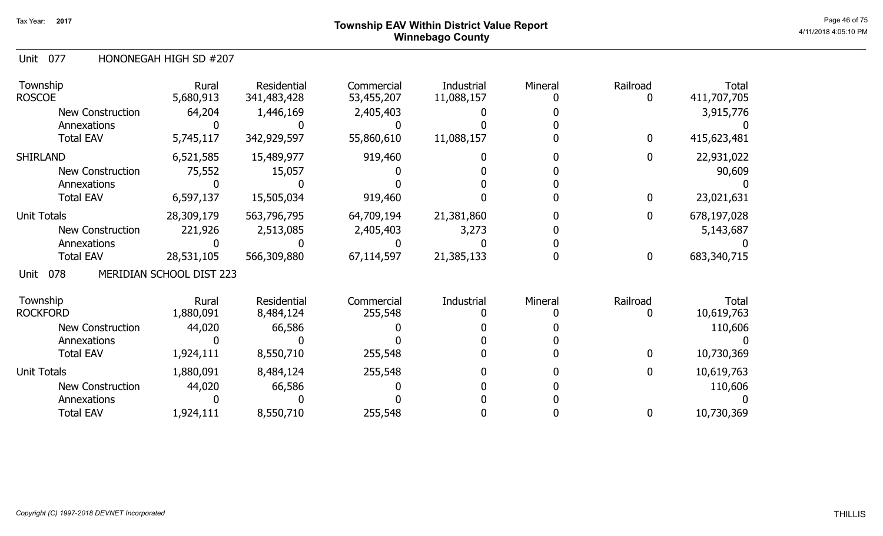# ${\sf Township}$   ${\sf EAV}$  Within District Value Report  $^{\sf Page\ 46\ of\ 75}$ Winnebago County

#### Unit 077 HONONEGAH HIGH SD #207

| Township<br><b>ROSCOE</b> | Rural<br>5,680,913       | Residential<br>341,483,428 | Commercial<br>53,455,207 | Industrial<br>11,088,157 | Mineral | Railroad     | Total<br>411,707,705 |
|---------------------------|--------------------------|----------------------------|--------------------------|--------------------------|---------|--------------|----------------------|
| <b>New Construction</b>   | 64,204                   | 1,446,169                  | 2,405,403                |                          |         |              | 3,915,776            |
| Annexations               |                          |                            |                          |                          |         |              |                      |
| <b>Total EAV</b>          | 5,745,117                | 342,929,597                | 55,860,610               | 11,088,157               |         | $\mathbf{0}$ | 415,623,481          |
| <b>SHIRLAND</b>           | 6,521,585                | 15,489,977                 | 919,460                  |                          |         | 0            | 22,931,022           |
| New Construction          | 75,552                   | 15,057                     |                          |                          |         |              | 90,609               |
| Annexations               |                          |                            |                          |                          |         |              |                      |
| <b>Total EAV</b>          | 6,597,137                | 15,505,034                 | 919,460                  |                          |         | 0            | 23,021,631           |
| <b>Unit Totals</b>        | 28,309,179               | 563,796,795                | 64,709,194               | 21,381,860               |         | $\mathbf{0}$ | 678,197,028          |
| New Construction          | 221,926                  | 2,513,085                  | 2,405,403                | 3,273                    |         |              | 5,143,687            |
| Annexations               |                          |                            |                          |                          |         |              |                      |
| <b>Total EAV</b>          | 28,531,105               | 566,309,880                | 67,114,597               | 21,385,133               |         | $\mathbf 0$  | 683,340,715          |
| 078<br>Unit               | MERIDIAN SCHOOL DIST 223 |                            |                          |                          |         |              |                      |
| Township                  | Rural                    | Residential                | Commercial               | Industrial               | Mineral | Railroad     | Total                |
| <b>ROCKFORD</b>           | 1,880,091                | 8,484,124                  | 255,548                  |                          |         |              | 10,619,763           |
| <b>New Construction</b>   | 44,020                   | 66,586                     |                          |                          |         |              | 110,606              |
| Annexations               |                          |                            |                          |                          |         |              |                      |
| <b>Total EAV</b>          | 1,924,111                | 8,550,710                  | 255,548                  |                          |         | $\mathbf 0$  | 10,730,369           |
| <b>Unit Totals</b>        | 1,880,091                | 8,484,124                  | 255,548                  |                          |         | $\mathbf 0$  | 10,619,763           |
| <b>New Construction</b>   | 44,020                   | 66,586                     |                          |                          |         |              | 110,606              |
| Annexations               |                          |                            |                          |                          |         |              |                      |
| <b>Total EAV</b>          | 1,924,111                | 8,550,710                  | 255,548                  |                          |         | 0            | 10,730,369           |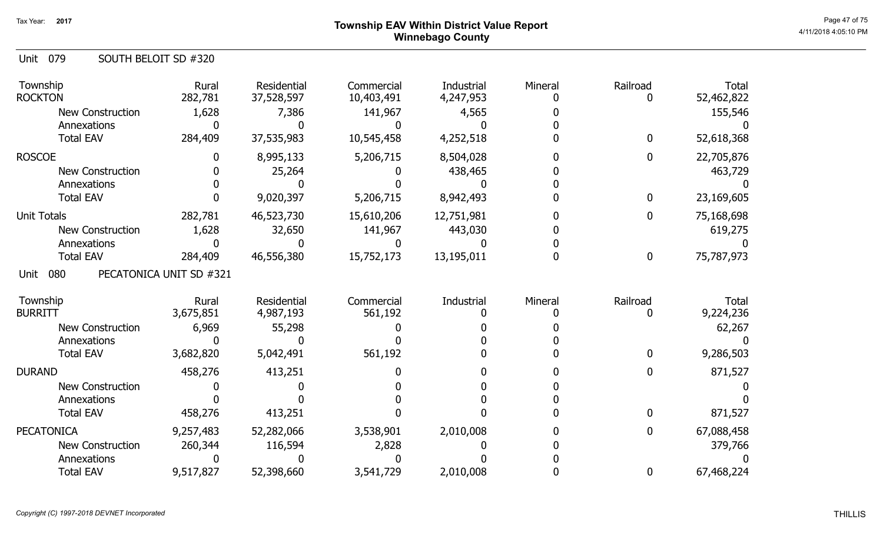# ${\sf Township}$   ${\sf EAV}$  Within District Value Report  $^{\sf Page~47~of~75}$ Winnebago County

| Unit 079 | SOUTH BELOIT SD #320 |
|----------|----------------------|
|          |                      |

| Township<br><b>ROCKTON</b> | Rural<br>282,781        | <b>Residential</b><br>37,528,597 | Commercial<br>10,403,491 | Industrial<br>4,247,953 | Mineral | Railroad      | <b>Total</b><br>52,462,822 |
|----------------------------|-------------------------|----------------------------------|--------------------------|-------------------------|---------|---------------|----------------------------|
| <b>New Construction</b>    | 1,628                   | 7,386                            | 141,967                  | 4,565                   |         |               | 155,546                    |
| Annexations                |                         |                                  |                          |                         |         |               |                            |
| <b>Total EAV</b>           | 284,409                 | 37,535,983                       | 10,545,458               | 4,252,518               |         | $\mathbf 0$   | 52,618,368                 |
| <b>ROSCOE</b>              |                         | 8,995,133                        | 5,206,715                | 8,504,028               |         | 0             | 22,705,876                 |
| <b>New Construction</b>    |                         | 25,264                           |                          | 438,465                 |         |               | 463,729                    |
| Annexations                |                         |                                  |                          |                         |         |               |                            |
| <b>Total EAV</b>           |                         | 9,020,397                        | 5,206,715                | 8,942,493               |         | $\bf{0}$      | 23,169,605                 |
| <b>Unit Totals</b>         | 282,781                 | 46,523,730                       | 15,610,206               | 12,751,981              |         | 0             | 75,168,698                 |
| <b>New Construction</b>    | 1,628                   | 32,650                           | 141,967                  | 443,030                 |         |               | 619,275                    |
| Annexations                |                         |                                  |                          |                         |         |               |                            |
| <b>Total EAV</b>           | 284,409                 | 46,556,380                       | 15,752,173               | 13,195,011              |         | $\mathbf 0$   | 75,787,973                 |
| 080<br>Unit                | PECATONICA UNIT SD #321 |                                  |                          |                         |         |               |                            |
| Township<br><b>BURRITT</b> | Rural<br>3,675,851      | Residential<br>4,987,193         | Commercial<br>561,192    | Industrial              | Mineral | Railroad<br>0 | Total<br>9,224,236         |
| New Construction           | 6,969                   | 55,298                           |                          |                         |         |               | 62,267                     |
| Annexations                |                         |                                  |                          |                         |         |               |                            |
| <b>Total EAV</b>           | 3,682,820               | 5,042,491                        | 561,192                  |                         |         | $\mathbf 0$   | 9,286,503                  |
| <b>DURAND</b>              | 458,276                 | 413,251                          |                          |                         |         | $\mathbf 0$   | 871,527                    |
| <b>New Construction</b>    |                         |                                  |                          |                         |         |               |                            |
| Annexations                |                         |                                  |                          |                         |         |               |                            |
| <b>Total EAV</b>           | 458,276                 | 413,251                          |                          |                         |         | $\mathbf 0$   | 871,527                    |
| <b>PECATONICA</b>          |                         |                                  |                          |                         |         | $\mathbf 0$   | 67,088,458                 |
|                            | 9,257,483               | 52,282,066                       | 3,538,901                | 2,010,008               |         |               |                            |
| <b>New Construction</b>    | 260,344                 |                                  | 2,828                    |                         |         |               |                            |
| Annexations                |                         | 116,594                          |                          |                         |         |               | 379,766                    |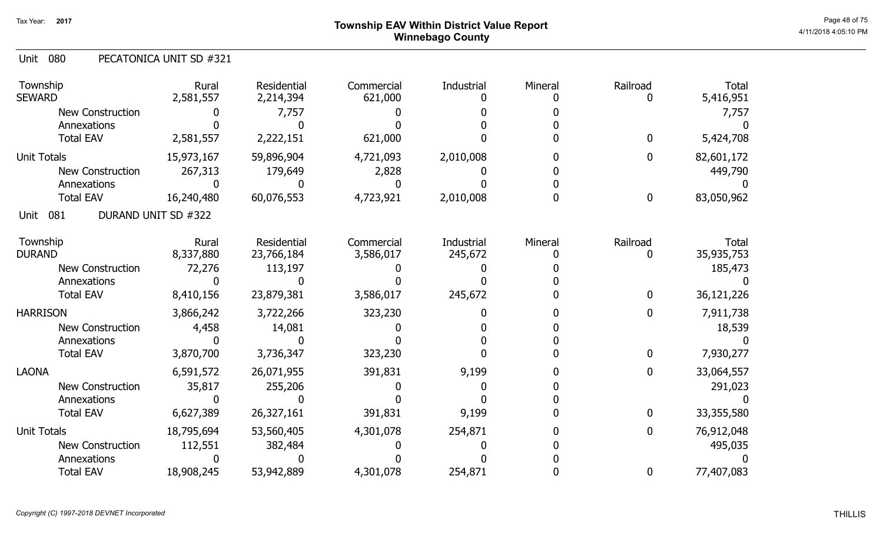#### 080 Unit PECATONICA UNIT SD #321

| Township<br><b>SEWARD</b> | Rural<br>2,581,557  | Residential<br>2,214,394 | Commercial<br>621,000 | Industrial | Mineral | Railroad         | <b>Total</b><br>5,416,951 |
|---------------------------|---------------------|--------------------------|-----------------------|------------|---------|------------------|---------------------------|
| <b>New Construction</b>   |                     | 7,757                    |                       |            |         |                  | 7,757                     |
| Annexations               |                     |                          |                       |            |         |                  |                           |
| <b>Total EAV</b>          | 2,581,557           | 2,222,151                | 621,000               |            |         | $\mathbf 0$      | 5,424,708                 |
| <b>Unit Totals</b>        | 15,973,167          | 59,896,904               | 4,721,093             | 2,010,008  |         | $\bf{0}$         | 82,601,172                |
| <b>New Construction</b>   | 267,313             | 179,649                  | 2,828                 |            |         |                  | 449,790                   |
| Annexations               |                     |                          |                       |            |         |                  |                           |
| <b>Total EAV</b>          | 16,240,480          | 60,076,553               | 4,723,921             | 2,010,008  |         | $\bf{0}$         | 83,050,962                |
| 081<br>Unit               | DURAND UNIT SD #322 |                          |                       |            |         |                  |                           |
| Township                  | Rural               | Residential              | Commercial            | Industrial | Mineral | Railroad         | <b>Total</b>              |
| <b>DURAND</b>             | 8,337,880           | 23,766,184               | 3,586,017             | 245,672    |         | 0                | 35,935,753                |
| <b>New Construction</b>   | 72,276              | 113,197                  |                       |            |         |                  | 185,473                   |
| Annexations               |                     |                          |                       |            |         |                  |                           |
| <b>Total EAV</b>          | 8,410,156           | 23,879,381               | 3,586,017             | 245,672    |         | $\bf{0}$         | 36,121,226                |
| <b>HARRISON</b>           | 3,866,242           | 3,722,266                | 323,230               |            |         | 0                | 7,911,738                 |
| <b>New Construction</b>   | 4,458               | 14,081                   |                       |            |         |                  | 18,539                    |
| Annexations               |                     |                          |                       |            |         |                  |                           |
| <b>Total EAV</b>          | 3,870,700           | 3,736,347                | 323,230               |            |         | $\bf{0}$         | 7,930,277                 |
| <b>LAONA</b>              | 6,591,572           | 26,071,955               | 391,831               | 9,199      |         | $\boldsymbol{0}$ | 33,064,557                |
| <b>New Construction</b>   | 35,817              | 255,206                  |                       |            |         |                  | 291,023                   |
| Annexations               |                     |                          |                       |            |         |                  |                           |
| <b>Total EAV</b>          | 6,627,389           | 26,327,161               | 391,831               | 9,199      |         | $\bf{0}$         | 33,355,580                |
| <b>Unit Totals</b>        | 18,795,694          | 53,560,405               | 4,301,078             | 254,871    |         | $\mathbf 0$      | 76,912,048                |
| <b>New Construction</b>   | 112,551             | 382,484                  |                       |            |         |                  | 495,035                   |
| Annexations               |                     |                          |                       |            |         |                  |                           |
| <b>Total EAV</b>          | 18,908,245          | 53,942,889               | 4,301,078             | 254,871    |         | $\bf{0}$         | 77,407,083                |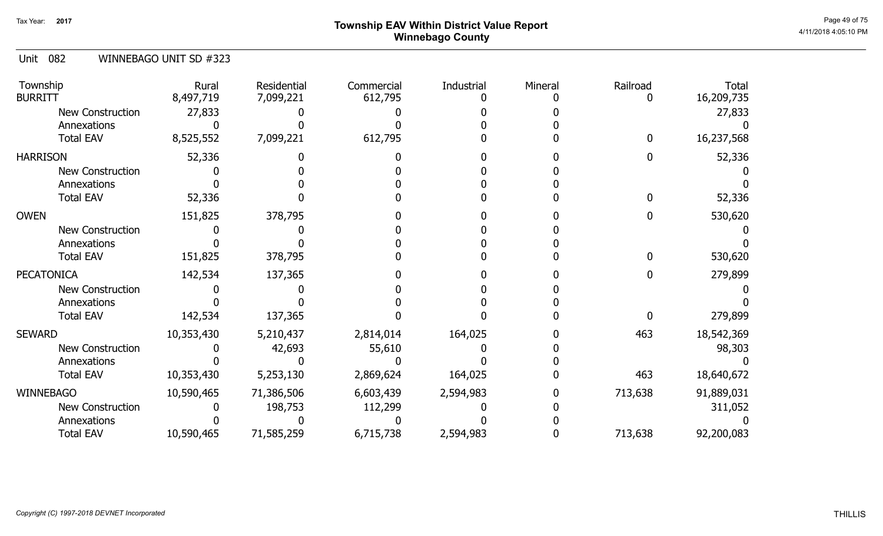# ${\sf Township}$   ${\sf EAV}$  Within District Value Report  $^{\sf Page~49~of~75}$ Winnebago County

#### Unit 082 WINNEBAGO UNIT SD #323

| Township<br><b>BURRITT</b> | Rural<br>8,497,719 | Residential<br>7,099,221 | Commercial<br>612,795 | Industrial | Mineral | Railroad | <b>Total</b><br>16,209,735 |
|----------------------------|--------------------|--------------------------|-----------------------|------------|---------|----------|----------------------------|
| <b>New Construction</b>    | 27,833             |                          |                       |            |         |          | 27,833                     |
| Annexations                |                    |                          |                       |            |         |          |                            |
| <b>Total EAV</b>           | 8,525,552          | 7,099,221                | 612,795               |            |         | 0        | 16,237,568                 |
| <b>HARRISON</b>            | 52,336             |                          |                       |            |         |          | 52,336                     |
| <b>New Construction</b>    |                    |                          |                       |            |         |          |                            |
| Annexations                |                    |                          |                       |            |         |          |                            |
| <b>Total EAV</b>           | 52,336             |                          |                       |            |         |          | 52,336                     |
| <b>OWEN</b>                | 151,825            | 378,795                  |                       |            |         |          | 530,620                    |
| <b>New Construction</b>    |                    |                          |                       |            |         |          |                            |
| Annexations                |                    |                          |                       |            |         |          |                            |
| <b>Total EAV</b>           | 151,825            | 378,795                  |                       |            |         |          | 530,620                    |
| <b>PECATONICA</b>          | 142,534            | 137,365                  |                       |            |         |          | 279,899                    |
| <b>New Construction</b>    |                    |                          |                       |            |         |          |                            |
| Annexations                |                    |                          |                       |            |         |          |                            |
| <b>Total EAV</b>           | 142,534            | 137,365                  |                       |            |         |          | 279,899                    |
| <b>SEWARD</b>              | 10,353,430         | 5,210,437                | 2,814,014             | 164,025    |         | 463      | 18,542,369                 |
| New Construction           |                    | 42,693                   | 55,610                |            |         |          | 98,303                     |
| Annexations                |                    |                          |                       |            |         |          |                            |
| <b>Total EAV</b>           | 10,353,430         | 5,253,130                | 2,869,624             | 164,025    |         | 463      | 18,640,672                 |
| <b>WINNEBAGO</b>           | 10,590,465         | 71,386,506               | 6,603,439             | 2,594,983  |         | 713,638  | 91,889,031                 |
| <b>New Construction</b>    |                    | 198,753                  | 112,299               |            |         |          | 311,052                    |
| Annexations                |                    |                          |                       |            |         |          |                            |
| <b>Total EAV</b>           | 10,590,465         | 71,585,259               | 6,715,738             | 2,594,983  |         | 713,638  | 92,200,083                 |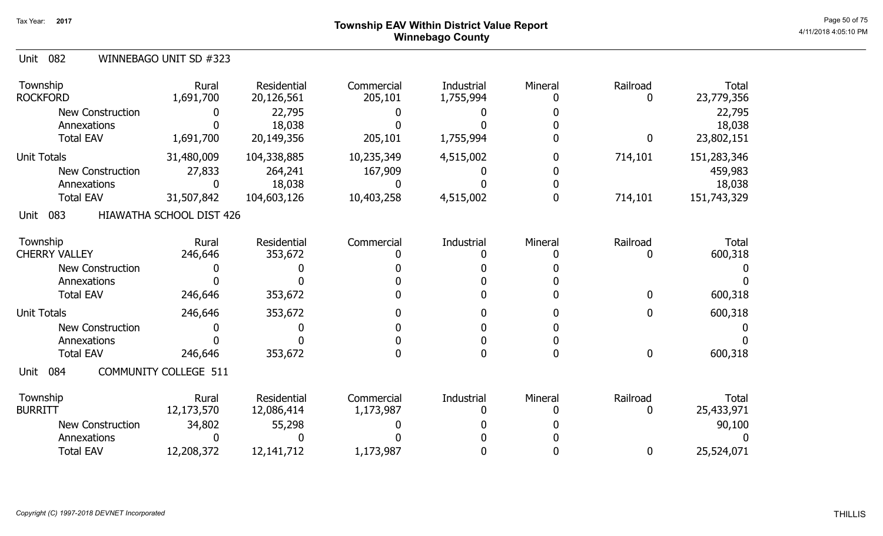# ${\sf Township}$   ${\sf EAV}$  Within District Value Report  $^{\sf Page\,50\,of\,75}$ Winnebago County

| Unit 082 |  | WINNEBAGO UNIT SD #323 |
|----------|--|------------------------|
|----------|--|------------------------|

| Township<br><b>ROCKFORD</b>            | Rural<br>1,691,700           | Residential<br>20,126,561 | Commercial<br>205,101   | Industrial<br>1,755,994 | Mineral | Railroad<br>O | <b>Total</b><br>23,779,356 |
|----------------------------------------|------------------------------|---------------------------|-------------------------|-------------------------|---------|---------------|----------------------------|
| <b>New Construction</b><br>Annexations |                              | 22,795                    |                         |                         |         |               | 22,795                     |
| <b>Total EAV</b>                       | 1,691,700                    | 18,038<br>20,149,356      | 205,101                 | 1,755,994               |         | 0             | 18,038<br>23,802,151       |
| <b>Unit Totals</b>                     | 31,480,009                   | 104,338,885               | 10,235,349              | 4,515,002               |         | 714,101       | 151,283,346                |
| New Construction                       | 27,833                       | 264,241                   | 167,909                 |                         |         |               | 459,983                    |
| Annexations                            |                              | 18,038                    |                         |                         |         |               | 18,038                     |
| <b>Total EAV</b>                       | 31,507,842                   | 104,603,126               | 10,403,258              | 4,515,002               |         | 714,101       | 151,743,329                |
| 083<br>Unit                            | HIAWATHA SCHOOL DIST 426     |                           |                         |                         |         |               |                            |
| Township<br><b>CHERRY VALLEY</b>       | Rural<br>246,646             | Residential<br>353,672    | Commercial              | Industrial              | Mineral | Railroad      | <b>Total</b><br>600,318    |
| <b>New Construction</b>                |                              |                           |                         |                         |         |               |                            |
| Annexations                            |                              |                           |                         |                         |         |               |                            |
| <b>Total EAV</b>                       | 246,646                      | 353,672                   |                         |                         |         | $\mathbf{0}$  | 600,318                    |
| <b>Unit Totals</b>                     | 246,646                      | 353,672                   |                         |                         |         | $\mathbf 0$   | 600,318                    |
| <b>New Construction</b>                |                              |                           |                         |                         |         |               |                            |
| Annexations                            |                              |                           |                         |                         |         |               |                            |
| <b>Total EAV</b>                       | 246,646                      | 353,672                   |                         |                         |         | $\mathbf 0$   | 600,318                    |
| 084<br>Unit                            | <b>COMMUNITY COLLEGE 511</b> |                           |                         |                         |         |               |                            |
| Township<br><b>BURRITT</b>             | Rural<br>12,173,570          | Residential<br>12,086,414 | Commercial<br>1,173,987 | Industrial              | Mineral | Railroad<br>0 | <b>Total</b><br>25,433,971 |
| <b>New Construction</b>                | 34,802                       | 55,298                    |                         |                         |         |               | 90,100                     |
| Annexations                            |                              |                           |                         |                         |         |               |                            |
| <b>Total EAV</b>                       | 12,208,372                   | 12, 141, 712              | 1,173,987               |                         |         | 0             | 25,524,071                 |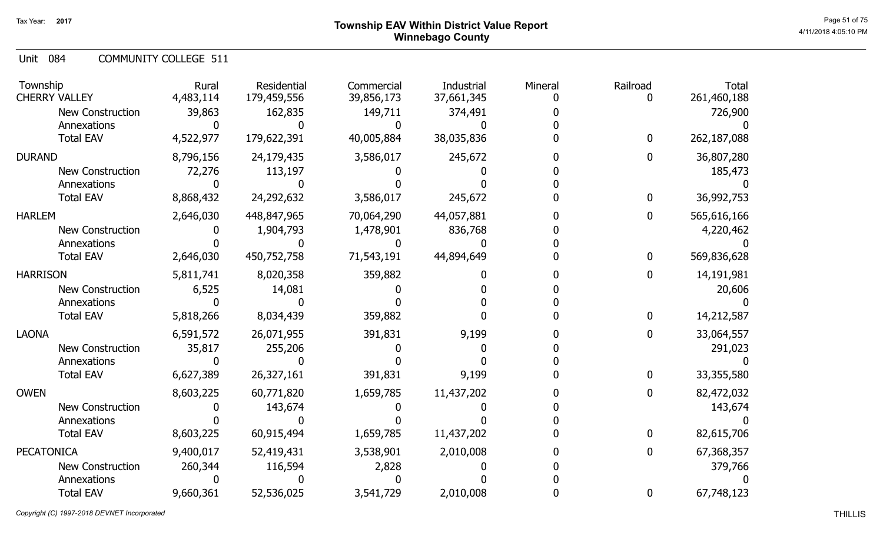# ${\sf Township}$   ${\sf EAV}$  Within District Value Report  $^{\sf Page\,51\,0f75}$ Winnebago County

Unit 084 COMMUNITY COLLEGE 511

| Township<br><b>CHERRY VALLEY</b> | Rural<br>4,483,114 | Residential<br>179,459,556 | Commercial<br>39,856,173 | Industrial<br>37,661,345 | Mineral | Railroad<br>0 | <b>Total</b><br>261,460,188 |
|----------------------------------|--------------------|----------------------------|--------------------------|--------------------------|---------|---------------|-----------------------------|
| New Construction                 | 39,863             | 162,835                    | 149,711                  | 374,491                  |         |               | 726,900                     |
| Annexations                      |                    |                            |                          |                          |         |               |                             |
| <b>Total EAV</b>                 | 4,522,977          | 179,622,391                | 40,005,884               | 38,035,836               |         | 0             | 262,187,088                 |
| <b>DURAND</b>                    | 8,796,156          | 24,179,435                 | 3,586,017                | 245,672                  |         | O.            | 36,807,280                  |
| <b>New Construction</b>          | 72,276             | 113,197                    |                          |                          |         |               | 185,473                     |
| Annexations                      |                    |                            |                          |                          |         |               |                             |
| <b>Total EAV</b>                 | 8,868,432          | 24,292,632                 | 3,586,017                | 245,672                  |         | 0             | 36,992,753                  |
| <b>HARLEM</b>                    | 2,646,030          | 448,847,965                | 70,064,290               | 44,057,881               |         | 0             | 565,616,166                 |
| <b>New Construction</b>          |                    | 1,904,793                  | 1,478,901                | 836,768                  |         |               | 4,220,462                   |
| Annexations                      |                    |                            |                          |                          |         |               |                             |
| <b>Total EAV</b>                 | 2,646,030          | 450,752,758                | 71,543,191               | 44,894,649               |         | 0             | 569,836,628                 |
| <b>HARRISON</b>                  | 5,811,741          | 8,020,358                  | 359,882                  |                          |         | 0             | 14,191,981                  |
| <b>New Construction</b>          | 6,525              | 14,081                     |                          |                          |         |               | 20,606                      |
| Annexations                      |                    |                            |                          |                          |         |               |                             |
| <b>Total EAV</b>                 | 5,818,266          | 8,034,439                  | 359,882                  |                          |         | 0             | 14,212,587                  |
| <b>LAONA</b>                     | 6,591,572          | 26,071,955                 | 391,831                  | 9,199                    |         | 0             | 33,064,557                  |
| <b>New Construction</b>          | 35,817             | 255,206                    |                          |                          |         |               | 291,023                     |
| Annexations                      |                    |                            |                          |                          |         |               |                             |
| <b>Total EAV</b>                 | 6,627,389          | 26,327,161                 | 391,831                  | 9,199                    |         | 0             | 33,355,580                  |
| <b>OWEN</b>                      | 8,603,225          | 60,771,820                 | 1,659,785                | 11,437,202               |         | 0             | 82,472,032                  |
| New Construction                 |                    | 143,674                    |                          |                          |         |               | 143,674                     |
| Annexations                      |                    |                            |                          |                          |         |               |                             |
| <b>Total EAV</b>                 | 8,603,225          | 60,915,494                 | 1,659,785                | 11,437,202               |         | 0             | 82,615,706                  |
| <b>PECATONICA</b>                | 9,400,017          | 52,419,431                 | 3,538,901                | 2,010,008                |         | 0             | 67,368,357                  |
| <b>New Construction</b>          | 260,344            | 116,594                    | 2,828                    |                          |         |               | 379,766                     |
| Annexations                      |                    |                            |                          |                          |         |               |                             |
| <b>Total EAV</b>                 | 9,660,361          | 52,536,025                 | 3,541,729                | 2,010,008                |         | 0             | 67,748,123                  |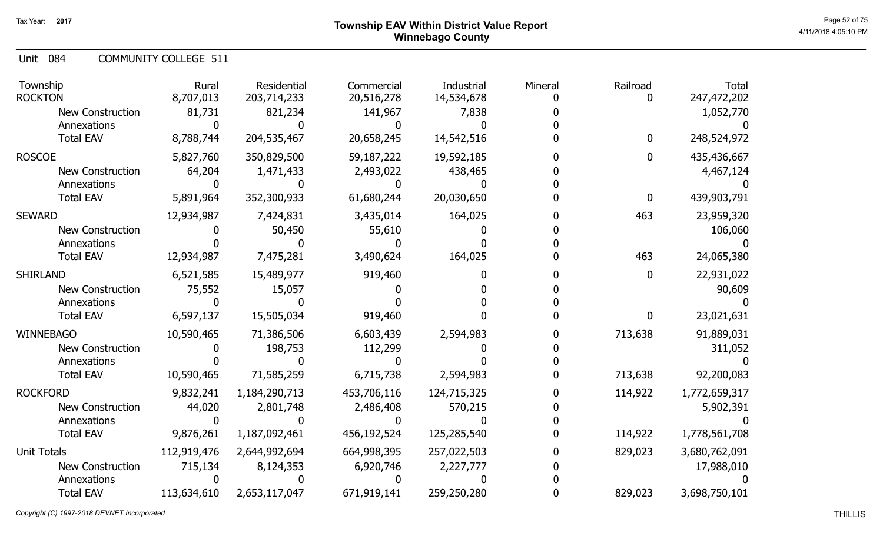# ${\sf Township~EAV~Within~District~Value~Report} \nonumber \hspace{5em} \begin{array}{c} {\sf Page~52~of~75} \nonumber \ {\sf 10~Page~52~of~75} \nonumber \end{array}$ Winnebago County

Unit 084 COMMUNITY COLLEGE 511

| Township<br><b>ROCKTON</b>                                                     | Rural<br>8,707,013       | Residential<br>203,714,233          | Commercial<br>20,516,278          | Industrial<br>14,534,678 | Mineral | Railroad           | <b>Total</b><br>247,472,202         |
|--------------------------------------------------------------------------------|--------------------------|-------------------------------------|-----------------------------------|--------------------------|---------|--------------------|-------------------------------------|
| <b>New Construction</b><br>Annexations                                         | 81,731                   | 821,234                             | 141,967                           | 7,838                    |         |                    | 1,052,770                           |
| <b>Total EAV</b>                                                               | 8,788,744                | 204,535,467                         | 20,658,245                        | 14,542,516               |         | 0                  | 248,524,972                         |
| <b>ROSCOE</b><br><b>New Construction</b>                                       | 5,827,760<br>64,204      | 350,829,500<br>1,471,433            | 59,187,222<br>2,493,022           | 19,592,185<br>438,465    |         | $\mathbf{0}$       | 435,436,667<br>4,467,124            |
| Annexations<br><b>Total EAV</b>                                                | 5,891,964                | 352,300,933                         | 61,680,244                        | 20,030,650               |         | 0                  | 439,903,791                         |
| <b>SEWARD</b><br><b>New Construction</b>                                       | 12,934,987               | 7,424,831<br>50,450                 | 3,435,014<br>55,610               | 164,025                  |         | 463                | 23,959,320<br>106,060               |
| Annexations<br><b>Total EAV</b>                                                | 12,934,987               | 7,475,281                           | 3,490,624                         | 164,025                  |         | 463                | 24,065,380                          |
| <b>SHIRLAND</b><br><b>New Construction</b><br>Annexations                      | 6,521,585<br>75,552      | 15,489,977<br>15,057                | 919,460                           |                          |         | 0                  | 22,931,022<br>90,609                |
| <b>Total EAV</b>                                                               | 6,597,137                | 15,505,034                          | 919,460                           |                          |         | 0                  | 23,021,631                          |
| <b>WINNEBAGO</b><br><b>New Construction</b><br>Annexations<br><b>Total EAV</b> | 10,590,465<br>10,590,465 | 71,386,506<br>198,753<br>71,585,259 | 6,603,439<br>112,299<br>6,715,738 | 2,594,983<br>2,594,983   |         | 713,638<br>713,638 | 91,889,031<br>311,052<br>92,200,083 |
| <b>ROCKFORD</b><br><b>New Construction</b><br>Annexations                      | 9,832,241<br>44,020      | 1,184,290,713<br>2,801,748          | 453,706,116<br>2,486,408          | 124,715,325<br>570,215   |         | 114,922            | 1,772,659,317<br>5,902,391          |
| <b>Total EAV</b>                                                               | 9,876,261                | 1,187,092,461                       | 456,192,524                       | 125,285,540              |         | 114,922            | 1,778,561,708                       |
| <b>Unit Totals</b><br><b>New Construction</b><br>Annexations                   | 112,919,476<br>715,134   | 2,644,992,694<br>8,124,353          | 664,998,395<br>6,920,746          | 257,022,503<br>2,227,777 |         | 829,023            | 3,680,762,091<br>17,988,010         |
| <b>Total EAV</b>                                                               | 113,634,610              | 2,653,117,047                       | 671,919,141                       | 259,250,280              |         | 829,023            | 3,698,750,101                       |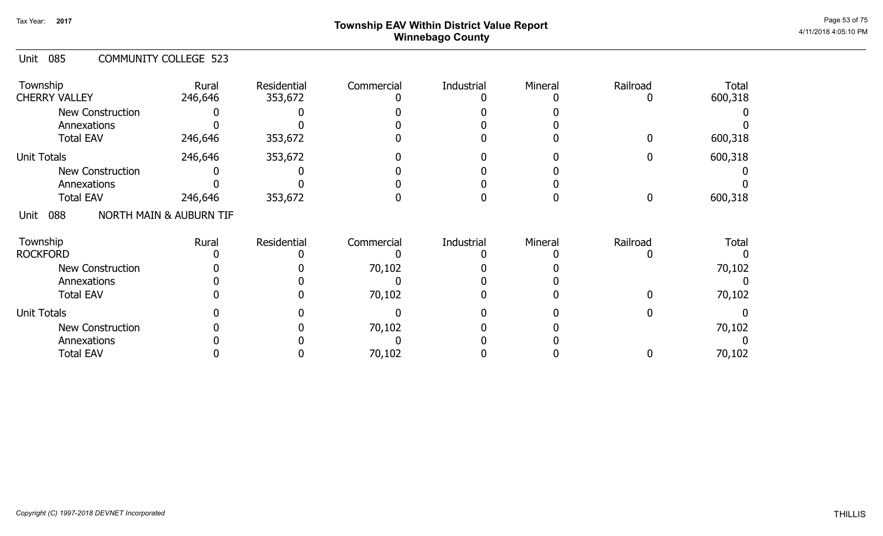# ${\sf Township}$   ${\sf EAV}$  Within District Value Report  $^{\sf Page\,53\,of\,75}$ Winnebago County

#### Unit 085 COMMUNITY COLLEGE 523

| Township<br><b>CHERRY VALLEY</b> | Rural<br>246,646                   | Residential<br>353,672 | Commercial | Industrial | Mineral | Railroad | <b>Total</b><br>600,318 |
|----------------------------------|------------------------------------|------------------------|------------|------------|---------|----------|-------------------------|
| <b>New Construction</b>          |                                    |                        |            |            |         |          |                         |
| Annexations                      |                                    |                        |            |            |         |          |                         |
| <b>Total EAV</b>                 | 246,646                            | 353,672                |            |            |         |          | 600,318                 |
| <b>Unit Totals</b>               | 246,646                            | 353,672                |            |            |         |          | 600,318                 |
| <b>New Construction</b>          |                                    |                        |            |            |         |          |                         |
| Annexations                      |                                    |                        |            |            |         |          |                         |
| <b>Total EAV</b>                 | 246,646                            | 353,672                |            |            |         |          | 600,318                 |
| 088<br>Unit                      | <b>NORTH MAIN &amp; AUBURN TIF</b> |                        |            |            |         |          |                         |
| Township                         | Rural                              | Residential            | Commercial | Industrial | Mineral | Railroad | <b>Total</b>            |
| <b>ROCKFORD</b>                  |                                    |                        |            |            |         |          |                         |
| <b>New Construction</b>          |                                    |                        | 70,102     |            |         |          | 70,102                  |
| Annexations                      |                                    |                        |            |            |         |          |                         |
| <b>Total EAV</b>                 |                                    |                        | 70,102     |            |         |          | 70,102                  |
| <b>Unit Totals</b>               |                                    |                        |            |            |         |          |                         |
| <b>New Construction</b>          |                                    |                        | 70,102     |            |         |          | 70,102                  |
| Annexations                      |                                    |                        |            |            |         |          |                         |
| <b>Total EAV</b>                 |                                    |                        | 70,102     |            |         |          | 70,102                  |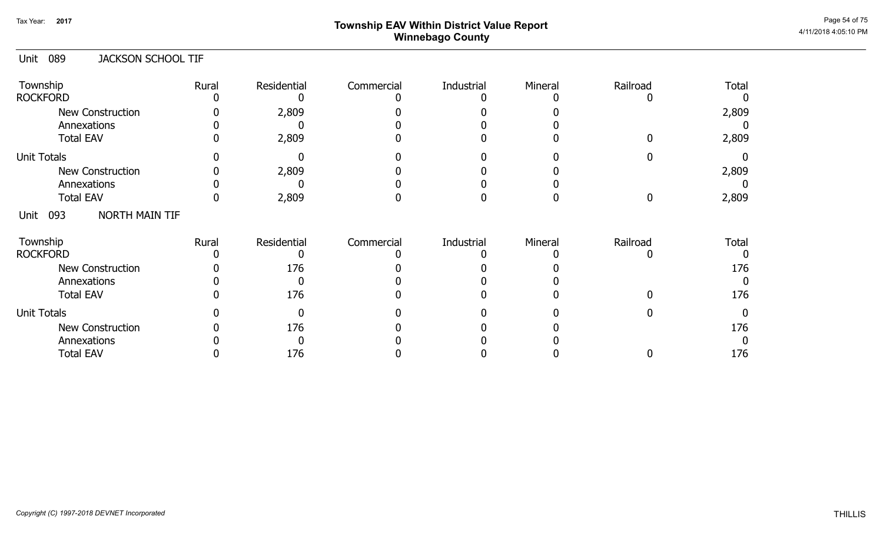# ${\sf Township}$   ${\sf EAV}$  Within District Value Report  $^{\sf Page\,54\,of\,75}$ Winnebago County

#### 089 Unit JACKSON SCHOOL TIF

| Township<br><b>ROCKFORD</b>     | Rural | Residential | Commercial | Industrial | Mineral | Railroad | <b>Total</b> |
|---------------------------------|-------|-------------|------------|------------|---------|----------|--------------|
| New Construction<br>Annexations |       | 2,809       |            |            |         |          | 2,809        |
| <b>Total EAV</b>                |       | 2,809       |            |            |         |          | 2,809        |
| <b>Unit Totals</b>              |       |             |            |            |         |          |              |
| <b>New Construction</b>         |       | 2,809       |            |            |         |          | 2,809        |
| Annexations                     |       |             |            |            |         |          |              |
| <b>Total EAV</b>                |       | 2,809       |            |            |         |          | 2,809        |
| NORTH MAIN TIF<br>093<br>Unit   |       |             |            |            |         |          |              |
| Township<br><b>ROCKFORD</b>     | Rural | Residential | Commercial | Industrial | Mineral | Railroad | <b>Total</b> |
| <b>New Construction</b>         |       | 176         |            |            |         |          | 176          |
| Annexations                     |       |             |            |            |         |          |              |
| <b>Total EAV</b>                |       | 176         |            |            |         |          | 176          |
| <b>Unit Totals</b>              |       |             |            |            |         |          |              |
| <b>New Construction</b>         |       | 176         |            |            |         |          | 176          |
| Annexations                     |       |             |            |            |         |          |              |
| <b>Total EAV</b>                |       | 176         |            |            |         |          | 176          |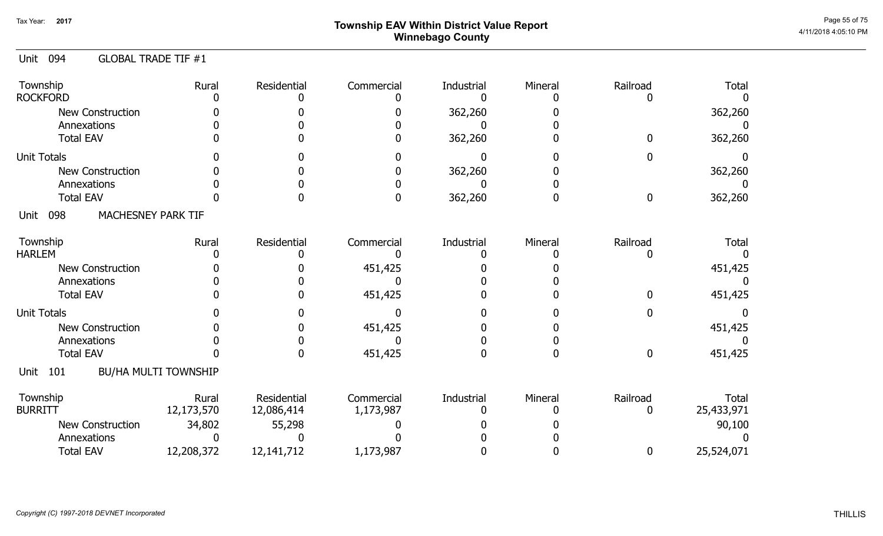# ${\sf Township}$   ${\sf EAV}$  Within District Value Report  $^{\sf Page\,55\,of\,75}$ Winnebago County

#### Unit 094 GLOBAL TRADE TIF #1

| Township<br><b>ROCKFORD</b>       | Rural                       | Residential               | Commercial              | Industrial | Mineral | Railroad      | <b>Total</b>               |
|-----------------------------------|-----------------------------|---------------------------|-------------------------|------------|---------|---------------|----------------------------|
| <b>New Construction</b>           |                             |                           |                         | 362,260    |         |               | 362,260                    |
| Annexations                       |                             |                           |                         |            |         |               |                            |
| <b>Total EAV</b>                  |                             |                           |                         | 362,260    |         |               | 362,260                    |
| <b>Unit Totals</b>                |                             |                           |                         |            |         |               |                            |
| <b>New Construction</b>           |                             |                           |                         | 362,260    |         |               | 362,260                    |
| Annexations                       |                             |                           |                         |            |         |               |                            |
| <b>Total EAV</b>                  |                             |                           |                         | 362,260    |         | 0             | 362,260                    |
| MACHESNEY PARK TIF<br>098<br>Unit |                             |                           |                         |            |         |               |                            |
| Township                          | Rural                       | Residential               | Commercial              | Industrial | Mineral | Railroad      | <b>Total</b>               |
| <b>HARLEM</b>                     |                             |                           |                         |            |         |               |                            |
| <b>New Construction</b>           |                             |                           | 451,425                 |            |         |               | 451,425                    |
| Annexations                       |                             |                           |                         |            |         |               |                            |
| <b>Total EAV</b>                  |                             |                           | 451,425                 |            |         |               | 451,425                    |
| <b>Unit Totals</b>                |                             |                           |                         |            |         |               |                            |
| <b>New Construction</b>           |                             |                           | 451,425                 |            |         |               | 451,425                    |
| Annexations                       |                             |                           |                         |            |         |               |                            |
| <b>Total EAV</b>                  |                             |                           | 451,425                 |            |         | 0             | 451,425                    |
| 101<br>Unit                       | <b>BU/HA MULTI TOWNSHIP</b> |                           |                         |            |         |               |                            |
| Township<br><b>BURRITT</b>        | Rural<br>12,173,570         | Residential<br>12,086,414 | Commercial<br>1,173,987 | Industrial | Mineral | Railroad<br>0 | <b>Total</b><br>25,433,971 |
| New Construction                  | 34,802                      | 55,298                    |                         |            |         |               | 90,100                     |
| Annexations                       |                             |                           |                         |            |         |               |                            |
| <b>Total EAV</b>                  | 12,208,372                  | 12, 141, 712              | 1,173,987               |            |         | 0             | 25,524,071                 |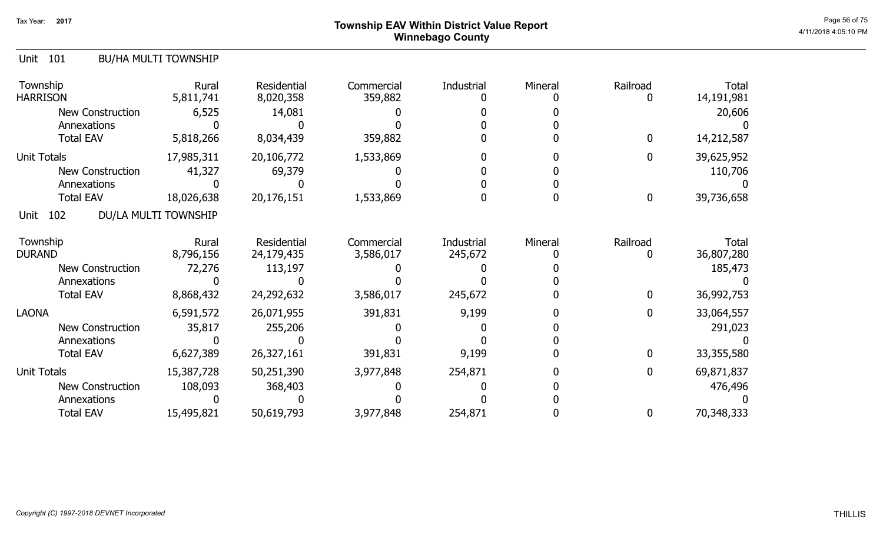# ${\sf Township}$   ${\sf EAV}$  Within District Value Report  $^{\sf Page\,56\,675}$ Winnebago County

#### Unit 101 BU/HA MULTI TOWNSHIP

| Township<br><b>HARRISON</b> | Rural<br>5,811,741   | Residential<br>8,020,358 | Commercial<br>359,882 | Industrial | Mineral | Railroad     | <b>Total</b><br>14,191,981 |
|-----------------------------|----------------------|--------------------------|-----------------------|------------|---------|--------------|----------------------------|
| New Construction            | 6,525                | 14,081                   |                       |            |         |              | 20,606                     |
| Annexations                 |                      |                          |                       |            |         |              |                            |
| <b>Total EAV</b>            | 5,818,266            | 8,034,439                | 359,882               |            |         | $\mathbf{0}$ | 14,212,587                 |
| <b>Unit Totals</b>          | 17,985,311           | 20,106,772               | 1,533,869             |            |         | $\mathbf 0$  | 39,625,952                 |
| New Construction            | 41,327               | 69,379                   |                       |            |         |              | 110,706                    |
| Annexations                 |                      |                          |                       |            |         |              |                            |
| <b>Total EAV</b>            | 18,026,638           | 20,176,151               | 1,533,869             |            |         | $\mathbf 0$  | 39,736,658                 |
| 102<br>Unit                 | DU/LA MULTI TOWNSHIP |                          |                       |            |         |              |                            |
| Township                    | Rural                | Residential              | Commercial            | Industrial | Mineral | Railroad     | Total                      |
| <b>DURAND</b>               | 8,796,156            | 24,179,435               | 3,586,017             | 245,672    |         |              | 36,807,280                 |
| New Construction            | 72,276               | 113,197                  |                       |            |         |              | 185,473                    |
| Annexations                 |                      |                          |                       |            |         |              |                            |
| <b>Total EAV</b>            | 8,868,432            | 24,292,632               | 3,586,017             | 245,672    |         | $\mathbf 0$  | 36,992,753                 |
| <b>LAONA</b>                | 6,591,572            | 26,071,955               | 391,831               | 9,199      |         | 0            | 33,064,557                 |
| <b>New Construction</b>     | 35,817               | 255,206                  |                       |            |         |              | 291,023                    |
| Annexations                 |                      |                          |                       |            |         |              |                            |
| <b>Total EAV</b>            | 6,627,389            | 26,327,161               | 391,831               | 9,199      |         | 0            | 33,355,580                 |
| <b>Unit Totals</b>          | 15,387,728           | 50,251,390               | 3,977,848             | 254,871    |         | 0            | 69,871,837                 |
| <b>New Construction</b>     | 108,093              | 368,403                  |                       |            |         |              | 476,496                    |
| Annexations                 |                      |                          |                       |            |         |              |                            |
| <b>Total EAV</b>            | 15,495,821           | 50,619,793               | 3,977,848             | 254,871    |         | $\mathbf 0$  | 70,348,333                 |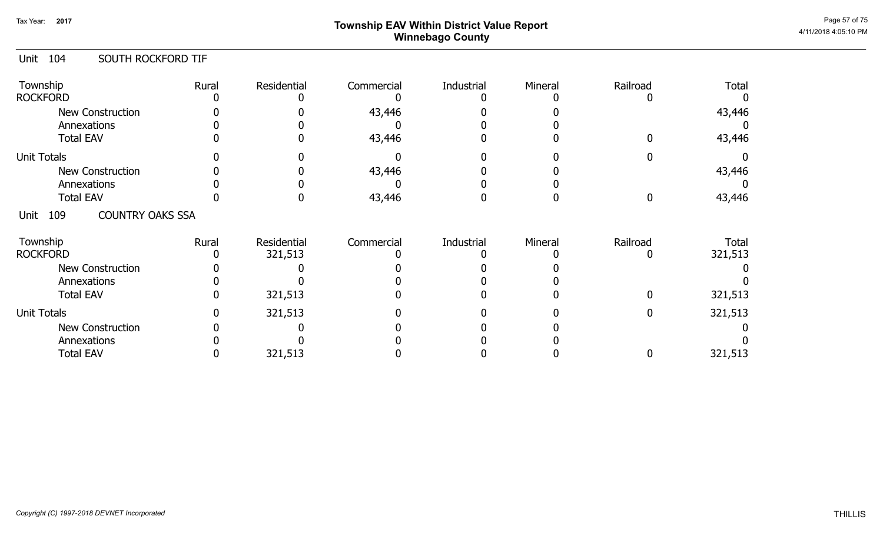# ${\sf Township}$   ${\sf EAV}$  Within District Value Report  $^{\sf Page\,57\,of\,75}$ Winnebago County

#### Unit 104 SOUTH ROCKFORD TIF

| Township<br><b>ROCKFORD</b>            | Rural | Residential | Commercial | Industrial | Mineral | Railroad | <b>Total</b> |
|----------------------------------------|-------|-------------|------------|------------|---------|----------|--------------|
| <b>New Construction</b>                |       |             | 43,446     |            |         |          | 43,446       |
| Annexations                            |       |             |            |            |         |          |              |
| <b>Total EAV</b>                       |       |             | 43,446     |            |         |          | 43,446       |
| <b>Unit Totals</b>                     |       |             |            |            |         |          |              |
| <b>New Construction</b>                |       |             | 43,446     |            |         |          | 43,446       |
| Annexations                            |       |             |            |            |         |          |              |
| <b>Total EAV</b>                       |       |             | 43,446     |            |         |          | 43,446       |
| <b>COUNTRY OAKS SSA</b><br>109<br>Unit |       |             |            |            |         |          |              |
| Township                               | Rural | Residential | Commercial | Industrial | Mineral | Railroad | Total        |
| <b>ROCKFORD</b>                        |       | 321,513     |            |            |         |          | 321,513      |
| <b>New Construction</b>                |       |             |            |            |         |          |              |
| Annexations                            |       |             |            |            |         |          |              |
| <b>Total EAV</b>                       |       | 321,513     |            |            |         |          | 321,513      |
| <b>Unit Totals</b>                     |       | 321,513     |            |            |         |          | 321,513      |
| <b>New Construction</b>                |       |             |            |            |         |          |              |
| Annexations                            |       |             |            |            |         |          |              |
| <b>Total EAV</b>                       |       | 321,513     |            |            |         |          | 321,513      |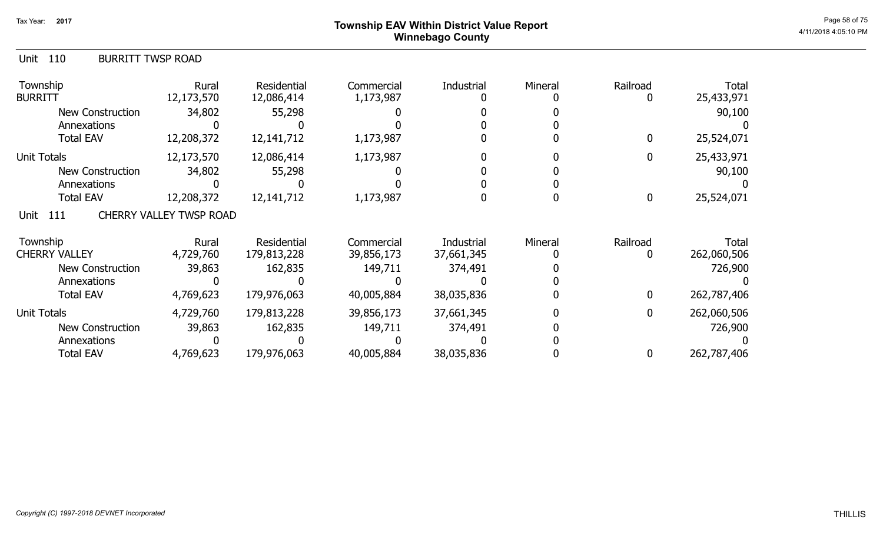# ${\sf Township}$   ${\sf EAV}$  Within District Value Report  $^{\sf Page\,58\,of\,75}$ Winnebago County

| 110<br><b>BURRITT TWSP ROAD</b><br>Unit |                         |                           |                         |            |         |               |                     |
|-----------------------------------------|-------------------------|---------------------------|-------------------------|------------|---------|---------------|---------------------|
| Township<br>BURRITT                     | Rural<br>12,173,570     | Residential<br>12,086,414 | Commercial<br>1,173,987 | Industrial | Mineral | Railroad<br>0 | Total<br>25,433,971 |
| <b>New Construction</b>                 | 34,802                  | 55,298                    |                         |            |         |               | 90,100              |
| Annexations                             |                         |                           |                         |            |         |               |                     |
| <b>Total EAV</b>                        | 12,208,372              | 12, 141, 712              | 1,173,987               |            |         | 0             | 25,524,071          |
| Unit Totals                             | 12,173,570              | 12,086,414                | 1,173,987               |            |         | $\mathbf{0}$  | 25,433,971          |
| <b>New Construction</b>                 | 34,802                  | 55,298                    |                         |            |         |               | 90,100              |
| Annexations                             |                         |                           |                         |            |         |               |                     |
| <b>Total EAV</b>                        | 12,208,372              | 12, 141, 712              | 1,173,987               |            |         | $\mathbf 0$   | 25,524,071          |
| 111<br>Unit                             | CHERRY VALLEY TWSP ROAD |                           |                         |            |         |               |                     |
| Township                                | Rural                   | Residential               | Commercial              | Industrial | Mineral | Railroad      | Total               |
| <b>CHERRY VALLEY</b>                    | 4,729,760               | 179,813,228               | 39,856,173              | 37,661,345 |         | 0             | 262,060,506         |
| <b>New Construction</b>                 | 39,863                  | 162,835                   | 149,711                 | 374,491    |         |               | 726,900             |
| Annexations                             |                         |                           |                         |            |         |               |                     |
| <b>Total EAV</b>                        | 4,769,623               | 179,976,063               | 40,005,884              | 38,035,836 |         | 0             | 262,787,406         |
| Unit Totals                             | 4,729,760               | 179,813,228               | 39,856,173              | 37,661,345 |         | 0             | 262,060,506         |
| <b>New Construction</b>                 | 39,863                  | 162,835                   | 149,711                 | 374,491    |         |               | 726,900             |
| Annexations                             |                         |                           |                         |            |         |               |                     |
| <b>Total EAV</b>                        | 4,769,623               | 179,976,063               | 40,005,884              | 38,035,836 |         | 0             | 262,787,406         |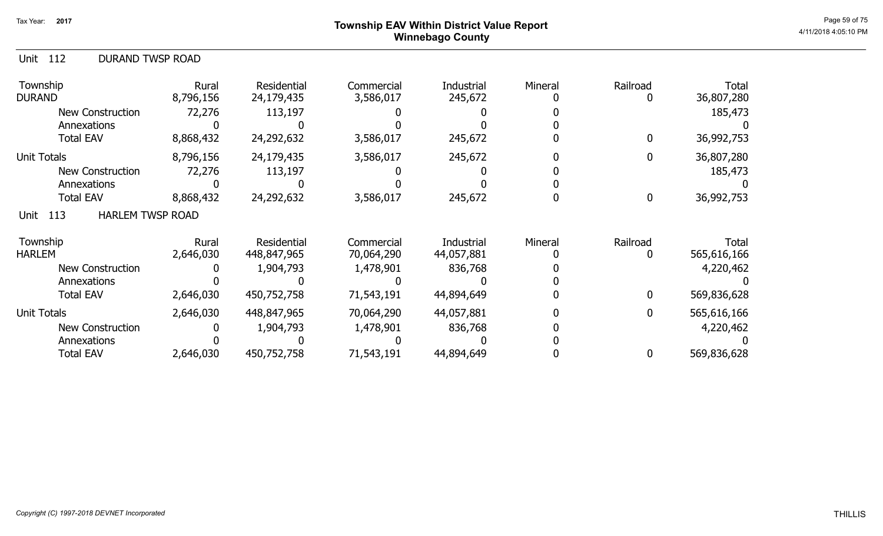## ${\sf Township}$   ${\sf EAV}$  Within District Value Report  $^{\sf Page\,59\,of\,75}$ Winnebago County

| 112<br><b>DURAND TWSP ROAD</b><br>Unit |                    |                                   |                          |                          |         |          |                      |
|----------------------------------------|--------------------|-----------------------------------|--------------------------|--------------------------|---------|----------|----------------------|
| Township<br>DURAND                     | Rural<br>8,796,156 | <b>Residential</b><br>24,179,435  | Commercial<br>3,586,017  | Industrial<br>245,672    | Mineral | Railroad | Total<br>36,807,280  |
| New Construction                       | 72,276             | 113,197                           |                          |                          |         |          | 185,473              |
| Annexations                            |                    |                                   |                          |                          |         |          |                      |
| <b>Total EAV</b>                       | 8,868,432          | 24,292,632                        | 3,586,017                | 245,672                  |         | 0        | 36,992,753           |
| Unit Totals                            | 8,796,156          | 24,179,435                        | 3,586,017                | 245,672                  |         | 0        | 36,807,280           |
| New Construction                       | 72,276             | 113,197                           |                          |                          |         |          | 185,473              |
| Annexations                            |                    |                                   |                          |                          |         |          |                      |
| <b>Total EAV</b>                       | 8,868,432          | 24,292,632                        | 3,586,017                | 245,672                  |         | 0        | 36,992,753           |
| <b>HARLEM TWSP ROAD</b><br>113<br>Unit |                    |                                   |                          |                          |         |          |                      |
| Township<br><b>HARLEM</b>              | Rural<br>2,646,030 | <b>Residential</b><br>448,847,965 | Commercial<br>70,064,290 | Industrial<br>44,057,881 | Mineral | Railroad | Total<br>565,616,166 |
| New Construction                       |                    | 1,904,793                         | 1,478,901                | 836,768                  |         |          | 4,220,462            |
| Annexations                            |                    |                                   |                          |                          |         |          |                      |
| <b>Total EAV</b>                       | 2,646,030          | 450,752,758                       | 71,543,191               | 44,894,649               |         | 0        | 569,836,628          |
| <b>Unit Totals</b>                     | 2,646,030          | 448,847,965                       | 70,064,290               | 44,057,881               |         | 0        | 565,616,166          |
| <b>New Construction</b>                |                    | 1,904,793                         | 1,478,901                | 836,768                  |         |          | 4,220,462            |
| Annexations                            |                    |                                   |                          |                          |         |          |                      |
| <b>Total EAV</b>                       | 2,646,030          | 450,752,758                       | 71,543,191               | 44,894,649               |         |          | 569,836,628          |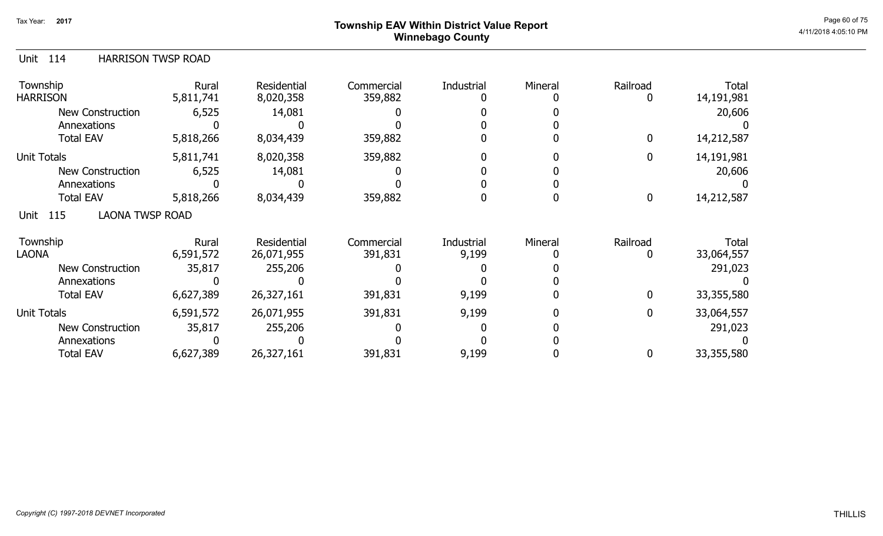# ${\sf Township~EAV~Within~District~Value~Report} \nonumber \hspace{5.5cm} \textrm{Page~60~of~75} \nonumber$ Winnebago County

| <b>HARRISON TWSP ROAD</b><br><b>Unit</b><br>114 |  |
|-------------------------------------------------|--|
|-------------------------------------------------|--|

| Township<br><b>HARRISON</b>        | Rural<br>5,811,741 | <b>Residential</b><br>8,020,358 | Commercial<br>359,882 | Industrial | Mineral | Railroad | <b>Total</b><br>14,191,981 |
|------------------------------------|--------------------|---------------------------------|-----------------------|------------|---------|----------|----------------------------|
| <b>New Construction</b>            | 6,525              | 14,081                          |                       |            |         |          | 20,606                     |
| Annexations                        |                    |                                 |                       |            |         |          |                            |
| <b>Total EAV</b>                   | 5,818,266          | 8,034,439                       | 359,882               |            |         | 0        | 14,212,587                 |
| <b>Unit Totals</b>                 | 5,811,741          | 8,020,358                       | 359,882               |            |         | 0        | 14,191,981                 |
| <b>New Construction</b>            | 6,525              | 14,081                          |                       |            |         |          | 20,606                     |
| Annexations                        |                    |                                 |                       |            |         |          |                            |
| <b>Total EAV</b>                   | 5,818,266          | 8,034,439                       | 359,882               |            |         | 0        | 14,212,587                 |
| <b>LAONA TWSP ROAD</b><br>Unit 115 |                    |                                 |                       |            |         |          |                            |
| Township                           | Rural              | Residential                     | Commercial            | Industrial | Mineral | Railroad | Total                      |
| <b>LAONA</b>                       | 6,591,572          | 26,071,955                      | 391,831               | 9,199      |         |          | 33,064,557                 |
| <b>New Construction</b>            | 35,817             | 255,206                         |                       |            |         |          | 291,023                    |
| Annexations                        |                    |                                 |                       |            |         |          |                            |
| <b>Total EAV</b>                   | 6,627,389          | 26,327,161                      | 391,831               | 9,199      |         | 0        | 33,355,580                 |
| <b>Unit Totals</b>                 | 6,591,572          | 26,071,955                      | 391,831               | 9,199      |         | 0        | 33,064,557                 |
| <b>New Construction</b>            | 35,817             | 255,206                         |                       |            |         |          | 291,023                    |
| Annexations                        |                    |                                 |                       |            |         |          |                            |
| <b>Total EAV</b>                   | 6,627,389          | 26,327,161                      | 391,831               | 9,199      |         | 0        | 33,355,580                 |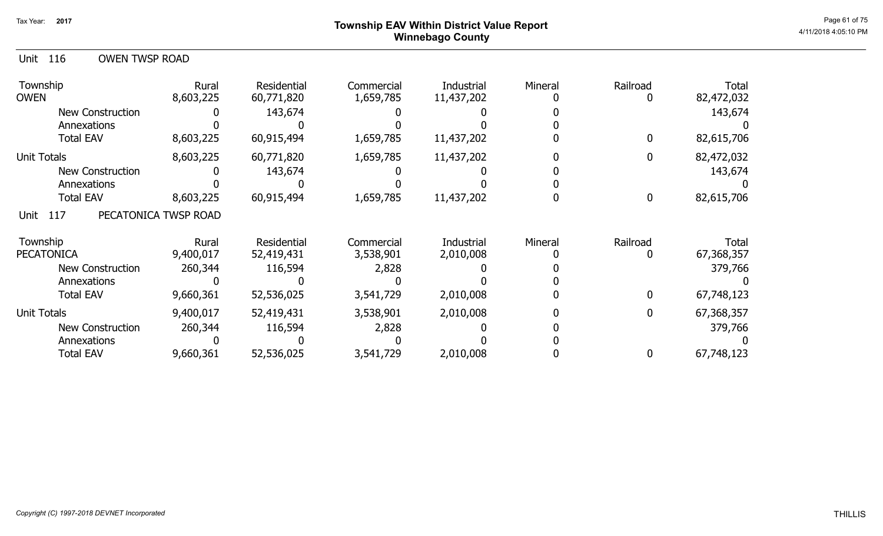## ${\sf Township}$   ${\sf EAV}$  Within District Value Report  $^{\sf Page\ 61\ of\ 75}$ Winnebago County

| 116<br><b>OWEN TWSP ROAD</b><br>Unit |                      |                           |                         |                          |         |                  |                     |
|--------------------------------------|----------------------|---------------------------|-------------------------|--------------------------|---------|------------------|---------------------|
| Township<br><b>OWEN</b>              | Rural<br>8,603,225   | Residential<br>60,771,820 | Commercial<br>1,659,785 | Industrial<br>11,437,202 | Mineral | Railroad         | Total<br>82,472,032 |
| New Construction                     |                      | 143,674                   |                         |                          |         |                  | 143,674             |
| Annexations                          |                      |                           |                         |                          |         |                  |                     |
| <b>Total EAV</b>                     | 8,603,225            | 60,915,494                | 1,659,785               | 11,437,202               |         | 0                | 82,615,706          |
| <b>Unit Totals</b>                   | 8,603,225            | 60,771,820                | 1,659,785               | 11,437,202               |         | 0                | 82,472,032          |
| <b>New Construction</b>              |                      | 143,674                   |                         |                          |         |                  | 143,674             |
| Annexations                          |                      |                           |                         |                          |         |                  |                     |
| <b>Total EAV</b>                     | 8,603,225            | 60,915,494                | 1,659,785               | 11,437,202               |         | $\boldsymbol{0}$ | 82,615,706          |
| Unit<br>117                          | PECATONICA TWSP ROAD |                           |                         |                          |         |                  |                     |
| Township                             | Rural                | Residential               | Commercial              | Industrial               | Mineral | Railroad         | Total               |
| <b>PECATONICA</b>                    | 9,400,017            | 52,419,431                | 3,538,901               | 2,010,008                |         | 0                | 67,368,357          |
| <b>New Construction</b>              | 260,344              | 116,594                   | 2,828                   |                          |         |                  | 379,766             |
| Annexations                          |                      |                           |                         |                          |         |                  |                     |
| <b>Total EAV</b>                     | 9,660,361            | 52,536,025                | 3,541,729               | 2,010,008                |         | $\overline{0}$   | 67,748,123          |
| <b>Unit Totals</b>                   | 9,400,017            | 52,419,431                | 3,538,901               | 2,010,008                |         | 0                | 67,368,357          |
| <b>New Construction</b>              | 260,344              | 116,594                   | 2,828                   |                          |         |                  | 379,766             |
| Annexations                          |                      |                           |                         |                          |         |                  |                     |
| <b>Total EAV</b>                     | 9,660,361            | 52,536,025                | 3,541,729               | 2,010,008                |         |                  | 67,748,123          |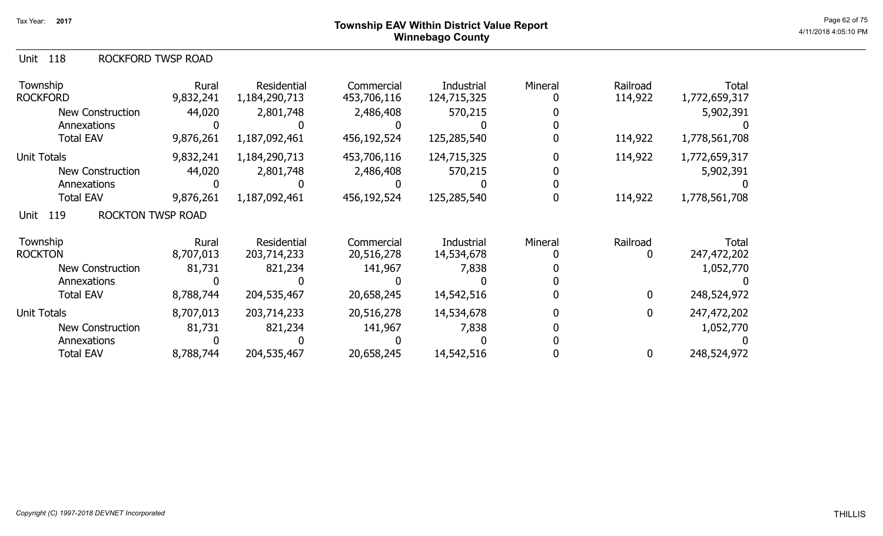| Township<br><b>ROCKFORD</b>             | Rural<br>9,832,241 | Residential<br>1,184,290,713 | Commercial<br>453,706,116 | Industrial<br>124,715,325 | Mineral | Railroad<br>114,922 | <b>Total</b><br>1,772,659,317 |
|-----------------------------------------|--------------------|------------------------------|---------------------------|---------------------------|---------|---------------------|-------------------------------|
| New Construction                        | 44,020             | 2,801,748                    | 2,486,408                 | 570,215                   |         |                     | 5,902,391                     |
| Annexations                             |                    |                              |                           |                           |         |                     |                               |
| <b>Total EAV</b>                        | 9,876,261          | 1,187,092,461                | 456,192,524               | 125,285,540               |         | 114,922             | 1,778,561,708                 |
| Unit Totals                             | 9,832,241          | 1,184,290,713                | 453,706,116               | 124,715,325               |         | 114,922             | 1,772,659,317                 |
| New Construction                        | 44,020             | 2,801,748                    | 2,486,408                 | 570,215                   |         |                     | 5,902,391                     |
| Annexations                             |                    |                              |                           |                           |         |                     |                               |
| <b>Total EAV</b>                        | 9,876,261          | 1,187,092,461                | 456,192,524               | 125,285,540               |         | 114,922             | 1,778,561,708                 |
| <b>ROCKTON TWSP ROAD</b><br>119<br>Unit |                    |                              |                           |                           |         |                     |                               |
| Township                                | Rural              | Residential                  | Commercial                | Industrial                | Mineral | Railroad            | Total                         |
| <b>ROCKTON</b>                          | 8,707,013          | 203,714,233                  | 20,516,278                | 14,534,678                |         |                     | 247,472,202                   |
| New Construction                        | 81,731             | 821,234                      | 141,967                   | 7,838                     |         |                     | 1,052,770                     |
| Annexations                             |                    |                              |                           |                           |         |                     |                               |
| <b>Total EAV</b>                        | 8,788,744          | 204,535,467                  | 20,658,245                | 14,542,516                |         | 0                   | 248,524,972                   |
| Unit Totals                             | 8,707,013          | 203,714,233                  | 20,516,278                | 14,534,678                |         | 0                   | 247,472,202                   |
| <b>New Construction</b>                 | 81,731             | 821,234                      | 141,967                   | 7,838                     |         |                     | 1,052,770                     |
| Annexations                             |                    |                              |                           |                           |         |                     |                               |
| <b>Total EAV</b>                        | 8,788,744          | 204,535,467                  | 20,658,245                | 14,542,516                |         | 0                   | 248,524,972                   |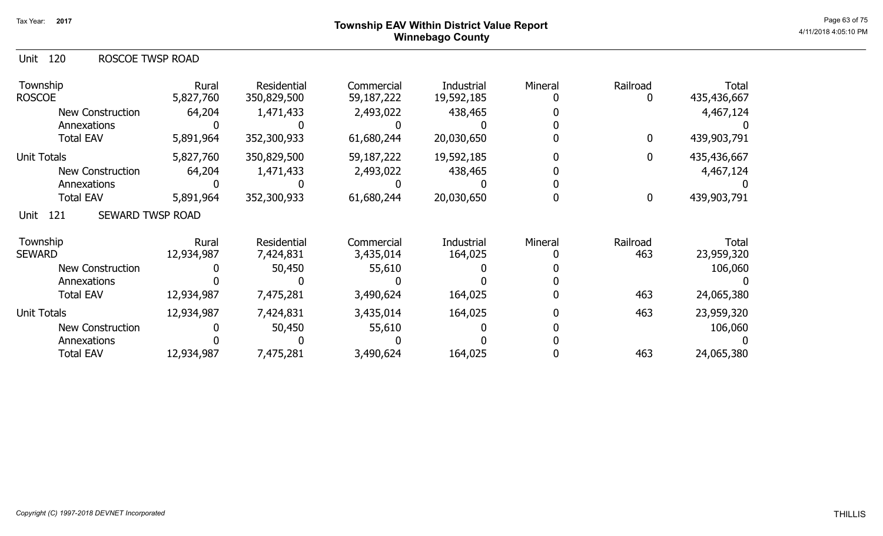## ${\sf Township}$   ${\sf EAV}$  Within District Value Report  $^{\sf Page\,63\,of\,75}$ Winnebago County

| Unit 120 | ROSCOE TWSP ROAD |
|----------|------------------|
|          |                  |

| Township<br><b>ROSCOE</b>              | Rural<br>5,827,760 | Residential<br>350,829,500 | Commercial<br>59,187,222 | Industrial<br>19,592,185 | Mineral | Railroad | <b>Total</b><br>435,436,667 |
|----------------------------------------|--------------------|----------------------------|--------------------------|--------------------------|---------|----------|-----------------------------|
| <b>New Construction</b>                | 64,204             | 1,471,433                  | 2,493,022                | 438,465                  |         |          | 4,467,124                   |
| Annexations                            |                    |                            |                          |                          |         |          |                             |
| <b>Total EAV</b>                       | 5,891,964          | 352,300,933                | 61,680,244               | 20,030,650               |         | 0        | 439,903,791                 |
| <b>Unit Totals</b>                     | 5,827,760          | 350,829,500                | 59,187,222               | 19,592,185               |         | 0        | 435,436,667                 |
| <b>New Construction</b>                | 64,204             | 1,471,433                  | 2,493,022                | 438,465                  |         |          | 4,467,124                   |
| Annexations                            |                    |                            |                          |                          |         |          |                             |
| <b>Total EAV</b>                       | 5,891,964          | 352,300,933                | 61,680,244               | 20,030,650               |         | 0        | 439,903,791                 |
| <b>SEWARD TWSP ROAD</b><br>121<br>Unit |                    |                            |                          |                          |         |          |                             |
| Township                               | Rural              | Residential                | Commercial               | Industrial               | Mineral | Railroad | Total                       |
| <b>SEWARD</b>                          | 12,934,987         | 7,424,831                  | 3,435,014                | 164,025                  |         | 463      | 23,959,320                  |
| <b>New Construction</b>                |                    | 50,450                     | 55,610                   |                          |         |          | 106,060                     |
| Annexations                            |                    |                            |                          |                          |         |          |                             |
| <b>Total EAV</b>                       | 12,934,987         | 7,475,281                  | 3,490,624                | 164,025                  |         | 463      | 24,065,380                  |
| <b>Unit Totals</b>                     | 12,934,987         | 7,424,831                  | 3,435,014                | 164,025                  |         | 463      | 23,959,320                  |
| <b>New Construction</b>                |                    | 50,450                     | 55,610                   |                          |         |          | 106,060                     |
| Annexations                            |                    |                            |                          |                          |         |          |                             |
| <b>Total EAV</b>                       | 12,934,987         | 7,475,281                  | 3,490,624                | 164,025                  |         | 463      | 24,065,380                  |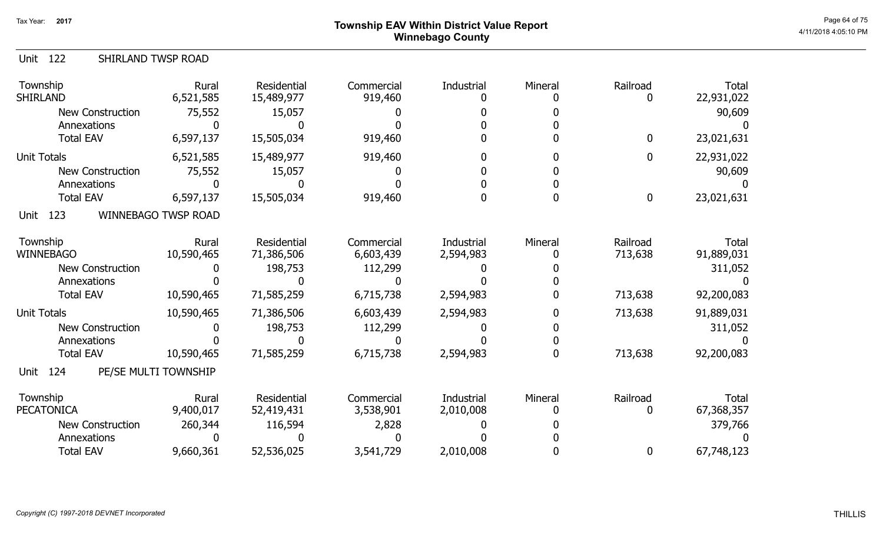# ${\sf Township~EAV~Within~District~Value~Report} \nonumber \hspace{5.5cm} \textrm{Page~64 of 75} \nonumber$ Winnebago County

| 122<br>Unit                     | SHIRLAND TWSP ROAD         |                           |                       |            |         |                  |                            |
|---------------------------------|----------------------------|---------------------------|-----------------------|------------|---------|------------------|----------------------------|
| Township<br><b>SHIRLAND</b>     | Rural<br>6,521,585         | Residential<br>15,489,977 | Commercial<br>919,460 | Industrial | Mineral | Railroad<br>0    | <b>Total</b><br>22,931,022 |
| <b>New Construction</b>         | 75,552                     | 15,057                    |                       |            |         |                  | 90,609                     |
| Annexations                     |                            |                           |                       |            |         |                  |                            |
| <b>Total EAV</b>                | 6,597,137                  | 15,505,034                | 919,460               |            |         | $\boldsymbol{0}$ | 23,021,631                 |
| <b>Unit Totals</b>              | 6,521,585                  | 15,489,977                | 919,460               |            |         | $\mathbf 0$      | 22,931,022                 |
| <b>New Construction</b>         | 75,552                     | 15,057                    |                       |            |         |                  | 90,609                     |
| Annexations                     |                            |                           |                       |            |         |                  |                            |
| <b>Total EAV</b>                | 6,597,137                  | 15,505,034                | 919,460               |            |         | $\bf{0}$         | 23,021,631                 |
| 123<br>Unit                     | <b>WINNEBAGO TWSP ROAD</b> |                           |                       |            |         |                  |                            |
| Township                        | Rural                      | Residential               | Commercial            | Industrial | Mineral | Railroad         | <b>Total</b>               |
| <b>WINNEBAGO</b>                | 10,590,465                 | 71,386,506                | 6,603,439             | 2,594,983  |         | 713,638          | 91,889,031                 |
| <b>New Construction</b>         |                            | 198,753                   | 112,299               |            |         |                  | 311,052                    |
| Annexations<br><b>Total EAV</b> | 10,590,465                 | 71,585,259                |                       | 2,594,983  |         | 713,638          |                            |
|                                 |                            |                           | 6,715,738             |            |         |                  | 92,200,083                 |
| <b>Unit Totals</b>              | 10,590,465                 | 71,386,506                | 6,603,439             | 2,594,983  |         | 713,638          | 91,889,031                 |
| <b>New Construction</b>         |                            | 198,753                   | 112,299               |            |         |                  | 311,052                    |
| Annexations                     |                            |                           |                       |            |         |                  |                            |
| <b>Total EAV</b>                | 10,590,465                 | 71,585,259                | 6,715,738             | 2,594,983  |         | 713,638          | 92,200,083                 |
| 124<br><b>Unit</b>              | PE/SE MULTI TOWNSHIP       |                           |                       |            |         |                  |                            |
| Township                        | Rural                      | Residential               | Commercial            | Industrial | Mineral | Railroad         | <b>Total</b>               |
| <b>PECATONICA</b>               | 9,400,017                  | 52,419,431                | 3,538,901             | 2,010,008  |         | 0                | 67,368,357                 |
| <b>New Construction</b>         | 260,344                    | 116,594                   | 2,828                 |            |         |                  | 379,766                    |
| Annexations                     |                            |                           |                       |            |         |                  |                            |
| <b>Total EAV</b>                | 9,660,361                  | 52,536,025                | 3,541,729             | 2,010,008  |         | 0                | 67,748,123                 |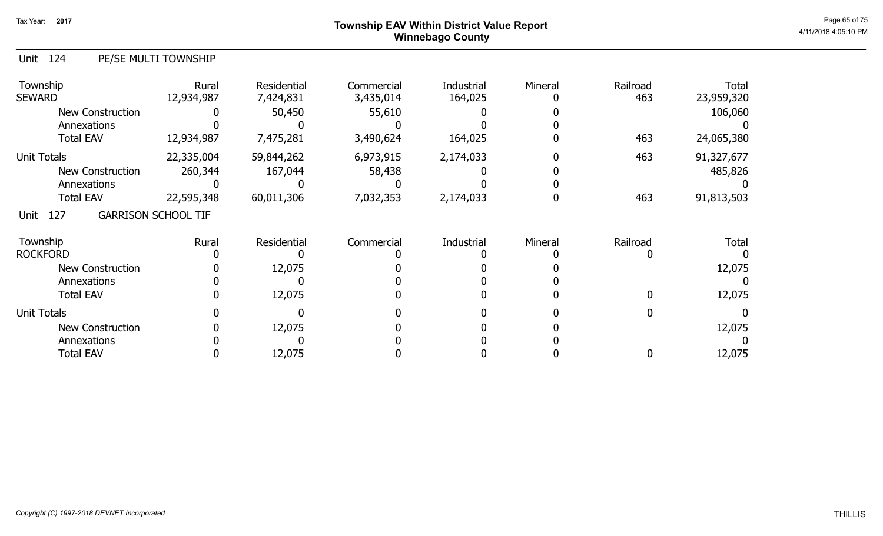## ${\sf Township}$   ${\sf EAV}$  Within District Value Report  $^{\sf Page\,65\,of\,75}$ Winnebago County

#### Unit 124 PE/SE MULTI TOWNSHIP

| Township<br><b>SEWARD</b> | Rural<br>12,934,987        | Residential<br>7,424,831 | Commercial<br>3,435,014 | Industrial<br>164,025 | Mineral | Railroad<br>463 | Total<br>23,959,320 |
|---------------------------|----------------------------|--------------------------|-------------------------|-----------------------|---------|-----------------|---------------------|
| <b>New Construction</b>   |                            | 50,450                   | 55,610                  |                       |         |                 | 106,060             |
| Annexations               |                            |                          |                         |                       |         |                 |                     |
| <b>Total EAV</b>          | 12,934,987                 | 7,475,281                | 3,490,624               | 164,025               |         | 463             | 24,065,380          |
| <b>Unit Totals</b>        | 22,335,004                 | 59,844,262               | 6,973,915               | 2,174,033             |         | 463             | 91,327,677          |
| New Construction          | 260,344                    | 167,044                  | 58,438                  |                       |         |                 | 485,826             |
| Annexations               |                            |                          |                         |                       |         |                 |                     |
| <b>Total EAV</b>          | 22,595,348                 | 60,011,306               | 7,032,353               | 2,174,033             |         | 463             | 91,813,503          |
| 127<br>Unit               | <b>GARRISON SCHOOL TIF</b> |                          |                         |                       |         |                 |                     |
| Township                  | Rural                      | Residential              | Commercial              | Industrial            | Mineral | Railroad        | <b>Total</b>        |
| <b>ROCKFORD</b>           |                            |                          |                         |                       |         |                 |                     |
| <b>New Construction</b>   |                            | 12,075                   |                         |                       |         |                 | 12,075              |
| Annexations               |                            |                          |                         |                       |         |                 |                     |
| <b>Total EAV</b>          |                            | 12,075                   |                         |                       |         | 0               | 12,075              |
| <b>Unit Totals</b>        |                            |                          |                         |                       |         |                 |                     |
| <b>New Construction</b>   |                            | 12,075                   |                         |                       |         |                 | 12,075              |
| Annexations               |                            |                          |                         |                       |         |                 |                     |
| <b>Total EAV</b>          |                            | 12,075                   |                         |                       |         | 0               | 12,075              |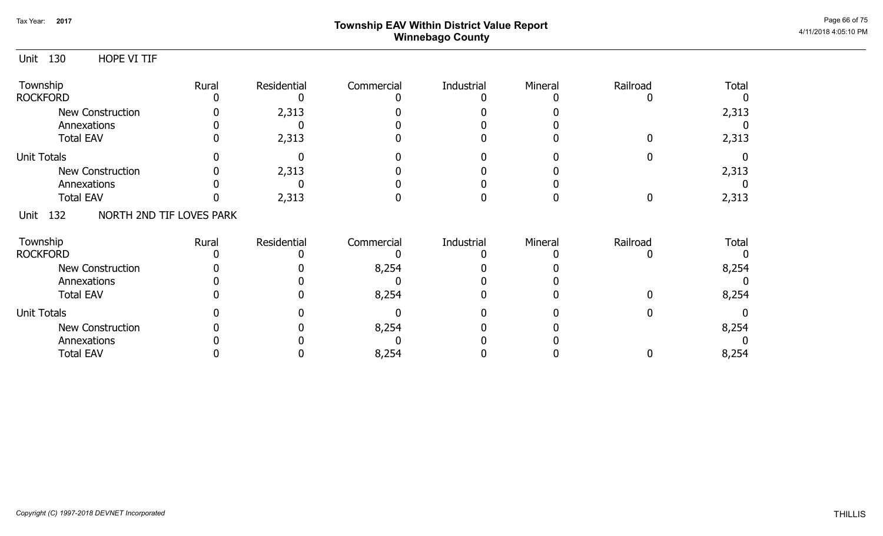# ${\sf Township}$   ${\sf EAV}$  Within District Value Report  $^{\sf Page\ 66\ of\ 75}$ Winnebago County

| Unit               | 130 | HOPE VI TIF              |       |             |            |            |         |             |              |
|--------------------|-----|--------------------------|-------|-------------|------------|------------|---------|-------------|--------------|
| Township           |     |                          | Rural | Residential | Commercial | Industrial | Mineral | Railroad    | Total        |
| <b>ROCKFORD</b>    |     |                          |       |             |            |            |         |             |              |
|                    |     | <b>New Construction</b>  |       | 2,313       |            |            |         |             | 2,313        |
|                    |     | Annexations              |       |             |            |            |         |             |              |
|                    |     | <b>Total EAV</b>         |       | 2,313       |            |            |         |             | 2,313        |
| <b>Unit Totals</b> |     |                          |       |             |            |            |         |             |              |
|                    |     | <b>New Construction</b>  |       | 2,313       |            |            |         |             | 2,313        |
|                    |     | Annexations              |       |             |            |            |         |             |              |
|                    |     | <b>Total EAV</b>         |       | 2,313       |            |            |         | $\mathbf 0$ | 2,313        |
| Unit               | 132 | NORTH 2ND TIF LOVES PARK |       |             |            |            |         |             |              |
| Township           |     |                          | Rural | Residential | Commercial | Industrial | Mineral | Railroad    | <b>Total</b> |
| <b>ROCKFORD</b>    |     |                          |       |             |            |            |         |             | $\Omega$     |
|                    |     | <b>New Construction</b>  |       |             | 8,254      |            |         |             | 8,254        |
|                    |     | Annexations              |       |             |            |            |         |             |              |
|                    |     | <b>Total EAV</b>         |       |             | 8,254      |            |         |             | 8,254        |
| <b>Unit Totals</b> |     |                          |       |             |            |            |         | 0           |              |
|                    |     | <b>New Construction</b>  |       |             | 8,254      |            |         |             | 8,254        |
|                    |     | Annexations              |       |             |            |            |         |             |              |
|                    |     | <b>Total EAV</b>         |       |             | 8,254      |            |         |             | 8,254        |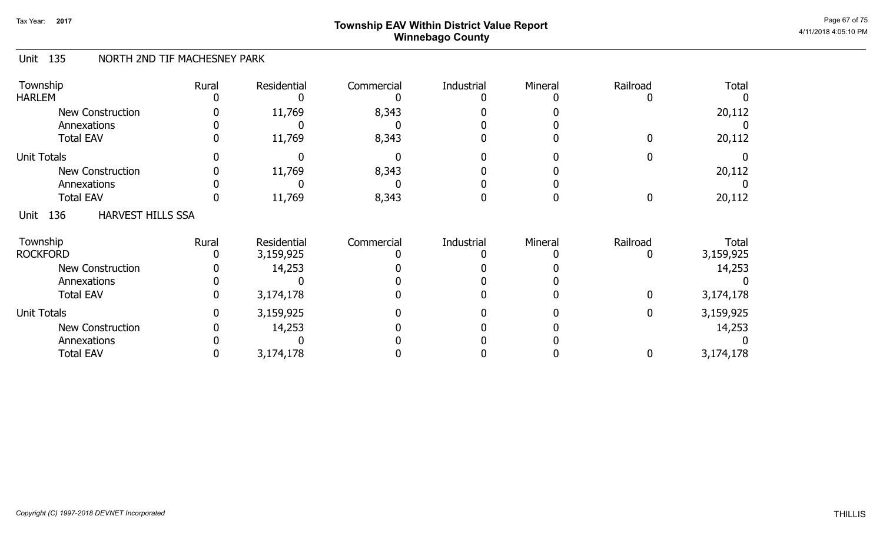# ${\sf Township}$   ${\sf EAV}$  Within District Value Report  $^{\sf Page\ 67 \ of\ 75}$ Winnebago County

#### Unit 135 NORTH 2ND TIF MACHESNEY PARK

| Township<br><b>HARLEM</b>               | Rural | Residential | Commercial | Industrial | Mineral | Railroad | <b>Total</b> |
|-----------------------------------------|-------|-------------|------------|------------|---------|----------|--------------|
| <b>New Construction</b>                 |       | 11,769      | 8,343      |            |         |          | 20,112       |
| Annexations                             |       |             |            |            |         |          |              |
| <b>Total EAV</b>                        |       | 11,769      | 8,343      |            |         | ŋ        | 20,112       |
| <b>Unit Totals</b>                      |       |             |            |            |         |          |              |
| <b>New Construction</b>                 |       | 11,769      | 8,343      |            |         |          | 20,112       |
| Annexations                             |       |             |            |            |         |          |              |
| <b>Total EAV</b>                        |       | 11,769      | 8,343      |            |         | 0        | 20,112       |
| 136<br><b>HARVEST HILLS SSA</b><br>Unit |       |             |            |            |         |          |              |
| Township                                | Rural | Residential | Commercial | Industrial | Mineral | Railroad | <b>Total</b> |
| <b>ROCKFORD</b>                         |       | 3,159,925   |            |            |         |          | 3,159,925    |
| New Construction                        |       | 14,253      |            |            |         |          | 14,253       |
| Annexations                             |       |             |            |            |         |          |              |
| <b>Total EAV</b>                        |       | 3,174,178   |            |            |         | 0        | 3,174,178    |
| <b>Unit Totals</b>                      |       | 3,159,925   |            |            |         | 0        | 3,159,925    |
| <b>New Construction</b>                 |       | 14,253      |            |            |         |          | 14,253       |
| Annexations                             |       |             |            |            |         |          |              |
| <b>Total EAV</b>                        |       | 3,174,178   |            |            |         | 0        | 3,174,178    |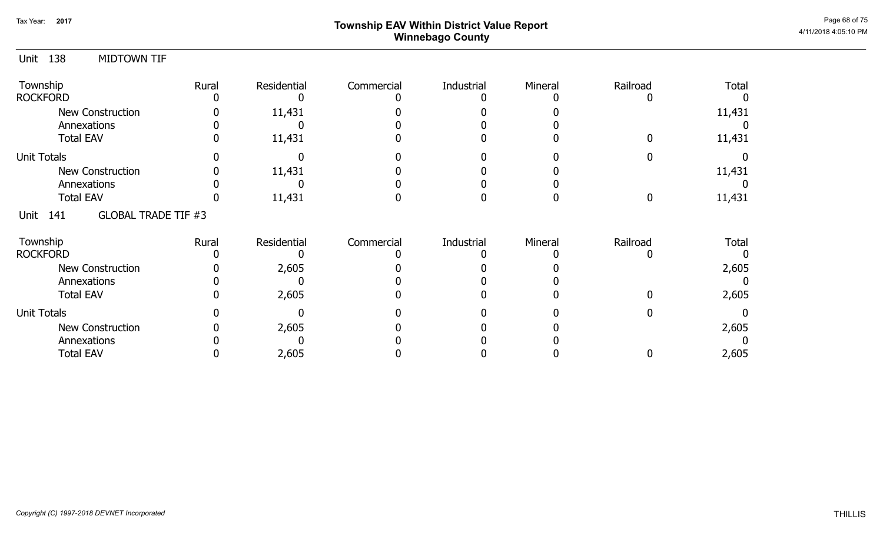# ${\sf Township~EAV~Within~District~Value~Report} \nonumber \hspace{5.5cm} \textrm{Page~68~of~75} \nonumber$ Winnebago County

| 138<br><b>MIDTOWN TIF</b><br>Unit      |       |             |            |            |         |          |        |
|----------------------------------------|-------|-------------|------------|------------|---------|----------|--------|
| Township                               | Rural | Residential | Commercial | Industrial | Mineral | Railroad | Total  |
| <b>ROCKFORD</b>                        |       |             |            |            |         |          |        |
| <b>New Construction</b>                |       | 11,431      |            |            |         |          | 11,431 |
| Annexations                            |       |             |            |            |         |          |        |
| <b>Total EAV</b>                       | O     | 11,431      |            |            |         | O        | 11,431 |
| Unit Totals                            |       |             |            |            |         |          |        |
| <b>New Construction</b>                |       | 11,431      |            |            |         |          | 11,431 |
| Annexations                            |       |             |            |            |         |          |        |
| <b>Total EAV</b>                       |       | 11,431      |            |            |         | 0        | 11,431 |
| <b>GLOBAL TRADE TIF #3</b><br>Unit 141 |       |             |            |            |         |          |        |
| Township                               | Rural | Residential | Commercial | Industrial | Mineral | Railroad | Total  |
| <b>ROCKFORD</b>                        |       |             |            |            |         |          |        |
| <b>New Construction</b>                |       | 2,605       |            |            |         |          | 2,605  |
| Annexations                            |       |             |            |            |         |          |        |
| <b>Total EAV</b>                       |       | 2,605       |            |            |         | 0        | 2,605  |
| <b>Unit Totals</b>                     |       |             |            |            |         | 0        |        |
| <b>New Construction</b>                |       | 2,605       |            |            |         |          | 2,605  |
| Annexations                            |       |             |            |            |         |          |        |
| <b>Total EAV</b>                       |       | 2,605       |            |            |         | 0        | 2,605  |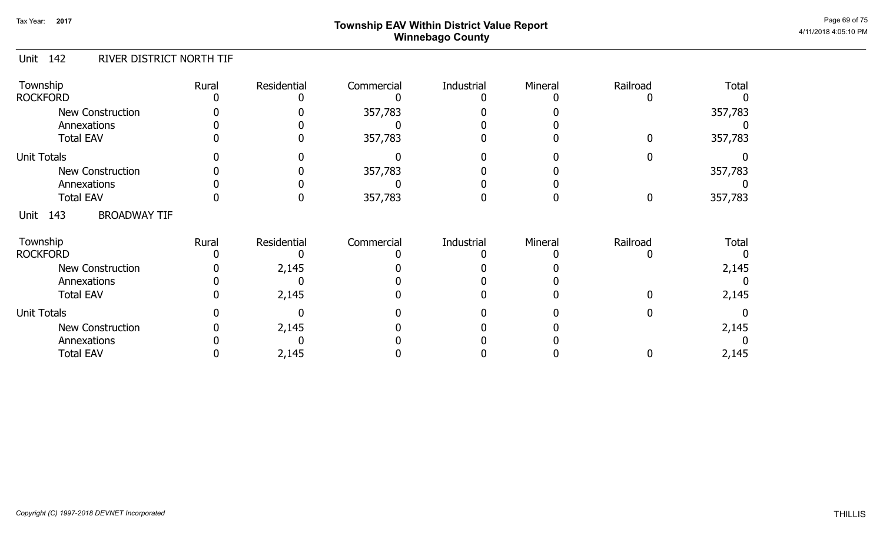# ${\sf Township}$   ${\sf EAV}$  Within District Value Report  $^{\sf Page\ 69\ of\ 75}$ Winnebago County

#### Unit 142 RIVER DISTRICT NORTH TIF

| Township<br><b>ROCKFORD</b>        | Rural | Residential | Commercial | Industrial | Mineral | Railroad | Total        |
|------------------------------------|-------|-------------|------------|------------|---------|----------|--------------|
| New Construction<br>Annexations    |       |             | 357,783    |            |         |          | 357,783      |
| <b>Total EAV</b>                   |       |             | 357,783    |            |         |          | 357,783      |
| <b>Unit Totals</b>                 |       |             |            |            |         |          |              |
| <b>New Construction</b>            |       |             | 357,783    |            |         |          | 357,783      |
| Annexations                        |       |             |            |            |         |          |              |
| <b>Total EAV</b>                   |       |             | 357,783    |            |         |          | 357,783      |
| 143<br><b>BROADWAY TIF</b><br>Unit |       |             |            |            |         |          |              |
| Township                           | Rural | Residential | Commercial | Industrial | Mineral | Railroad | <b>Total</b> |
| <b>ROCKFORD</b>                    |       |             |            |            |         |          |              |
| <b>New Construction</b>            |       | 2,145       |            |            |         |          | 2,145        |
| Annexations                        |       |             |            |            |         |          |              |
| <b>Total EAV</b>                   |       | 2,145       |            |            |         |          | 2,145        |
| <b>Unit Totals</b>                 |       |             |            |            |         |          |              |
| <b>New Construction</b>            |       | 2,145       |            |            |         |          | 2,145        |
| Annexations                        |       |             |            |            |         |          |              |
| <b>Total EAV</b>                   |       | 2,145       |            |            |         |          | 2,145        |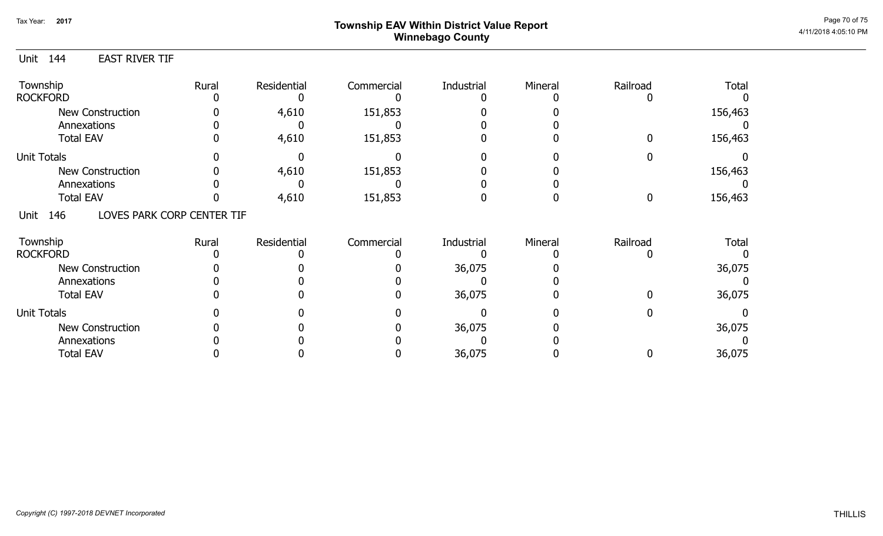# Page 70 of 75 Page 70 of 75 Winnebago County

0

0

36,075

36,075

156,463

156,463

#### Unit 144 Township **Rural** Residential Commercial Industrial Mineral Railroad Total EAST RIVER TIF 0 4,610 151,853 0 0 0 ROCKFORD 0 0 0 4,610 0 151,853 0 0 0 0 0 New Construction Annexations Total EAV 0 0 0 0 0 0 Unit Totals Annexations Total EAV New Construction 0 4,610 151,853 0 0 0 156,463 0 0 0 0 0 0 4,610 151,853 0 0 156,463 151,853 0 0 0 0 0 0 0 0 0 0 0 Unit 146 Township **Rural** Residential Commercial Industrial Mineral Railroad Total LOVES PARK CORP CENTER TIF 0 0 0 36,075 0 0 ROCKFORD 0 0 0 0 0 0 0 36,075 0 0 0 New Construction Annexations Total EAV 0 0 0 0 0 0 Unit Totals Annexations Total EAV New Construction 0 0 0 36,075 0 0 0 0 0 0 0 0 0 36,075 0 0 36,075 36,075 0 0 0 0 0 0 0 0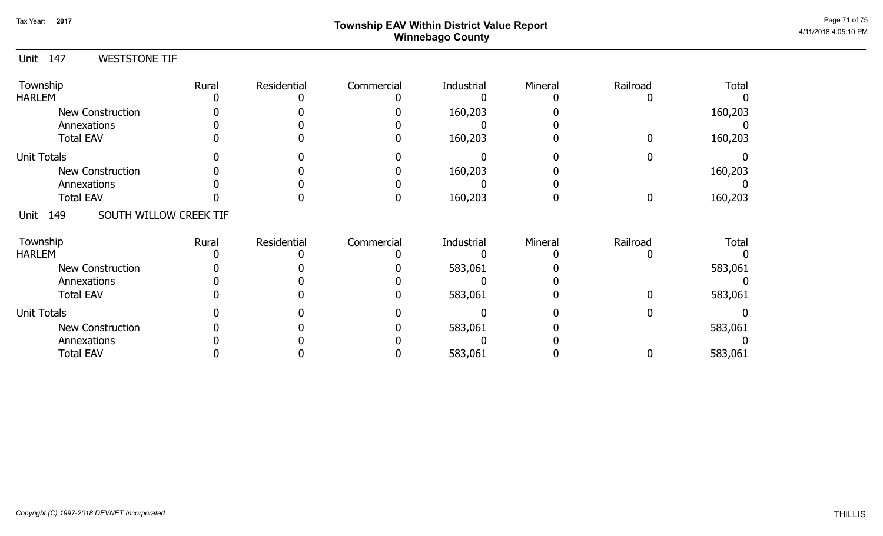# Page 71 of 75 Page 71 of 75 Winnebago County

0

0

#### Unit 147 Township **Rural** Residential Commercial Industrial Mineral Railroad Total WESTSTONE TIF 0 0 0 160,203 0 0 160,203 160,203 HARLEM 0 0 0 0 0 0 0 160,203 0 0 0 New Construction Annexations Total EAV 0 0 0 0 0 0 Unit Totals Annexations Total EAV New Construction 0 0 0 160,203 0 0 0 0 0 0 0 0 0 160,203 0 0 160,203 160,203 0 0 0 0 0 0 0 0 Unit 149 Township **Rural** Residential Commercial Industrial Mineral Railroad Total SOUTH WILLOW CREEK TIF 0 0 0 583,061 0 0 583,061 583,061 HARLEM 0 0 0 0 0 0 0 583,061 0 0 0 New Construction Annexations Total EAV 0 0 0 0 0 0 Unit Totals Annexations Total EAV New Construction 0 0 0 583,061 0 0 0 0 0 0 0 0 0 583,061 0 0 583,061 583,061 0 0 0 0 0 0 0 0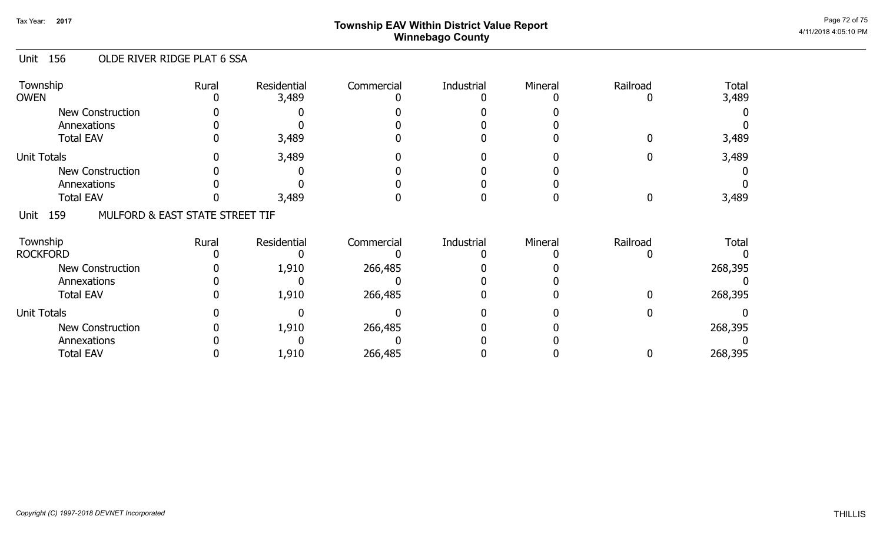# ${\sf Township~EAV~Within~District~Value~Report} \nonumber \hspace{5.5cm} \textrm{Page~72 of 75} \nonumber$ Winnebago County

#### Unit 156 OLDE RIVER RIDGE PLAT 6 SSA

| Township<br><b>OWEN</b>                        | Rural | Residential<br>3,489 | Commercial | Industrial | Mineral | Railroad | <b>Total</b><br>3,489 |
|------------------------------------------------|-------|----------------------|------------|------------|---------|----------|-----------------------|
| <b>New Construction</b>                        |       |                      |            |            |         |          |                       |
| Annexations                                    |       |                      |            |            |         |          |                       |
| <b>Total EAV</b>                               |       | 3,489                |            |            |         |          | 3,489                 |
| <b>Unit Totals</b>                             |       | 3,489                |            |            |         |          | 3,489                 |
| <b>New Construction</b>                        |       |                      |            |            |         |          |                       |
| Annexations                                    |       |                      |            |            |         |          |                       |
| <b>Total EAV</b>                               |       | 3,489                |            |            |         |          | 3,489                 |
| 159<br>MULFORD & EAST STATE STREET TIF<br>Unit |       |                      |            |            |         |          |                       |
| Township                                       | Rural | Residential          | Commercial | Industrial | Mineral | Railroad | <b>Total</b>          |
| <b>ROCKFORD</b>                                |       |                      |            |            |         |          |                       |
| <b>New Construction</b>                        |       | 1,910                | 266,485    |            |         |          | 268,395               |
| Annexations                                    |       |                      |            |            |         |          |                       |
| <b>Total EAV</b>                               |       | 1,910                | 266,485    |            |         |          | 268,395               |
| <b>Unit Totals</b>                             |       |                      |            |            |         |          |                       |
| <b>New Construction</b>                        |       | 1,910                | 266,485    |            |         |          | 268,395               |
| Annexations                                    |       |                      |            |            |         |          |                       |
| <b>Total EAV</b>                               |       | 1,910                | 266,485    |            |         |          | 268,395               |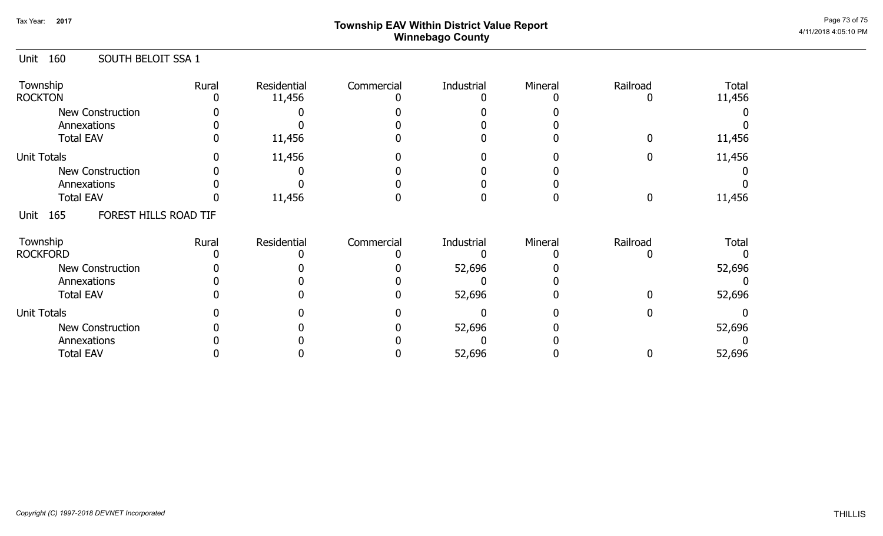# ${\sf Township}$   ${\sf EAV}$  Within District Value Report  $^{\sf Page\,73\,of\,75}$ Winnebago County

### Unit 160 SOUTH BELOIT SSA 1

| Township<br><b>ROCKTON</b>           | Rural | Residential<br>11,456 | Commercial | Industrial | Mineral | Railroad | <b>Total</b><br>11,456 |
|--------------------------------------|-------|-----------------------|------------|------------|---------|----------|------------------------|
| New Construction<br>Annexations      |       |                       |            |            |         |          |                        |
| <b>Total EAV</b>                     |       | 11,456                |            |            |         |          | 11,456                 |
| <b>Unit Totals</b>                   |       | 11,456                |            |            |         |          | 11,456                 |
| New Construction                     |       |                       |            |            |         |          |                        |
| Annexations                          |       |                       |            |            |         |          |                        |
| <b>Total EAV</b>                     |       | 11,456                |            |            |         |          | 11,456                 |
| FOREST HILLS ROAD TIF<br>165<br>Unit |       |                       |            |            |         |          |                        |
| Township                             | Rural | Residential           | Commercial | Industrial | Mineral | Railroad | <b>Total</b>           |
| <b>ROCKFORD</b>                      |       |                       |            |            |         |          |                        |
| New Construction                     |       |                       |            | 52,696     |         |          | 52,696                 |
| Annexations                          |       |                       |            |            |         |          |                        |
| <b>Total EAV</b>                     |       |                       |            | 52,696     |         |          | 52,696                 |
| <b>Unit Totals</b>                   |       |                       |            |            |         |          |                        |
| <b>New Construction</b>              |       |                       |            | 52,696     |         |          | 52,696                 |
| Annexations                          |       |                       |            |            |         |          |                        |
| <b>Total EAV</b>                     |       |                       |            | 52,696     |         |          | 52,696                 |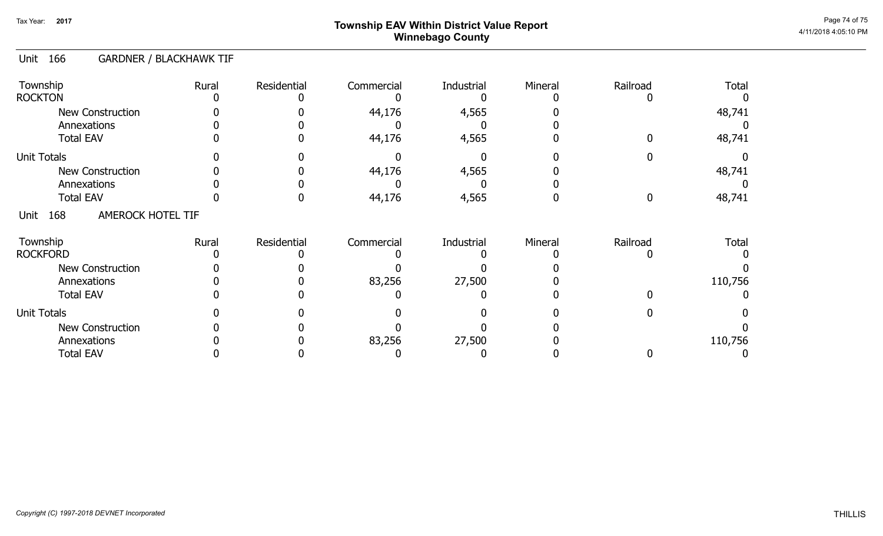# ${\sf Township}$   ${\sf EAV}$  Within District Value Report  $^{\sf Page~74~of~75}$ Winnebago County

#### Unit 166 GARDNER / BLACKHAWK TIF

| Township<br><b>ROCKTON</b>             | Rural | Residential | Commercial | Industrial | Mineral | Railroad | <b>Total</b> |
|----------------------------------------|-------|-------------|------------|------------|---------|----------|--------------|
| <b>New Construction</b><br>Annexations |       |             | 44,176     | 4,565      |         |          | 48,741       |
| <b>Total EAV</b>                       |       |             | 44,176     | 4,565      |         |          | 48,741       |
| <b>Unit Totals</b>                     |       |             |            |            |         |          |              |
| <b>New Construction</b>                |       |             | 44,176     | 4,565      |         |          | 48,741       |
| Annexations                            |       |             |            |            |         |          |              |
| <b>Total EAV</b>                       |       |             | 44,176     | 4,565      |         |          | 48,741       |
| 168<br>AMEROCK HOTEL TIF<br>Unit       |       |             |            |            |         |          |              |
| Township<br><b>ROCKFORD</b>            | Rural | Residential | Commercial | Industrial | Mineral | Railroad | <b>Total</b> |
| <b>New Construction</b>                |       |             |            |            |         |          |              |
| Annexations                            |       |             | 83,256     | 27,500     |         |          | 110,756      |
| <b>Total EAV</b>                       |       |             |            |            |         |          |              |
| <b>Unit Totals</b>                     |       |             |            |            |         |          |              |
| <b>New Construction</b>                |       |             |            |            |         |          |              |
| Annexations                            |       |             | 83,256     | 27,500     |         |          | 110,756      |
| <b>Total EAV</b>                       |       |             |            |            |         |          |              |